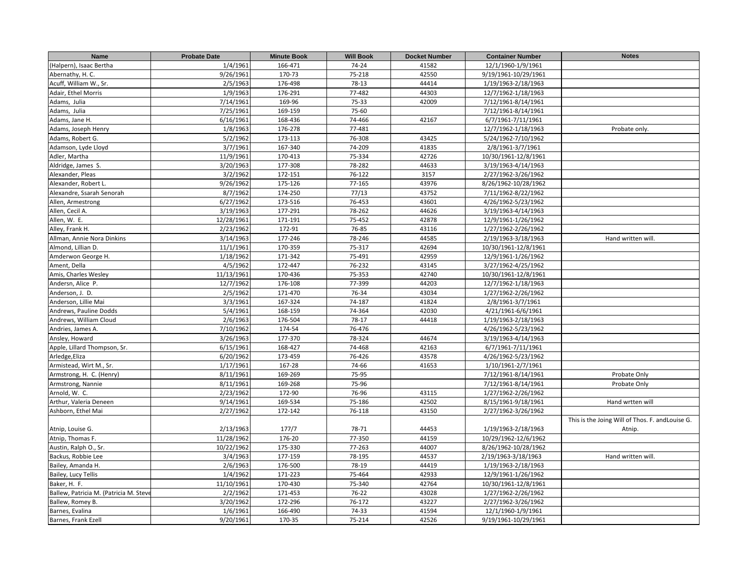| Name                                   | <b>Probate Date</b> | <b>Minute Book</b> | <b>Will Book</b> | <b>Docket Number</b> | <b>Container Number</b> | <b>Notes</b>                                     |
|----------------------------------------|---------------------|--------------------|------------------|----------------------|-------------------------|--------------------------------------------------|
| (Halpern), Isaac Bertha                | 1/4/1961            | 166-471            | 74-24            | 41582                | 12/1/1960-1/9/1961      |                                                  |
| Abernathy, H. C.                       | 9/26/1961           | 170-73             | 75-218           | 42550                | 9/19/1961-10/29/1961    |                                                  |
| Acuff, William W., Sr.                 | 2/5/1963            | 176-498            | 78-13            | 44414                | 1/19/1963-2/18/1963     |                                                  |
| Adair, Ethel Morris                    | 1/9/1963            | 176-291            | 77-482           | 44303                | 12/7/1962-1/18/1963     |                                                  |
| Adams, Julia                           | 7/14/1961           | 169-96             | 75-33            | 42009                | 7/12/1961-8/14/1961     |                                                  |
| Adams, Julia                           | 7/25/1961           | 169-159            | 75-60            |                      | 7/12/1961-8/14/1961     |                                                  |
| Adams, Jane H.                         | 6/16/1961           | 168-436            | 74-466           | 42167                | 6/7/1961-7/11/1961      |                                                  |
| Adams, Joseph Henry                    | 1/8/1963            | 176-278            | 77-481           |                      | 12/7/1962-1/18/1963     | Probate only.                                    |
| Adams, Robert G.                       | 5/2/1962            | 173-113            | 76-308           | 43425                | 5/24/1962-7/10/1962     |                                                  |
| Adamson, Lyde Lloyd                    | 3/7/1961            | 167-340            | 74-209           | 41835                | 2/8/1961-3/7/1961       |                                                  |
| Adler, Martha                          | 11/9/1961           | 170-413            | 75-334           | 42726                | 10/30/1961-12/8/1961    |                                                  |
| Aldridge, James S.                     | 3/20/1963           | 177-308            | 78-282           | 44633                | 3/19/1963-4/14/1963     |                                                  |
| Alexander, Pleas                       | 3/2/1962            | 172-151            | 76-122           | 3157                 | 2/27/1962-3/26/1962     |                                                  |
| Alexander, Robert L.                   | 9/26/1962           | 175-126            | 77-165           | 43976                | 8/26/1962-10/28/1962    |                                                  |
| Alexandre, Ssarah Senorah              | 8/7/1962            | 174-250            | 77/13            | 43752                | 7/11/1962-8/22/1962     |                                                  |
| Allen, Armestrong                      | 6/27/1962           | 173-516            | 76-453           | 43601                | 4/26/1962-5/23/1962     |                                                  |
| Allen, Cecil A.                        | 3/19/1963           | 177-291            | 78-262           | 44626                | 3/19/1963-4/14/1963     |                                                  |
| Allen, W. E.                           | 12/28/1961          | 171-191            | 75-452           | 42878                | 12/9/1961-1/26/1962     |                                                  |
| Alley, Frank H.                        | 2/23/1962           | 172-91             | 76-85            | 43116                | 1/27/1962-2/26/1962     |                                                  |
| Allman, Annie Nora Dinkins             | 3/14/1963           | 177-246            | 78-246           | 44585                | 2/19/1963-3/18/1963     | Hand written will.                               |
| Almond, Lillian D.                     | 11/1/1961           | 170-359            | 75-317           | 42694                | 10/30/1961-12/8/1961    |                                                  |
| Amderwon George H.                     | 1/18/1962           | 171-342            | 75-491           | 42959                | 12/9/1961-1/26/1962     |                                                  |
| Ament, Della                           | 4/5/1962            | 172-447            | 76-232           | 43145                | 3/27/1962-4/25/1962     |                                                  |
| Amis, Charles Wesley                   | 11/13/1961          | 170-436            | 75-353           | 42740                | 10/30/1961-12/8/1961    |                                                  |
| Andersn, Alice P.                      | 12/7/1962           | 176-108            | 77-399           | 44203                | 12/7/1962-1/18/1963     |                                                  |
| Anderson, J. D.                        | 2/5/1962            | 171-470            | 76-34            | 43034                | 1/27/1962-2/26/1962     |                                                  |
| Anderson, Lillie Mai                   | 3/3/1961            | 167-324            | 74-187           | 41824                | 2/8/1961-3/7/1961       |                                                  |
| Andrews, Pauline Dodds                 | 5/4/1961            | 168-159            | 74-364           | 42030                | 4/21/1961-6/6/1961      |                                                  |
| Andrews, William Cloud                 | 2/6/1963            | 176-504            | 78-17            | 44418                | 1/19/1963-2/18/1963     |                                                  |
| Andries, James A.                      | 7/10/1962           | 174-54             | 76-476           |                      | 4/26/1962-5/23/1962     |                                                  |
| Ansley, Howard                         | 3/26/1963           | 177-370            | 78-324           | 44674                | 3/19/1963-4/14/1963     |                                                  |
| Apple, Lillard Thompson, Sr.           | 6/15/1961           | 168-427            | 74-468           | 42163                | 6/7/1961-7/11/1961      |                                                  |
| Arledge, Eliza                         | 6/20/1962           | 173-459            | 76-426           | 43578                | 4/26/1962-5/23/1962     |                                                  |
| Armistead, Wirt M., Sr.                | 1/17/1961           | 167-28             | 74-66            | 41653                | 1/10/1961-2/7/1961      |                                                  |
| Armstrong, H. C. (Henry)               | 8/11/1961           | 169-269            | 75-95            |                      | 7/12/1961-8/14/1961     | Probate Only                                     |
| Armstrong, Nannie                      | 8/11/1961           | 169-268            | 75-96            |                      | 7/12/1961-8/14/1961     | Probate Only                                     |
| Arnold, W. C.                          | 2/23/1962           | 172-90             | 76-96            | 43115                | 1/27/1962-2/26/1962     |                                                  |
| Arthur, Valeria Deneen                 | 9/14/1961           | 169-534            | 75-186           | 42502                | 8/15/1961-9/18/1961     | Hand wrtten will                                 |
| Ashborn, Ethel Mai                     | 2/27/1962           | 172-142            | 76-118           | 43150                | 2/27/1962-3/26/1962     |                                                  |
|                                        |                     |                    |                  |                      |                         | This is the Joing Will of Thos. F. and Louise G. |
| Atnip, Louise G.                       | 2/13/1963           | 177/7              | 78-71            | 44453                | 1/19/1963-2/18/1963     | Atnip.                                           |
| Atnip, Thomas F.                       | 11/28/1962          | 176-20             | 77-350           | 44159                | 10/29/1962-12/6/1962    |                                                  |
| Austin, Ralph O., Sr.                  | 10/22/1962          | 175-330            | 77-263           | 44007                | 8/26/1962-10/28/1962    |                                                  |
| Backus, Robbie Lee                     | 3/4/1963            | 177-159            | 78-195           | 44537                | 2/19/1963-3/18/1963     | Hand written will.                               |
| Bailey, Amanda H.                      | 2/6/1963            | 176-500            | 78-19            | 44419                | 1/19/1963-2/18/1963     |                                                  |
| Bailey, Lucy Tellis                    | 1/4/1962            | 171-223            | 75-464           | 42933                | 12/9/1961-1/26/1962     |                                                  |
| Baker, H. F.                           | 11/10/1961          | 170-430            | 75-340           | 42764                | 10/30/1961-12/8/1961    |                                                  |
| Ballew, Patricia M. (Patricia M. Steve | 2/2/1962            | 171-453            | 76-22            | 43028                | 1/27/1962-2/26/1962     |                                                  |
| Ballew, Romey B.                       | 3/20/1962           | 172-296            | 76-172           | 43227                | 2/27/1962-3/26/1962     |                                                  |
| Barnes, Evalina                        | 1/6/1961            | 166-490            | 74-33            | 41594                | 12/1/1960-1/9/1961      |                                                  |
| Barnes, Frank Ezell                    | 9/20/1961           | 170-35             | 75-214           | 42526                | 9/19/1961-10/29/1961    |                                                  |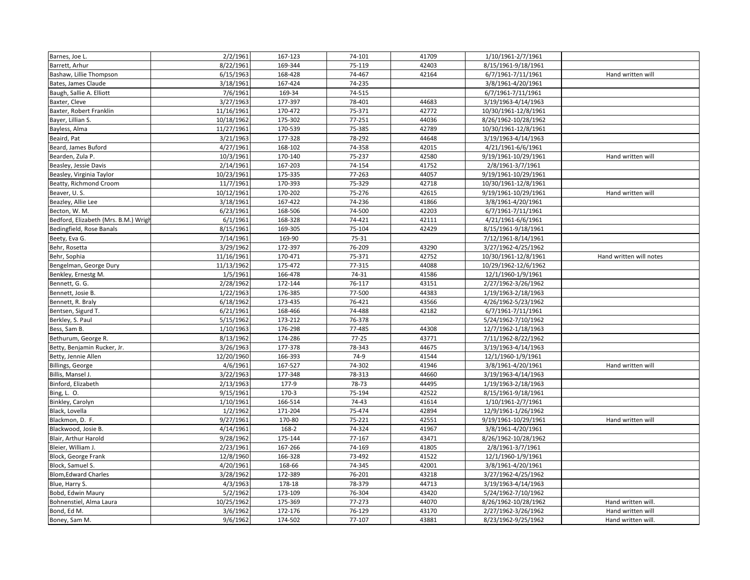| Barnes, Joe L.                       | 2/2/1961   | 167-123 | 74-101    | 41709 | 1/10/1961-2/7/1961   |                         |
|--------------------------------------|------------|---------|-----------|-------|----------------------|-------------------------|
| Barrett, Arhur                       | 8/22/1961  | 169-344 | 75-119    | 42403 | 8/15/1961-9/18/1961  |                         |
| Bashaw, Lillie Thompson              | 6/15/1963  | 168-428 | 74-467    | 42164 | 6/7/1961-7/11/1961   | Hand written will       |
| Bates, James Claude                  | 3/18/1961  | 167-424 | 74-235    |       | 3/8/1961-4/20/1961   |                         |
| Baugh, Sallie A. Elliott             | 7/6/1961   | 169-34  | 74-515    |       | 6/7/1961-7/11/1961   |                         |
| Baxter, Cleve                        | 3/27/1963  | 177-397 | 78-401    | 44683 | 3/19/1963-4/14/1963  |                         |
| Baxter, Robert Franklin              | 11/16/1961 | 170-472 | 75-371    | 42772 | 10/30/1961-12/8/1961 |                         |
| Bayer, Lillian S.                    | 10/18/1962 | 175-302 | 77-251    | 44036 | 8/26/1962-10/28/1962 |                         |
| Bayless, Alma                        | 11/27/1961 | 170-539 | 75-385    | 42789 | 10/30/1961-12/8/1961 |                         |
| Beaird, Pat                          | 3/21/1963  | 177-328 | 78-292    | 44648 | 3/19/1963-4/14/1963  |                         |
| Beard, James Buford                  | 4/27/1961  | 168-102 | 74-358    | 42015 | 4/21/1961-6/6/1961   |                         |
| Bearden, Zula P.                     | 10/3/1961  | 170-140 | 75-237    | 42580 | 9/19/1961-10/29/1961 | Hand written will       |
| Beasley, Jessie Davis                | 2/14/1961  | 167-203 | 74-154    | 41752 | 2/8/1961-3/7/1961    |                         |
| Beasley, Virginia Taylor             | 10/23/1961 | 175-335 | 77-263    | 44057 | 9/19/1961-10/29/1961 |                         |
| Beatty, Richmond Croom               | 11/7/1961  | 170-393 | 75-329    | 42718 | 10/30/1961-12/8/1961 |                         |
| Beaver, U.S.                         | 10/12/1961 | 170-202 | 75-276    | 42615 | 9/19/1961-10/29/1961 | Hand written will       |
| Beazley, Allie Lee                   | 3/18/1961  | 167-422 | 74-236    | 41866 | 3/8/1961-4/20/1961   |                         |
| Becton, W. M.                        | 6/23/1961  | 168-506 | 74-500    | 42203 | 6/7/1961-7/11/1961   |                         |
| Bedford, Elizabeth (Mrs. B.M.) Wrigl | 6/1/1961   | 168-328 | 74-421    | 42111 | 4/21/1961-6/6/1961   |                         |
| Bedingfield, Rose Banals             | 8/15/1961  | 169-305 | 75-104    | 42429 | 8/15/1961-9/18/1961  |                         |
| Beety, Eva G.                        | 7/14/1961  | 169-90  | 75-31     |       | 7/12/1961-8/14/1961  |                         |
| Behr, Rosetta                        | 3/29/1962  | 172-397 | 76-209    | 43290 | 3/27/1962-4/25/1962  |                         |
| Behr, Sophia                         | 11/16/1961 | 170-471 | 75-371    | 42752 | 10/30/1961-12/8/1961 | Hand written will notes |
| Bengelman, George Dury               | 11/13/1962 | 175-472 | 77-315    | 44088 | 10/29/1962-12/6/1962 |                         |
| Benkley, Ernestg M.                  | 1/5/1961   | 166-478 | 74-31     | 41586 | 12/1/1960-1/9/1961   |                         |
| Bennett, G. G.                       | 2/28/1962  | 172-144 | 76-117    | 43151 | 2/27/1962-3/26/1962  |                         |
| Bennett, Josie B.                    | 1/22/1963  | 176-385 | 77-500    | 44383 | 1/19/1963-2/18/1963  |                         |
| Bennett, R. Braly                    | 6/18/1962  | 173-435 | 76-421    | 43566 | 4/26/1962-5/23/1962  |                         |
| Bentsen, Sigurd T.                   | 6/21/1961  | 168-466 | 74-488    | 42182 | 6/7/1961-7/11/1961   |                         |
| Berkley, S. Paul                     | 5/15/1962  | 173-212 | 76-378    |       | 5/24/1962-7/10/1962  |                         |
| Bess, Sam B.                         | 1/10/1963  | 176-298 | 77-485    | 44308 | 12/7/1962-1/18/1963  |                         |
| Bethurum, George R.                  | 8/13/1962  | 174-286 | $77 - 25$ | 43771 | 7/11/1962-8/22/1962  |                         |
| Betty, Benjamin Rucker, Jr.          | 3/26/1963  | 177-378 | 78-343    | 44675 | 3/19/1963-4/14/1963  |                         |
| Betty, Jennie Allen                  | 12/20/1960 | 166-393 | $74-9$    | 41544 | 12/1/1960-1/9/1961   |                         |
| Billings, George                     | 4/6/1961   | 167-527 | 74-302    | 41946 | 3/8/1961-4/20/1961   | Hand written will       |
| Billis, Mansel J.                    | 3/22/1963  | 177-348 | 78-313    | 44660 | 3/19/1963-4/14/1963  |                         |
| Binford, Elizabeth                   | 2/13/1963  | 177-9   | 78-73     | 44495 | 1/19/1963-2/18/1963  |                         |
| Bing, L. O.                          | 9/15/1961  | 170-3   | 75-194    | 42522 | 8/15/1961-9/18/1961  |                         |
| Binkley, Carolyn                     | 1/10/1961  | 166-514 | 74-43     | 41614 | 1/10/1961-2/7/1961   |                         |
| Black, Lovella                       | 1/2/1962   | 171-204 | 75-474    | 42894 | 12/9/1961-1/26/1962  |                         |
| Blackmon, D. F.                      | 9/27/1961  | 170-80  | 75-221    | 42551 | 9/19/1961-10/29/1961 | Hand written will       |
| Blackwood, Josie B.                  | 4/14/1961  | 168-2   | 74-324    | 41967 | 3/8/1961-4/20/1961   |                         |
| Blair, Arthur Harold                 | 9/28/1962  | 175-144 | 77-167    | 43471 | 8/26/1962-10/28/1962 |                         |
| Bleier, William J.                   | 2/23/1961  | 167-266 | 74-169    | 41805 | 2/8/1961-3/7/1961    |                         |
| Block, George Frank                  | 12/8/1960  | 166-328 | 73-492    | 41522 | 12/1/1960-1/9/1961   |                         |
| Block, Samuel S.                     | 4/20/1961  | 168-66  | 74-345    | 42001 | 3/8/1961-4/20/1961   |                         |
| <b>Blom, Edward Charles</b>          | 3/28/1962  | 172-389 | 76-201    | 43218 | 3/27/1962-4/25/1962  |                         |
| Blue, Harry S.                       | 4/3/1963   | 178-18  | 78-379    | 44713 | 3/19/1963-4/14/1963  |                         |
| Bobd, Edwin Maury                    | 5/2/1962   | 173-109 | 76-304    | 43420 | 5/24/1962-7/10/1962  |                         |
| Bohnenstiel, Alma Laura              | 10/25/1962 | 175-369 | 77-273    | 44070 | 8/26/1962-10/28/1962 | Hand written will.      |
| Bond, Ed M.                          | 3/6/1962   | 172-176 | 76-129    | 43170 | 2/27/1962-3/26/1962  | Hand written will       |
| Boney, Sam M.                        | 9/6/1962   | 174-502 | 77-107    | 43881 | 8/23/1962-9/25/1962  | Hand written will.      |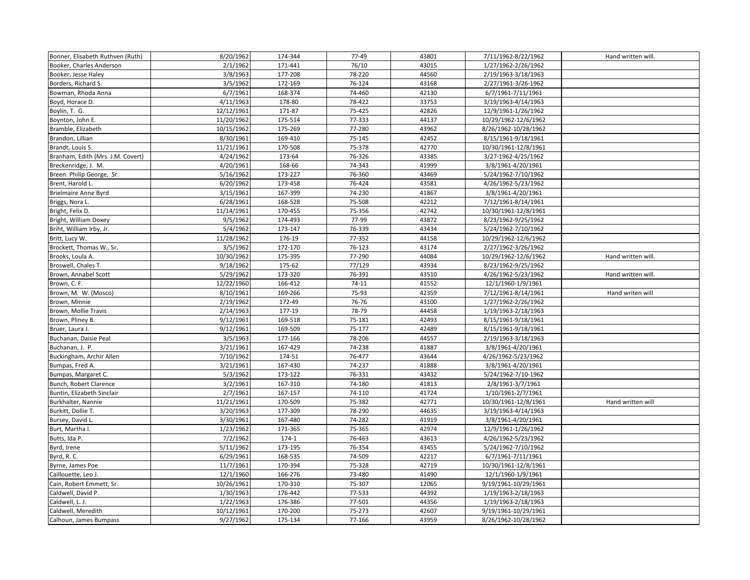| Bonner, Elisabeth Ruthven (Ruth)  | 8/20/1962  | 174-344 | 77-49     | 43801 | 7/11/1962-8/22/1962               | Hand written will. |
|-----------------------------------|------------|---------|-----------|-------|-----------------------------------|--------------------|
| Booker, Charles Anderson          | 2/1/1962   | 171-441 | 76/10     | 43015 | 1/27/1962-2/26/1962               |                    |
| Booker, Jesse Haley               | 3/8/1963   | 177-208 | 78-220    | 44560 | 2/19/1963-3/18/1963               |                    |
| Borders, Richard S.               | 3/5/1962   | 172-169 | 76-124    | 43168 | 2/27/1961-3/26-1962               |                    |
| Bowman, Rhoda Anna                | 6/7/1961   | 168-374 | 74-460    | 42130 | 6/7/1961-7/11/1961                |                    |
| Boyd, Horace D.                   | 4/11/1963  | 178-80  | 78-422    | 33753 | 3/19/1963-4/14/1963               |                    |
| Boylin, T. G.                     | 12/12/1961 | 171-87  | 75-425    | 42826 | 12/9/1961-1/26/1962               |                    |
| Boynton, John E.                  | 11/20/1962 | 175-514 | 77-333    | 44137 | 10/29/1962-12/6/1962              |                    |
| Bramble, Elizabeth                | 10/15/1962 | 175-269 | 77-280    | 43962 | 8/26/1962-10/28/1962              |                    |
| Brandon, Lillian                  | 8/30/1961  | 169-410 | 75-145    | 42452 | 8/15/1961-9/18/1961               |                    |
| Brandt, Louis S.                  | 11/21/1961 | 170-508 | 75-378    | 42770 | 10/30/1961-12/8/1961              |                    |
| Branham, Edith (Mrs. J.M. Covert) | 4/24/1962  | 173-64  | 76-326    | 43385 | 3/27-1962-4/25/1962               |                    |
| Breckenridge, J. M.               | 4/20/1961  | 168-66  | 74-343    | 41999 | 3/8/1961-4/20/1961                |                    |
| Breen. Philip George, Sr.         | 5/16/1962  | 173-227 | 76-360    | 43469 | 5/24/1962-7/10/1962               |                    |
| Brent, Harold L.                  | 6/20/1962  | 173-458 | 76-424    | 43581 | 4/26/1962-5/23/1962               |                    |
| <b>Brielmaire Anne Byrd</b>       | 3/15/1961  | 167-399 | 74-230    | 41867 | 3/8/1961-4/20/1961                |                    |
| Briggs, Nora L.                   | 6/28/1961  | 168-528 | 75-508    | 42212 | 7/12/1961-8/14/1961               |                    |
| Bright, Felix D.                  | 11/14/1961 | 170-455 | 75-356    | 42742 | 10/30/1961-12/8/1961              |                    |
| Bright, William Doxey             | 9/5/1962   | 174-493 | 77-99     | 43872 | 8/23/1962-9/25/1962               |                    |
| Briht, William Irby, Jr.          | 5/4/1962   | 173-147 | 76-339    | 43434 | 5/24/1962-7/10/1962               |                    |
| Britt, Lucy W.                    | 11/28/1962 | 176-19  | 77-352    | 44158 | 10/29/1962-12/6/1962              |                    |
| Brockett, Thomas W., Sr.          | 3/5/1962   | 172-170 | 76-123    | 43174 | 2/27/1962-3/26/1962               |                    |
| Brooks, Loula A.                  | 10/30/1962 | 175-395 | 77-290    | 44084 | 10/29/1962-12/6/1962              | Hand written will. |
| Broswell, Chales T.               | 9/18/1962  | 175-62  | 77/129    | 43934 | 8/23/1962-9/25/1962               |                    |
| Brown, Annabel Scott              | 5/29/1962  | 173-320 | 76-391    | 43510 | 4/26/1962-5/23/1962               | Hand written will. |
| Brown, C. F.                      | 12/22/1960 | 166-412 | $74 - 11$ | 41552 | 12/1/1960-1/9/1961                |                    |
| Brown, M. W. (Mosco)              | 8/10/1961  | 169-266 | 75-93     | 42359 | 7/12/1961-8/14/1961               | Hand writen will   |
| Brown, Minnie                     | 2/19/1962  | 172-49  | 76-76     | 43100 | 1/27/1962-2/26/1962               |                    |
| Brown, Mollie Travis              | 2/14/1963  | 177-19  | 78-79     | 44458 | 1/19/1963-2/18/1963               |                    |
| Brown, Pliney B.                  | 9/12/1961  | 169-518 | 75-181    | 42493 | 8/15/1961-9/18/1961               |                    |
| Bruer, Laura J.                   | 9/12/1961  | 169-509 | 75-177    | 42489 | $\overline{8/1}$ 5/1961-9/18/1961 |                    |
| Buchanan, Daisie Peal             | 3/5/1963   | 177-166 | 78-206    | 44557 | 2/19/1963-3/18/1963               |                    |
| Buchanan, J. P.                   | 3/21/1961  | 167-429 | 74-238    | 41887 | 3/8/1961-4/20/1961                |                    |
| Buckingham, Archir Allen          | 7/10/1962  | 174-51  | 76-477    | 43644 | 4/26/1962-5/23/1962               |                    |
| Bumpas, Fred A.                   | 3/21/1961  | 167-430 | 74-237    | 41888 | 3/8/1961-4/20/1961                |                    |
| Bumpas, Margaret C.               | 5/3/1962   | 173-122 | 76-331    | 43432 | 5/24/1962-7/10-1962               |                    |
| Bunch, Robert Clarence            | 3/2/1961   | 167-310 | 74-180    | 41813 | 2/8/1961-3/7/1961                 |                    |
| Buntin, Elizabeth Sinclair        | 2/7/1961   | 167-157 | 74-110    | 41724 | 1/10/1961-2/7/1961                |                    |
| Burkhalter, Nannie                | 11/21/1961 | 170-509 | 75-382    | 42771 | 10/30/1961-12/8/1961              | Hand written will  |
| Burkitt, Dollie T.                | 3/20/1963  | 177-309 | 78-290    | 44635 | 3/19/1963-4/14/1963               |                    |
| Bursey, David L.                  | 3/30/1961  | 167-480 | 74-282    | 41919 | 3/8/1961-4/20/1961                |                    |
| Burt, Martha I.                   | 1/23/1962  | 171-365 | 75-365    | 42974 | 12/9/1961-1/26/1962               |                    |
| Butts, Ida P.                     | 7/2/1962   | $174-1$ | 76-463    | 43613 | 4/26/1962-5/23/1962               |                    |
| Byrd, Irene                       | 5/11/1962  | 173-195 | 76-354    | 43455 | 5/24/1962-7/10/1962               |                    |
| Byrd, R.C.                        | 6/29/1961  | 168-535 | 74-509    | 42217 | 6/7/1961-7/11/1961                |                    |
| Byrne, James Poe                  | 11/7/1961  | 170-394 | 75-328    | 42719 | 10/30/1961-12/8/1961              |                    |
| Caillouette, Leo J.               | 12/1/1960  | 166-276 | 73-480    | 41490 | 12/1/1960-1/9/1961                |                    |
| Cain, Robert Emmett, Sr.          | 10/26/1961 | 170-310 | 75-307    | 12065 | 9/19/1961-10/29/1961              |                    |
| Caldwell, David P.                | 1/30/1963  | 176-442 | 77-533    | 44392 | 1/19/1963-2/18/1963               |                    |
| Caldwell, L. J.                   | 1/22/1963  | 176-386 | 77-501    | 44356 | 1/19/1963-2/18/1963               |                    |
| Caldwell, Meredith                | 10/12/1961 | 170-200 | 75-273    | 42607 | 9/19/1961-10/29/1961              |                    |
| Calhoun, James Bumpass            | 9/27/1962  | 175-134 | 77-166    | 43959 | 8/26/1962-10/28/1962              |                    |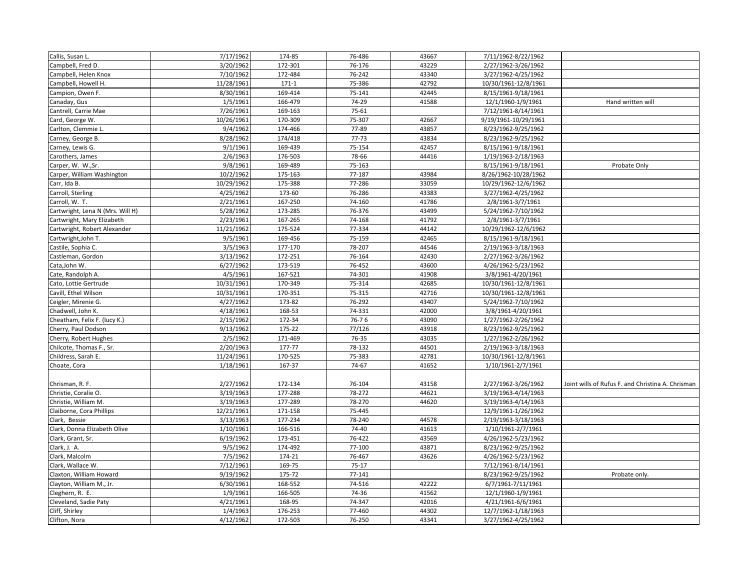| Callis, Susan L.                 | 7/17/1962  | 174-85  | 76-486  | 43667 | 7/11/1962-8/22/1962  |                                                   |
|----------------------------------|------------|---------|---------|-------|----------------------|---------------------------------------------------|
| Campbell, Fred D.                | 3/20/1962  | 172-301 | 76-176  | 43229 | 2/27/1962-3/26/1962  |                                                   |
| Campbell, Helen Knox             | 7/10/1962  | 172-484 | 76-242  | 43340 | 3/27/1962-4/25/1962  |                                                   |
| Campbell, Howell H.              | 11/28/1961 | $171-1$ | 75-386  | 42792 | 10/30/1961-12/8/1961 |                                                   |
| Campion, Owen F.                 | 8/30/1961  | 169-414 | 75-141  | 42445 | 8/15/1961-9/18/1961  |                                                   |
| Canaday, Gus                     | 1/5/1961   | 166-479 | 74-29   | 41588 | 12/1/1960-1/9/1961   | Hand written will                                 |
| Cantrell, Carrie Mae             | 7/26/1961  | 169-163 | 75-61   |       | 7/12/1961-8/14/1961  |                                                   |
| Card, George W.                  | 10/26/1961 | 170-309 | 75-307  | 42667 | 9/19/1961-10/29/1961 |                                                   |
| Carlton, Clemmie L.              | 9/4/1962   | 174-466 | 77-89   | 43857 | 8/23/1962-9/25/1962  |                                                   |
| Carney, George B.                | 8/28/1962  | 174/418 | 77-73   | 43834 | 8/23/1962-9/25/1962  |                                                   |
| Carney, Lewis G.                 | 9/1/1961   | 169-439 | 75-154  | 42457 | 8/15/1961-9/18/1961  |                                                   |
| Carothers, James                 | 2/6/1963   | 176-503 | 78-66   | 44416 | 1/19/1963-2/18/1963  |                                                   |
| Carper, W. W., Sr.               | 9/8/1961   | 169-489 | 75-163  |       | 8/15/1961-9/18/1961  | Probate Only                                      |
| Carper, William Washington       | 10/2/1962  | 175-163 | 77-187  | 43984 | 8/26/1962-10/28/1962 |                                                   |
| Carr, Ida B.                     | 10/29/1962 | 175-388 | 77-286  | 33059 | 10/29/1962-12/6/1962 |                                                   |
| Carroll, Sterling                | 4/25/1962  | 173-60  | 76-286  | 43383 | 3/27/1962-4/25/1962  |                                                   |
| Carroll, W. T.                   | 2/21/1961  | 167-250 | 74-160  | 41786 | 2/8/1961-3/7/1961    |                                                   |
| Cartwright, Lena N (Mrs. Will H) | 5/28/1962  | 173-285 | 76-376  | 43499 | 5/24/1962-7/10/1962  |                                                   |
| Cartwright, Mary Elizabeth       | 2/23/1961  | 167-265 | 74-168  | 41792 | 2/8/1961-3/7/1961    |                                                   |
| Cartwright, Robert Alexander     | 11/21/1962 | 175-524 | 77-334  | 44142 | 10/29/1962-12/6/1962 |                                                   |
| Cartwright, John T.              | 9/5/1961   | 169-456 | 75-159  | 42465 | 8/15/1961-9/18/1961  |                                                   |
| Castile, Sophia C.               | 3/5/1963   | 177-170 | 78-207  | 44546 | 2/19/1963-3/18/1963  |                                                   |
| Castleman, Gordon                | 3/13/1962  | 172-251 | 76-164  | 42430 | 2/27/1962-3/26/1962  |                                                   |
| Cata, John W.                    | 6/27/1962  | 173-519 | 76-452  | 43600 | 4/26/1962-5/23/1962  |                                                   |
| Cate, Randolph A.                | 4/5/1961   | 167-521 | 74-301  | 41908 | 3/8/1961-4/20/1961   |                                                   |
| Cato, Lottie Gertrude            | 10/31/1961 | 170-349 | 75-314  | 42685 | 10/30/1961-12/8/1961 |                                                   |
| Cavill, Ethel Wilson             | 10/31/1961 | 170-351 | 75-315  | 42716 | 10/30/1961-12/8/1961 |                                                   |
| Ceigler, Mirenie G.              | 4/27/1962  | 173-82  | 76-292  | 43407 | 5/24/1962-7/10/1962  |                                                   |
| Chadwell, John K.                | 4/18/1961  | 168-53  | 74-331  | 42000 | 3/8/1961-4/20/1961   |                                                   |
| Cheatham, Felix F. (lucy K.)     | 2/15/1962  | 172-34  | 76-76   | 43090 | 1/27/1962-2/26/1962  |                                                   |
| Cherry, Paul Dodson              | 9/13/1962  | 175-22  | 77/126  | 43918 | 8/23/1962-9/25/1962  |                                                   |
| Cherry, Robert Hughes            | 2/5/1962   | 171-469 | 76-35   | 43035 | 1/27/1962-2/26/1962  |                                                   |
| Chilcote, Thomas F., Sr.         | 2/20/1963  | 177-77  | 78-132  | 44501 | 2/19/1963-3/18/1963  |                                                   |
| Childress, Sarah E.              | 11/24/1961 | 170-525 | 75-383  | 42781 | 10/30/1961-12/8/1961 |                                                   |
| Choate, Cora                     | 1/18/1961  | 167-37  | 74-67   | 41652 | 1/10/1961-2/7/1961   |                                                   |
|                                  |            |         |         |       |                      |                                                   |
| Chrisman, R. F.                  | 2/27/1962  | 172-134 | 76-104  | 43158 | 2/27/1962-3/26/1962  | Joint wills of Rufus F. and Christina A. Chrisman |
| Christie, Coralie O.             | 3/19/1963  | 177-288 | 78-272  | 44621 | 3/19/1963-4/14/1963  |                                                   |
| Christie, William M.             | 3/19/1963  | 177-289 | 78-270  | 44620 | 3/19/1963-4/14/1963  |                                                   |
| Claiborne, Cora Phillips         | 12/21/1961 | 171-158 | 75-445  |       | 12/9/1961-1/26/1962  |                                                   |
| Clark, Bessie                    | 3/13/1963  | 177-234 | 78-240  | 44578 | 2/19/1963-3/18/1963  |                                                   |
| Clark, Donna Elizabeth Olive     | 1/10/1961  | 166-516 | 74-40   | 41613 | 1/10/1961-2/7/1961   |                                                   |
| Clark, Grant, Sr.                | 6/19/1962  | 173-451 | 76-422  | 43569 | 4/26/1962-5/23/1962  |                                                   |
| Clark, J. A.                     | 9/5/1962   | 174-492 | 77-100  | 43871 | 8/23/1962-9/25/1962  |                                                   |
| Clark, Malcolm                   | 7/5/1962   | 174-21  | 76-467  | 43626 | 4/26/1962-5/23/1962  |                                                   |
| Clark, Wallace W.                | 7/12/1961  | 169-75  | $75-17$ |       | 7/12/1961-8/14/1961  |                                                   |
| Claxton, William Howard          | 9/19/1962  | 175-72  | 77-141  |       | 8/23/1962-9/25/1962  | Probate only.                                     |
| Clayton, William M., Jr.         | 6/30/1961  | 168-552 | 74-516  | 42222 | 6/7/1961-7/11/1961   |                                                   |
| Cleghern, R. E.                  | 1/9/1961   | 166-505 | 74-36   | 41562 | 12/1/1960-1/9/1961   |                                                   |
| Cleveland, Sadie Paty            | 4/21/1961  | 168-95  | 74-347  | 42016 | 4/21/1961-6/6/1961   |                                                   |
| Cliff, Shirley                   | 1/4/1963   | 176-253 | 77-460  | 44302 | 12/7/1962-1/18/1963  |                                                   |
| Clifton, Nora                    | 4/12/1962  | 172-503 | 76-250  | 43341 | 3/27/1962-4/25/1962  |                                                   |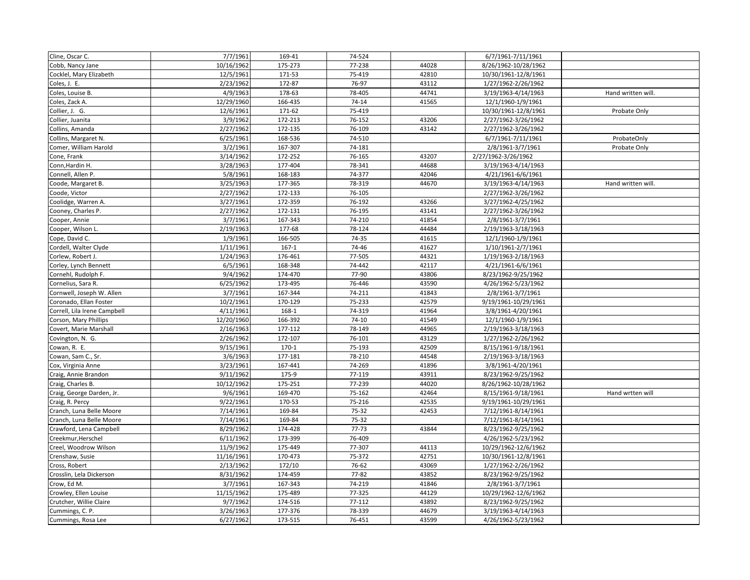| Cline, Oscar C.              | 7/7/1961   | 169-41    | 74-524    |       | 6/7/1961-7/11/1961   |                    |
|------------------------------|------------|-----------|-----------|-------|----------------------|--------------------|
| Cobb, Nancy Jane             | 10/16/1962 | 175-273   | 77-238    | 44028 | 8/26/1962-10/28/1962 |                    |
| Cocklel, Mary Elizabeth      | 12/5/1961  | 171-53    | 75-419    | 42810 | 10/30/1961-12/8/1961 |                    |
| Coles, J. E.                 | 2/23/1962  | 172-87    | 76-97     | 43112 | 1/27/1962-2/26/1962  |                    |
| Coles, Louise B.             | 4/9/1963   | 178-63    | 78-405    | 44741 | 3/19/1963-4/14/1963  | Hand written will. |
| Coles, Zack A.               | 12/29/1960 | 166-435   | $74 - 14$ | 41565 | 12/1/1960-1/9/1961   |                    |
| Collier, J. G.               | 12/6/1961  | 171-62    | 75-419    |       | 10/30/1961-12/8/1961 | Probate Only       |
| Collier, Juanita             | 3/9/1962   | 172-213   | 76-152    | 43206 | 2/27/1962-3/26/1962  |                    |
| Collins, Amanda              | 2/27/1962  | 172-135   | 76-109    | 43142 | 2/27/1962-3/26/1962  |                    |
| Collins, Margaret N.         | 6/25/1961  | 168-536   | 74-510    |       | 6/7/1961-7/11/1961   | ProbateOnly        |
| Comer, William Harold        | 3/2/1961   | 167-307   | 74-181    |       | 2/8/1961-3/7/1961    | Probate Only       |
| Cone, Frank                  | 3/14/1962  | 172-252   | 76-165    | 43207 | 2/27/1962-3/26/1962  |                    |
| Conn, Hardin H.              | 3/28/1963  | 177-404   | 78-341    | 44688 | 3/19/1963-4/14/1963  |                    |
| Connell, Allen P.            | 5/8/1961   | 168-183   | 74-377    | 42046 | 4/21/1961-6/6/1961   |                    |
| Coode, Margaret B.           | 3/25/1963  | 177-365   | 78-319    | 44670 | 3/19/1963-4/14/1963  | Hand written will. |
| Coode, Victor                | 2/27/1962  | 172-133   | 76-105    |       | 2/27/1962-3/26/1962  |                    |
| Coolidge, Warren A.          | 3/27/1961  | 172-359   | 76-192    | 43266 | 3/27/1962-4/25/1962  |                    |
| Cooney, Charles P.           | 2/27/1962  | 172-131   | 76-195    | 43141 | 2/27/1962-3/26/1962  |                    |
| Cooper, Annie                | 3/7/1961   | 167-343   | 74-210    | 41854 | 2/8/1961-3/7/1961    |                    |
| Cooper, Wilson L.            | 2/19/1963  | 177-68    | 78-124    | 44484 | 2/19/1963-3/18/1963  |                    |
| Cope, David C.               | 1/9/1961   | 166-505   | 74-35     | 41615 | 12/1/1960-1/9/1961   |                    |
| Cordell, Walter Clyde        | 1/11/1961  | $167 - 1$ | 74-46     | 41627 | 1/10/1961-2/7/1961   |                    |
| Corlew, Robert J.            | 1/24/1963  | 176-461   | 77-505    | 44321 | 1/19/1963-2/18/1963  |                    |
| Corley, Lynch Bennett        | 6/5/1961   | 168-348   | 74-442    | 42117 | 4/21/1961-6/6/1961   |                    |
| Cornehl, Rudolph F.          | 9/4/1962   | 174-470   | 77-90     | 43806 | 8/23/1962-9/25/1962  |                    |
| Cornelius, Sara R.           | 6/25/1962  | 173-495   | 76-446    | 43590 | 4/26/1962-5/23/1962  |                    |
| Cornwell, Joseph W. Allen    | 3/7/1961   | 167-344   | 74-211    | 41843 | 2/8/1961-3/7/1961    |                    |
| Coronado, Ellan Foster       | 10/2/1961  | 170-129   | 75-233    | 42579 | 9/19/1961-10/29/1961 |                    |
| Correll, Lila Irene Campbell | 4/11/1961  | 168-1     | 74-319    | 41964 | 3/8/1961-4/20/1961   |                    |
| Corson, Mary Phillips        | 12/20/1960 | 166-392   | $74-10$   | 41549 | 12/1/1960-1/9/1961   |                    |
| Covert, Marie Marshall       | 2/16/1963  | 177-112   | 78-149    | 44965 | 2/19/1963-3/18/1963  |                    |
| Covington, N. G.             | 2/26/1962  | 172-107   | 76-101    | 43129 | 1/27/1962-2/26/1962  |                    |
| Cowan, R. E.                 | 9/15/1961  | 170-1     | 75-193    | 42509 | 8/15/1961-9/18/1961  |                    |
| Cowan, Sam C., Sr.           | 3/6/1963   | 177-181   | 78-210    | 44548 | 2/19/1963-3/18/1963  |                    |
| Cox, Virginia Anne           | 3/23/1961  | 167-441   | 74-269    | 41896 | 3/8/1961-4/20/1961   |                    |
| Craig, Annie Brandon         | 9/11/1962  | 175-9     | 77-119    | 43911 | 8/23/1962-9/25/1962  |                    |
| Craig, Charles B.            | 10/12/1962 | 175-251   | 77-239    | 44020 | 8/26/1962-10/28/1962 |                    |
| Craig, George Darden, Jr.    | 9/6/1961   | 169-470   | 75-162    | 42464 | 8/15/1961-9/18/1961  | Hand wrtten will   |
| Craig, R. Percy              | 9/22/1961  | 170-53    | 75-216    | 42535 | 9/19/1961-10/29/1961 |                    |
| Cranch, Luna Belle Moore     | 7/14/1961  | 169-84    | 75-32     | 42453 | 7/12/1961-8/14/1961  |                    |
| Cranch, Luna Belle Moore     | 7/14/1961  | 169-84    | 75-32     |       | 7/12/1961-8/14/1961  |                    |
| Crawford, Lena Campbell      | 8/29/1962  | 174-428   | $77 - 73$ | 43844 | 8/23/1962-9/25/1962  |                    |
| Creekmur, Herschel           | 6/11/1962  | 173-399   | 76-409    |       | 4/26/1962-5/23/1962  |                    |
| Creel, Woodrow Wilson        | 11/9/1962  | 175-449   | 77-307    | 44113 | 10/29/1962-12/6/1962 |                    |
| Crenshaw, Susie              | 11/16/1961 | 170-473   | 75-372    | 42751 | 10/30/1961-12/8/1961 |                    |
| Cross, Robert                | 2/13/1962  | 172/10    | 76-62     | 43069 | 1/27/1962-2/26/1962  |                    |
| Crosslin, Lela Dickerson     | 8/31/1962  | 174-459   | 77-82     | 43852 | 8/23/1962-9/25/1962  |                    |
| Crow, Ed M.                  | 3/7/1961   | 167-343   | 74-219    | 41846 | 2/8/1961-3/7/1961    |                    |
| Crowley, Ellen Louise        | 11/15/1962 | 175-489   | 77-325    | 44129 | 10/29/1962-12/6/1962 |                    |
| Crutcher, Willie Claire      | 9/7/1962   | 174-516   | 77-112    | 43892 | 8/23/1962-9/25/1962  |                    |
| Cummings, C. P.              | 3/26/1963  | 177-376   | 78-339    | 44679 | 3/19/1963-4/14/1963  |                    |
| Cummings, Rosa Lee           | 6/27/1962  | 173-515   | 76-451    | 43599 | 4/26/1962-5/23/1962  |                    |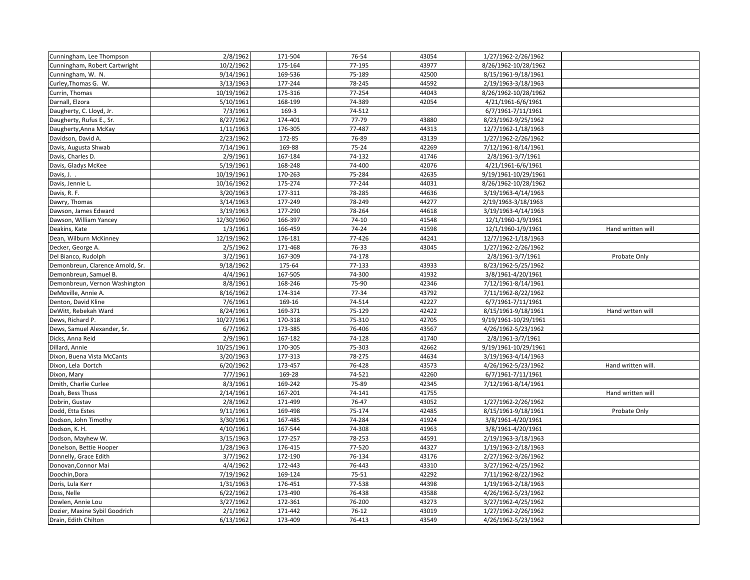| Cunningham, Lee Thompson         | 2/8/1962   | 171-504 | 76-54   | 43054 | 1/27/1962-2/26/1962  |                    |
|----------------------------------|------------|---------|---------|-------|----------------------|--------------------|
| Cunningham, Robert Cartwright    | 10/2/1962  | 175-164 | 77-195  | 43977 | 8/26/1962-10/28/1962 |                    |
| Cunningham, W. N.                | 9/14/1961  | 169-536 | 75-189  | 42500 | 8/15/1961-9/18/1961  |                    |
| Curley, Thomas G. W.             | 3/13/1963  | 177-244 | 78-245  | 44592 | 2/19/1963-3/18/1963  |                    |
| Currin, Thomas                   | 10/19/1962 | 175-316 | 77-254  | 44043 | 8/26/1962-10/28/1962 |                    |
| Darnall, Elzora                  | 5/10/1961  | 168-199 | 74-389  | 42054 | 4/21/1961-6/6/1961   |                    |
| Daugherty, C. Lloyd, Jr.         | 7/3/1961   | 169-3   | 74-512  |       | 6/7/1961-7/11/1961   |                    |
| Daugherty, Rufus E., Sr.         | 8/27/1962  | 174-401 | 77-79   | 43880 | 8/23/1962-9/25/1962  |                    |
| Daugherty, Anna McKay            | 1/11/1963  | 176-305 | 77-487  | 44313 | 12/7/1962-1/18/1963  |                    |
| Davidson, David A.               | 2/23/1962  | 172-85  | 76-89   | 43139 | 1/27/1962-2/26/1962  |                    |
| Davis, Augusta Shwab             | 7/14/1961  | 169-88  | 75-24   | 42269 | 7/12/1961-8/14/1961  |                    |
| Davis, Charles D.                | 2/9/1961   | 167-184 | 74-132  | 41746 | 2/8/1961-3/7/1961    |                    |
| Davis, Gladys McKee              | 5/19/1961  | 168-248 | 74-400  | 42076 | 4/21/1961-6/6/1961   |                    |
| Davis, J. .                      | 10/19/1961 | 170-263 | 75-284  | 42635 | 9/19/1961-10/29/1961 |                    |
| Davis, Jennie L.                 | 10/16/1962 | 175-274 | 77-244  | 44031 | 8/26/1962-10/28/1962 |                    |
| Davis, R. F.                     | 3/20/1963  | 177-311 | 78-285  | 44636 | 3/19/1963-4/14/1963  |                    |
| Dawry, Thomas                    | 3/14/1963  | 177-249 | 78-249  | 44277 | 2/19/1963-3/18/1963  |                    |
| Dawson, James Edward             | 3/19/1963  | 177-290 | 78-264  | 44618 | 3/19/1963-4/14/1963  |                    |
| Dawson, William Yancey           | 12/30/1960 | 166-397 | $74-10$ | 41548 | 12/1/1960-1/9/1961   |                    |
| Deakins, Kate                    | 1/3/1961   | 166-459 | 74-24   | 41598 | 12/1/1960-1/9/1961   | Hand written will  |
| Dean, Wilburn McKinney           | 12/19/1962 | 176-181 | 77-426  | 44241 | 12/7/1962-1/18/1963  |                    |
| Decker, George A.                | 2/5/1962   | 171-468 | 76-33   | 43045 | 1/27/1962-2/26/1962  |                    |
| Del Bianco, Rudolph              | 3/2/1961   | 167-309 | 74-178  |       | 2/8/1961-3/7/1961    | Probate Only       |
| Demonbreun, Clarence Arnold, Sr. | 9/18/1962  | 175-64  | 77-133  | 43933 | 8/23/1962-5/25/1962  |                    |
| Demonbreun, Samuel B.            | 4/4/1961   | 167-505 | 74-300  | 41932 | 3/8/1961-4/20/1961   |                    |
| Demonbreun, Vernon Washington    | 8/8/1961   | 168-246 | 75-90   | 42346 | 7/12/1961-8/14/1961  |                    |
| DeMoville, Annie A.              | 8/16/1962  | 174-314 | 77-34   | 43792 | 7/11/1962-8/22/1962  |                    |
| Denton, David Kline              | 7/6/1961   | 169-16  | 74-514  | 42227 | 6/7/1961-7/11/1961   |                    |
| DeWitt, Rebekah Ward             | 8/24/1961  | 169-371 | 75-129  | 42422 | 8/15/1961-9/18/1961  | Hand wrtten will   |
| Dews, Richard P.                 | 10/27/1961 | 170-318 | 75-310  | 42705 | 9/19/1961-10/29/1961 |                    |
| Dews, Samuel Alexander, Sr.      | 6/7/1962   | 173-385 | 76-406  | 43567 | 4/26/1962-5/23/1962  |                    |
| Dicks, Anna Reid                 | 2/9/1961   | 167-182 | 74-128  | 41740 | 2/8/1961-3/7/1961    |                    |
| Dillard, Annie                   | 10/25/1961 | 170-305 | 75-303  | 42662 | 9/19/1961-10/29/1961 |                    |
| Dixon, Buena Vista McCants       | 3/20/1963  | 177-313 | 78-275  | 44634 | 3/19/1963-4/14/1963  |                    |
| Dixon, Lela Dortch               | 6/20/1962  | 173-457 | 76-428  | 43573 | 4/26/1962-5/23/1962  | Hand written will. |
| Dixon, Mary                      | 7/7/1961   | 169-28  | 74-521  | 42260 | 6/7/1961-7/11/1961   |                    |
| Dmith, Charlie Curlee            | 8/3/1961   | 169-242 | 75-89   | 42345 | 7/12/1961-8/14/1961  |                    |
| Doah, Bess Thuss                 | 2/14/1961  | 167-201 | 74-141  | 41755 |                      | Hand written will  |
| Dobrin, Gustav                   | 2/8/1962   | 171-499 | 76-47   | 43052 | 1/27/1962-2/26/1962  |                    |
| Dodd, Etta Estes                 | 9/11/1961  | 169-498 | 75-174  | 42485 | 8/15/1961-9/18/1961  | Probate Only       |
| Dodson, John Timothy             | 3/30/1961  | 167-485 | 74-284  | 41924 | 3/8/1961-4/20/1961   |                    |
| Dodson, K. H.                    | 4/10/1961  | 167-544 | 74-308  | 41963 | 3/8/1961-4/20/1961   |                    |
| Dodson, Mayhew W.                | 3/15/1963  | 177-257 | 78-253  | 44591 | 2/19/1963-3/18/1963  |                    |
| Donelson, Bettie Hooper          | 1/28/1963  | 176-415 | 77-520  | 44327 | 1/19/1963-2/18/1963  |                    |
| Donnelly, Grace Edith            | 3/7/1962   | 172-190 | 76-134  | 43176 | 2/27/1962-3/26/1962  |                    |
| Donovan, Connor Mai              | 4/4/1962   | 172-443 | 76-443  | 43310 | 3/27/1962-4/25/1962  |                    |
| Doochin, Dora                    | 7/19/1962  | 169-124 | 75-51   | 42292 | 7/11/1962-8/22/1962  |                    |
| Doris, Lula Kerr                 | 1/31/1963  | 176-451 | 77-538  | 44398 | 1/19/1963-2/18/1963  |                    |
| Doss, Nelle                      | 6/22/1962  | 173-490 | 76-438  | 43588 | 4/26/1962-5/23/1962  |                    |
| Dowlen, Annie Lou                | 3/27/1962  | 172-361 | 76-200  | 43273 | 3/27/1962-4/25/1962  |                    |
| Dozier, Maxine Sybil Goodrich    | 2/1/1962   | 171-442 | $76-12$ | 43019 | 1/27/1962-2/26/1962  |                    |
| Drain, Edith Chilton             | 6/13/1962  | 173-409 | 76-413  | 43549 | 4/26/1962-5/23/1962  |                    |
|                                  |            |         |         |       |                      |                    |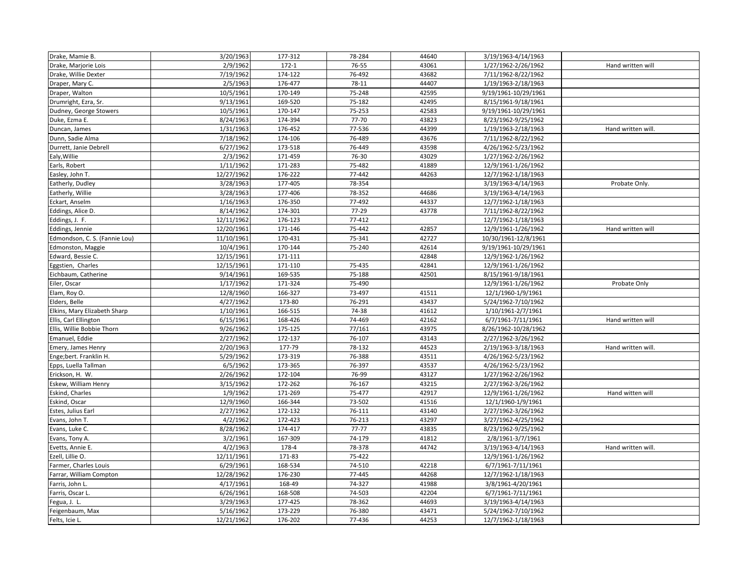| Drake, Mamie B.               | 3/20/1963  | 177-312   | 78-284    | 44640 | 3/19/1963-4/14/1963  |                    |
|-------------------------------|------------|-----------|-----------|-------|----------------------|--------------------|
| Drake, Marjorie Lois          | 2/9/1962   | $172 - 1$ | 76-55     | 43061 | 1/27/1962-2/26/1962  | Hand written will  |
| Drake, Willie Dexter          | 7/19/1962  | 174-122   | 76-492    | 43682 | 7/11/1962-8/22/1962  |                    |
| Draper, Mary C.               | 2/5/1963   | 176-477   | 78-11     | 44407 | 1/19/1963-2/18/1963  |                    |
| Draper, Walton                | 10/5/1961  | 170-149   | 75-248    | 42595 | 9/19/1961-10/29/1961 |                    |
| Drumright, Ezra, Sr.          | 9/13/1961  | 169-520   | 75-182    | 42495 | 8/15/1961-9/18/1961  |                    |
| Dudney, George Stowers        | 10/5/1961  | 170-147   | 75-253    | 42583 | 9/19/1961-10/29/1961 |                    |
| Duke, Ezma E.                 | 8/24/1963  | 174-394   | $77 - 70$ | 43823 | 8/23/1962-9/25/1962  |                    |
| Duncan, James                 | 1/31/1963  | 176-452   | 77-536    | 44399 | 1/19/1963-2/18/1963  | Hand written will. |
| Dunn, Sadie Alma              | 7/18/1962  | 174-106   | 76-489    | 43676 | 7/11/1962-8/22/1962  |                    |
| Durrett, Janie Debrell        | 6/27/1962  | 173-518   | 76-449    | 43598 | 4/26/1962-5/23/1962  |                    |
| Ealy, Willie                  | 2/3/1962   | 171-459   | 76-30     | 43029 | 1/27/1962-2/26/1962  |                    |
| Earls, Robert                 | 1/11/1962  | 171-283   | 75-482    | 41889 | 12/9/1961-1/26/1962  |                    |
| Easley, John T.               | 12/27/1962 | 176-222   | 77-442    | 44263 | 12/7/1962-1/18/1963  |                    |
| Eatherly, Dudley              | 3/28/1963  | 177-405   | 78-354    |       | 3/19/1963-4/14/1963  | Probate Only.      |
| Eatherly, Willie              | 3/28/1963  | 177-406   | 78-352    | 44686 | 3/19/1963-4/14/1963  |                    |
| Eckart, Anselm                | 1/16/1963  | 176-350   | 77-492    | 44337 | 12/7/1962-1/18/1963  |                    |
| Eddings, Alice D.             | 8/14/1962  | 174-301   | 77-29     | 43778 | 7/11/1962-8/22/1962  |                    |
| Eddings, J. F.                | 12/11/1962 | 176-123   | 77-412    |       | 12/7/1962-1/18/1963  |                    |
| Eddings, Jennie               | 12/20/1961 | 171-146   | 75-442    | 42857 | 12/9/1961-1/26/1962  | Hand written will  |
| Edmondson, C. S. (Fannie Lou) | 11/10/1961 | 170-431   | 75-341    | 42727 | 10/30/1961-12/8/1961 |                    |
| Edmonston, Maggie             | 10/4/1961  | 170-144   | 75-240    | 42614 | 9/19/1961-10/29/1961 |                    |
| Edward, Bessie C.             | 12/15/1961 | 171-111   |           | 42848 | 12/9/1962-1/26/1962  |                    |
| Eggstien, Charles             | 12/15/1961 | 171-110   | 75-435    | 42841 | 12/9/1961-1/26/1962  |                    |
| Eichbaum, Catherine           | 9/14/1961  | 169-535   | 75-188    | 42501 | 8/15/1961-9/18/1961  |                    |
| Eiler, Oscar                  | 1/17/1962  | 171-324   | 75-490    |       | 12/9/1961-1/26/1962  | Probate Only       |
| Elam, Roy O.                  | 12/8/1960  | 166-327   | 73-497    | 41511 | 12/1/1960-1/9/1961   |                    |
| Elders, Belle                 | 4/27/1962  | 173-80    | 76-291    | 43437 | 5/24/1962-7/10/1962  |                    |
| Elkins, Mary Elizabeth Sharp  | 1/10/1961  | 166-515   | 74-38     | 41612 | 1/10/1961-2/7/1961   |                    |
| Ellis, Carl Ellington         | 6/15/1961  | 168-426   | 74-469    | 42162 | 6/7/1961-7/11/1961   | Hand written will  |
| Ellis, Willie Bobbie Thorn    | 9/26/1962  | 175-125   | 77/161    | 43975 | 8/26/1962-10/28/1962 |                    |
| Emanuel, Eddie                | 2/27/1962  | 172-137   | 76-107    | 43143 | 2/27/1962-3/26/1962  |                    |
| Emery, James Henry            | 2/20/1963  | 177-79    | 78-132    | 44523 | 2/19/1963-3/18/1963  | Hand written will. |
| Enge;bert. Franklin H.        | 5/29/1962  | 173-319   | 76-388    | 43511 | 4/26/1962-5/23/1962  |                    |
| Epps, Luella Tallman          | 6/5/1962   | 173-365   | 76-397    | 43537 | 4/26/1962-5/23/1962  |                    |
| Erickson, H. W.               | 2/26/1962  | 172-104   | 76-99     | 43127 | 1/27/1962-2/26/1962  |                    |
| Eskew, William Henry          | 3/15/1962  | 172-262   | 76-167    | 43215 | 2/27/1962-3/26/1962  |                    |
| Eskind, Charles               | 1/9/1962   | 171-269   | 75-477    | 42917 | 12/9/1961-1/26/1962  | Hand witten will   |
| Eskind, Oscar                 | 12/9/1960  | 166-344   | 73-502    | 41516 | 12/1/1960-1/9/1961   |                    |
| Estes, Julius Earl            | 2/27/1962  | 172-132   | 76-111    | 43140 | 2/27/1962-3/26/1962  |                    |
| Evans, John T.                | 4/2/1962   | 172-423   | 76-213    | 43297 | 3/27/1962-4/25/1962  |                    |
| Evans, Luke C.                | 8/28/1962  | 174-417   | $77 - 77$ | 43835 | 8/23/1962-9/25/1962  |                    |
| Evans, Tony A.                | 3/2/1961   | 167-309   | 74-179    | 41812 | 2/8/1961-3/7/1961    |                    |
| Evetts, Annie E.              | 4/2/1963   | 178-4     | 78-378    | 44742 | 3/19/1963-4/14/1963  | Hand written will. |
| Ezell, Lillie O.              | 12/11/1961 | 171-83    | 75-422    |       | 12/9/1961-1/26/1962  |                    |
| Farmer, Charles Louis         | 6/29/1961  | 168-534   | 74-510    | 42218 | 6/7/1961-7/11/1961   |                    |
| Farrar, William Compton       | 12/28/1962 | 176-230   | 77-445    | 44268 | 12/7/1962-1/18/1963  |                    |
| Farris, John L.               | 4/17/1961  | 168-49    | 74-327    | 41988 | 3/8/1961-4/20/1961   |                    |
| Farris, Oscar L.              | 6/26/1961  | 168-508   | 74-503    | 42204 | 6/7/1961-7/11/1961   |                    |
| Fegua, J. L.                  | 3/29/1963  | 177-425   | 78-362    | 44693 | 3/19/1963-4/14/1963  |                    |
| Feigenbaum, Max               | 5/16/1962  | 173-229   | 76-380    | 43471 | 5/24/1962-7/10/1962  |                    |
| Felts, Icie L.                | 12/21/1962 | 176-202   | 77-436    | 44253 | 12/7/1962-1/18/1963  |                    |
|                               |            |           |           |       |                      |                    |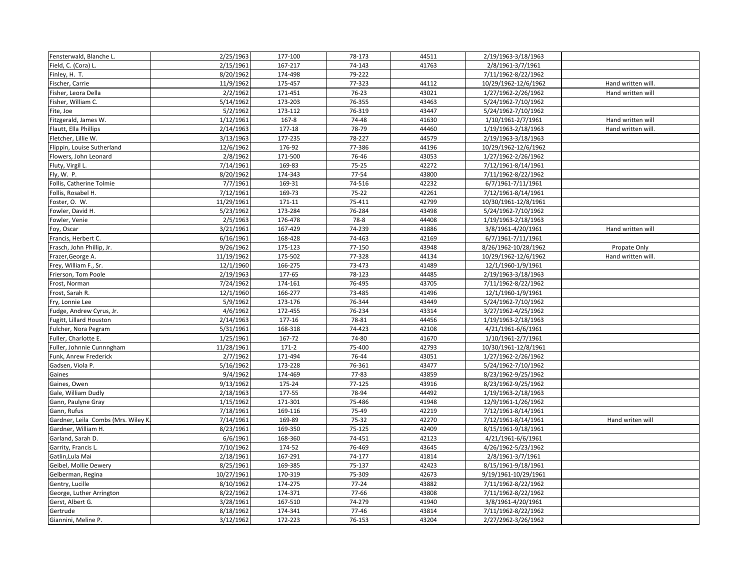| Fensterwald, Blanche L.            | 2/25/1963  | 177-100 | 78-173    | 44511 | 2/19/1963-3/18/1963  |                    |
|------------------------------------|------------|---------|-----------|-------|----------------------|--------------------|
| Field, C. (Cora) L.                | 2/15/1961  | 167-217 | 74-143    | 41763 | 2/8/1961-3/7/1961    |                    |
| Finley, H. T.                      | 8/20/1962  | 174-498 | 79-222    |       | 7/11/1962-8/22/1962  |                    |
| Fischer, Carrie                    | 11/9/1962  | 175-457 | 77-323    | 44112 | 10/29/1962-12/6/1962 | Hand written will. |
| Fisher, Leora Della                | 2/2/1962   | 171-451 | 76-23     | 43021 | 1/27/1962-2/26/1962  | Hand written will  |
| Fisher, William C.                 | 5/14/1962  | 173-203 | 76-355    | 43463 | 5/24/1962-7/10/1962  |                    |
| Fite, Joe                          | 5/2/1962   | 173-112 | 76-319    | 43447 | 5/24/1962-7/10/1962  |                    |
| Fitzgerald, James W.               | 1/12/1961  | 167-8   | 74-48     | 41630 | 1/10/1961-2/7/1961   | Hand written will  |
| Flautt, Ella Phillips              | 2/14/1963  | 177-18  | 78-79     | 44460 | 1/19/1963-2/18/1963  | Hand written will. |
| Fletcher, Lillie W.                | 3/13/1963  | 177-235 | 78-227    | 44579 | 2/19/1963-3/18/1963  |                    |
| Flippin, Louise Sutherland         | 12/6/1962  | 176-92  | 77-386    | 44196 | 10/29/1962-12/6/1962 |                    |
| Flowers, John Leonard              | 2/8/1962   | 171-500 | 76-46     | 43053 | 1/27/1962-2/26/1962  |                    |
| Fluty, Virgil L.                   | 7/14/1961  | 169-83  | 75-25     | 42272 | 7/12/1961-8/14/1961  |                    |
| Fly, W. P.                         | 8/20/1962  | 174-343 | 77-54     | 43800 | 7/11/1962-8/22/1962  |                    |
| Follis, Catherine Tolmie           | 7/7/1961   | 169-31  | 74-516    | 42232 | 6/7/1961-7/11/1961   |                    |
| Follis, Rosabel H.                 | 7/12/1961  | 169-73  | 75-22     | 42261 | 7/12/1961-8/14/1961  |                    |
| Foster, O. W.                      | 11/29/1961 | 171-11  | 75-411    | 42799 | 10/30/1961-12/8/1961 |                    |
| Fowler, David H.                   | 5/23/1962  | 173-284 | 76-284    | 43498 | 5/24/1962-7/10/1962  |                    |
| Fowler, Venie                      | 2/5/1963   | 176-478 | 78-8      | 44408 | 1/19/1963-2/18/1963  |                    |
| Foy, Oscar                         | 3/21/1961  | 167-429 | 74-239    | 41886 | 3/8/1961-4/20/1961   | Hand written will  |
| Francis, Herbert C.                | 6/16/1961  | 168-428 | 74-463    | 42169 | 6/7/1961-7/11/1961   |                    |
| Frasch, John Phillip, Jr.          | 9/26/1962  | 175-123 | 77-150    | 43948 | 8/26/1962-10/28/1962 | Propate Only       |
| Frazer, George A.                  | 11/19/1962 | 175-502 | 77-328    | 44134 | 10/29/1962-12/6/1962 | Hand written will. |
| Frey, William F., Sr.              | 12/1/1960  | 166-275 | 73-473    | 41489 | 12/1/1960-1/9/1961   |                    |
| Frierson, Tom Poole                | 2/19/1963  | 177-65  | 78-123    | 44485 | 2/19/1963-3/18/1963  |                    |
| Frost, Norman                      | 7/24/1962  | 174-161 | 76-495    | 43705 | 7/11/1962-8/22/1962  |                    |
| Frost, Sarah R.                    | 12/1/1960  | 166-277 | 73-485    | 41496 | 12/1/1960-1/9/1961   |                    |
| Fry, Lonnie Lee                    | 5/9/1962   | 173-176 | 76-344    | 43449 | 5/24/1962-7/10/1962  |                    |
| Fudge, Andrew Cyrus, Jr.           | 4/6/1962   | 172-455 | 76-234    | 43314 | 3/27/1962-4/25/1962  |                    |
| Fugitt, Lillard Houston            | 2/14/1963  | 177-16  | 78-81     | 44456 | 1/19/1963-2/18/1963  |                    |
| Fulcher, Nora Pegram               | 5/31/1961  | 168-318 | 74-423    | 42108 | 4/21/1961-6/6/1961   |                    |
| Fuller, Charlotte E.               | 1/25/1961  | 167-72  | 74-80     | 41670 | 1/10/1961-2/7/1961   |                    |
| Fuller, Johnnie Cunnngham          | 11/28/1961 | $171-2$ | 75-400    | 42793 | 10/30/1961-12/8/1961 |                    |
| Funk, Anrew Frederick              | 2/7/1962   | 171-494 | 76-44     | 43051 | 1/27/1962-2/26/1962  |                    |
| Gadsen, Viola P.                   | 5/16/1962  | 173-228 | 76-361    | 43477 | 5/24/1962-7/10/1962  |                    |
| Gaines                             | 9/4/1962   | 174-469 | 77-83     | 43859 | 8/23/1962-9/25/1962  |                    |
| Gaines, Owen                       | 9/13/1962  | 175-24  | 77-125    | 43916 | 8/23/1962-9/25/1962  |                    |
| Gale, William Dudly                | 2/18/1963  | 177-55  | 78-94     | 44492 | 1/19/1963-2/18/1963  |                    |
| Gann, Paulyne Gray                 | 1/15/1962  | 171-301 | 75-486    | 41948 | 12/9/1961-1/26/1962  |                    |
| Gann, Rufus                        | 7/18/1961  | 169-116 | 75-49     | 42219 | 7/12/1961-8/14/1961  |                    |
| Gardner, Leila Combs (Mrs. Wiley K | 7/14/1961  | 169-89  | 75-32     | 42270 | 7/12/1961-8/14/1961  | Hand writen will   |
| Gardner, William H.                | 8/23/1961  | 169-350 | 75-125    | 42409 | 8/15/1961-9/18/1961  |                    |
| Garland, Sarah D.                  | 6/6/1961   | 168-360 | 74-451    | 42123 | 4/21/1961-6/6/1961   |                    |
| Garrity, Francis L.                | 7/10/1962  | 174-52  | 76-469    | 43645 | 4/26/1962-5/23/1962  |                    |
| Gatlin, Lula Mai                   | 2/18/1961  | 167-291 | 74-177    | 41814 | 2/8/1961-3/7/1961    |                    |
| Geibel, Mollie Dewery              | 8/25/1961  | 169-385 | 75-137    | 42423 | 8/15/1961-9/18/1961  |                    |
| Gelberman, Regina                  | 10/27/1961 | 170-319 | 75-309    | 42673 | 9/19/1961-10/29/1961 |                    |
| Gentry, Lucille                    | 8/10/1962  | 174-275 | $77 - 24$ | 43882 | 7/11/1962-8/22/1962  |                    |
| George, Luther Arrington           | 8/22/1962  | 174-371 | 77-66     | 43808 | 7/11/1962-8/22/1962  |                    |
| Gerst, Albert G.                   | 3/28/1961  | 167-510 | 74-279    | 41940 | 3/8/1961-4/20/1961   |                    |
| Gertrude                           | 8/18/1962  | 174-341 | $77 - 46$ | 43814 | 7/11/1962-8/22/1962  |                    |
| Giannini, Meline P.                | 3/12/1962  | 172-223 | 76-153    | 43204 | 2/27/2962-3/26/1962  |                    |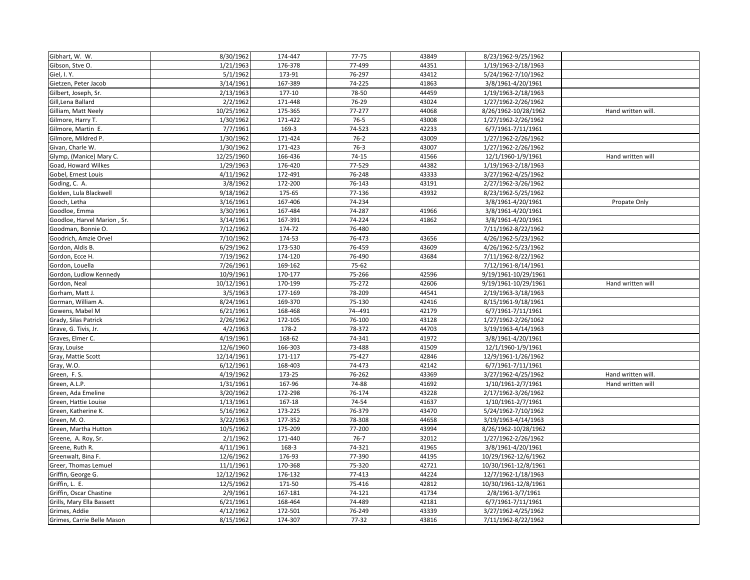| Gibhart, W. W.              | 8/30/1962  | 174-447 | $77 - 75$ | 43849 | 8/23/1962-9/25/1962  |                    |
|-----------------------------|------------|---------|-----------|-------|----------------------|--------------------|
| Gibson, Stve O.             | 1/21/1963  | 176-378 | 77-499    | 44351 | 1/19/1963-2/18/1963  |                    |
| Giel, I.Y.                  | 5/1/1962   | 173-91  | 76-297    | 43412 | 5/24/1962-7/10/1962  |                    |
| Gietzen, Peter Jacob        | 3/14/1961  | 167-389 | 74-225    | 41863 | 3/8/1961-4/20/1961   |                    |
| Gilbert, Joseph, Sr.        | 2/13/1963  | 177-10  | 78-50     | 44459 | 1/19/1963-2/18/1963  |                    |
| Gill, Lena Ballard          | 2/2/1962   | 171-448 | 76-29     | 43024 | 1/27/1962-2/26/1962  |                    |
| Gilliam, Matt Neely         | 10/25/1962 | 175-365 | 77-277    | 44068 | 8/26/1962-10/28/1962 | Hand written will. |
| Gilmore, Harry T.           | 1/30/1962  | 171-422 | $76-5$    | 43008 | 1/27/1962-2/26/1962  |                    |
| Gilmore, Martin E.          | 7/7/1961   | 169-3   | 74-523    | 42233 | 6/7/1961-7/11/1961   |                    |
| Gilmore, Mildred P.         | 1/30/1962  | 171-424 | $76-2$    | 43009 | 1/27/1962-2/26/1962  |                    |
| Givan, Charle W.            | 1/30/1962  | 171-423 | $76-3$    | 43007 | 1/27/1962-2/26/1962  |                    |
| Glymp, (Manice) Mary C.     | 12/25/1960 | 166-436 | $74-15$   | 41566 | 12/1/1960-1/9/1961   | Hand written will  |
| Goad, Howard Wilkes         | 1/29/1963  | 176-420 | 77-529    | 44382 | 1/19/1963-2/18/1963  |                    |
| Gobel, Ernest Louis         | 4/11/1962  | 172-491 | 76-248    | 43333 | 3/27/1962-4/25/1962  |                    |
| Goding, C. A.               | 3/8/1962   | 172-200 | 76-143    | 43191 | 2/27/1962-3/26/1962  |                    |
| Golden, Lula Blackwell      | 9/18/1962  | 175-65  | 77-136    | 43932 | 8/23/1962-5/25/1962  |                    |
| Gooch, Letha                | 3/16/1961  | 167-406 | 74-234    |       | 3/8/1961-4/20/1961   | Propate Only       |
| Goodloe, Emma               | 3/30/1961  | 167-484 | 74-287    | 41966 | 3/8/1961-4/20/1961   |                    |
| Goodloe, Harvel Marion, Sr. | 3/14/1961  | 167-391 | 74-224    | 41862 | 3/8/1961-4/20/1961   |                    |
| Goodman, Bonnie O.          | 7/12/1962  | 174-72  | 76-480    |       | 7/11/1962-8/22/1962  |                    |
| Goodrich, Amzie Orvel       | 7/10/1962  | 174-53  | 76-473    | 43656 | 4/26/1962-5/23/1962  |                    |
| Gordon, Aldis B.            | 6/29/1962  | 173-530 | 76-459    | 43609 | 4/26/1962-5/23/1962  |                    |
| Gordon, Ecce H.             | 7/19/1962  | 174-120 | 76-490    | 43684 | 7/11/1962-8/22/1962  |                    |
| Gordon, Louella             | 7/26/1961  | 169-162 | 75-62     |       | 7/12/1961-8/14/1961  |                    |
| Gordon, Ludlow Kennedy      | 10/9/1961  | 170-177 | 75-266    | 42596 | 9/19/1961-10/29/1961 |                    |
| Gordon, Neal                | 10/12/1961 | 170-199 | 75-272    | 42606 | 9/19/1961-10/29/1961 | Hand written will  |
| Gorham, Matt J.             | 3/5/1963   | 177-169 | 78-209    | 44541 | 2/19/1963-3/18/1963  |                    |
| Gorman, William A.          | 8/24/1961  | 169-370 | 75-130    | 42416 | 8/15/1961-9/18/1961  |                    |
| Gowens, Mabel M             | 6/21/1961  | 168-468 | 74 -- 491 | 42179 | 6/7/1961-7/11/1961   |                    |
| Grady, Silas Patrick        | 2/26/1962  | 172-105 | 76-100    | 43128 | 1/27/1962-2/26/1062  |                    |
| Grave, G. Tivis, Jr.        | 4/2/1963   | 178-2   | 78-372    | 44703 | 3/19/1963-4/14/1963  |                    |
| Graves, Elmer C.            | 4/19/1961  | 168-62  | 74-341    | 41972 | 3/8/1961-4/20/1961   |                    |
| Gray, Louise                | 12/6/1960  | 166-303 | 73-488    | 41509 | 12/1/1960-1/9/1961   |                    |
| Gray, Mattie Scott          | 12/14/1961 | 171-117 | 75-427    | 42846 | 12/9/1961-1/26/1962  |                    |
| Gray, W.O.                  | 6/12/1961  | 168-403 | 74-473    | 42142 | 6/7/1961-7/11/1961   |                    |
| Green, F.S.                 | 4/19/1962  | 173-25  | 76-262    | 43369 | 3/27/1962-4/25/1962  | Hand written will. |
| Green, A.L.P.               | 1/31/1961  | 167-96  | 74-88     | 41692 | 1/10/1961-2/7/1961   | Hand written will  |
| Green, Ada Emeline          | 3/20/1962  | 172-298 | 76-174    | 43228 | 2/17/1962-3/26/1962  |                    |
| Green, Hattie Louise        | 1/13/1961  | 167-18  | 74-54     | 41637 | 1/10/1961-2/7/1961   |                    |
| Green, Katherine K.         | 5/16/1962  | 173-225 | 76-379    | 43470 | 5/24/1962-7/10/1962  |                    |
| Green, M.O.                 | 3/22/1963  | 177-352 | 78-308    | 44658 | 3/19/1963-4/14/1963  |                    |
| Green, Martha Hutton        | 10/5/1962  | 175-209 | 77-200    | 43994 | 8/26/1962-10/28/1962 |                    |
| Greene, A. Roy, Sr.         | 2/1/1962   | 171-440 | $76 - 7$  | 32012 | 1/27/1962-2/26/1962  |                    |
| Greene, Ruth R.             | 4/11/1961  | 168-3   | 74-321    | 41965 | 3/8/1961-4/20/1961   |                    |
| Greenwalt, Bina F.          | 12/6/1962  | 176-93  | 77-390    | 44195 | 10/29/1962-12/6/1962 |                    |
| Greer, Thomas Lemuel        | 11/1/1961  | 170-368 | 75-320    | 42721 | 10/30/1961-12/8/1961 |                    |
| Griffin, George G.          | 12/12/1962 | 176-132 | 77-413    | 44224 | 12/7/1962-1/18/1963  |                    |
| Griffin, L. E.              | 12/5/1962  | 171-50  | 75-416    | 42812 | 10/30/1961-12/8/1961 |                    |
| Griffin, Oscar Chastine     | 2/9/1961   | 167-181 | 74-121    | 41734 | 2/8/1961-3/7/1961    |                    |
| Grills, Mary Ella Bassett   | 6/21/1961  | 168-464 | 74-489    | 42181 | 6/7/1961-7/11/1961   |                    |
| Grimes, Addie               | 4/12/1962  | 172-501 | 76-249    | 43339 | 3/27/1962-4/25/1962  |                    |
| Grimes, Carrie Belle Mason  | 8/15/1962  | 174-307 | 77-32     | 43816 | 7/11/1962-8/22/1962  |                    |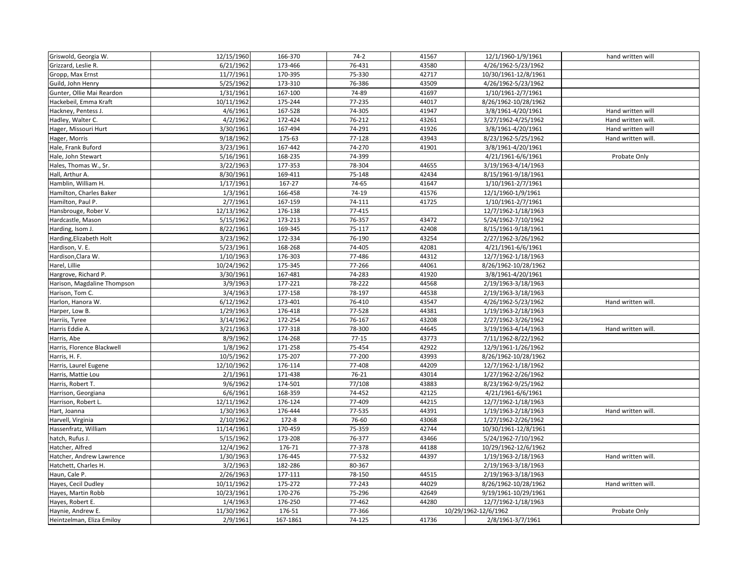| Griswold, Georgia W.        | 12/15/1960 | 166-370  | $74-2$    | 41567 | 12/1/1960-1/9/1961   | hand written will  |
|-----------------------------|------------|----------|-----------|-------|----------------------|--------------------|
| Grizzard, Leslie R.         | 6/21/1962  | 173-466  | 76-431    | 43580 | 4/26/1962-5/23/1962  |                    |
| Gropp, Max Ernst            | 11/7/1961  | 170-395  | 75-330    | 42717 | 10/30/1961-12/8/1961 |                    |
| Guild, John Henry           | 5/25/1962  | 173-310  | 76-386    | 43509 | 4/26/1962-5/23/1962  |                    |
| Gunter, Ollie Mai Reardon   | 1/31/1961  | 167-100  | 74-89     | 41697 | 1/10/1961-2/7/1961   |                    |
| Hackebeil, Emma Kraft       | 10/11/1962 | 175-244  | 77-235    | 44017 | 8/26/1962-10/28/1962 |                    |
| Hackney, Pentess J.         | 4/6/1961   | 167-528  | 74-305    | 41947 | 3/8/1961-4/20/1961   | Hand written will  |
| Hadley, Walter C.           | 4/2/1962   | 172-424  | 76-212    | 43261 | 3/27/1962-4/25/1962  | Hand written will. |
| Hager, Missouri Hurt        | 3/30/1961  | 167-494  | 74-291    | 41926 | 3/8/1961-4/20/1961   | Hand written will  |
| Hager, Morris               | 9/18/1962  | 175-63   | 77-128    | 43943 | 8/23/1962-5/25/1962  | Hand written will. |
| Hale, Frank Buford          | 3/23/1961  | 167-442  | 74-270    | 41901 | 3/8/1961-4/20/1961   |                    |
| Hale, John Stewart          | 5/16/1961  | 168-235  | 74-399    |       | 4/21/1961-6/6/1961   | Probate Only       |
| Hales, Thomas W., Sr.       | 3/22/1963  | 177-353  | 78-304    | 44655 | 3/19/1963-4/14/1963  |                    |
| Hall, Arthur A.             | 8/30/1961  | 169-411  | 75-148    | 42434 | 8/15/1961-9/18/1961  |                    |
| Hamblin, William H.         | 1/17/1961  | 167-27   | 74-65     | 41647 | 1/10/1961-2/7/1961   |                    |
| Hamilton, Charles Baker     | 1/3/1961   | 166-458  | 74-19     | 41576 | 12/1/1960-1/9/1961   |                    |
| Hamilton, Paul P.           | 2/7/1961   | 167-159  | 74-111    | 41725 | 1/10/1961-2/7/1961   |                    |
| Hansbrouge, Rober V.        | 12/13/1962 | 176-138  | 77-415    |       | 12/7/1962-1/18/1963  |                    |
| Hardcastle, Mason           | 5/15/1962  | 173-213  | 76-357    | 43472 | 5/24/1962-7/10/1962  |                    |
| Harding, Isom J.            | 8/22/1961  | 169-345  | 75-117    | 42408 | 8/15/1961-9/18/1961  |                    |
| Harding, Elizabeth Holt     | 3/23/1962  | 172-334  | 76-190    | 43254 | 2/27/1962-3/26/1962  |                    |
| Hardison, V. E.             | 5/23/1961  | 168-268  | 74-405    | 42081 | 4/21/1961-6/6/1961   |                    |
| Hardison, Clara W.          | 1/10/1963  | 176-303  | 77-486    | 44312 | 12/7/1962-1/18/1963  |                    |
| Harel, Lillie               | 10/24/1962 | 175-345  | 77-266    | 44061 | 8/26/1962-10/28/1962 |                    |
| Hargrove, Richard P.        | 3/30/1961  | 167-481  | 74-283    | 41920 | 3/8/1961-4/20/1961   |                    |
| Harison, Magdaline Thompson | 3/9/1963   | 177-221  | 78-222    | 44568 | 2/19/1963-3/18/1963  |                    |
| Harison, Tom C.             | 3/4/1963   | 177-158  | 78-197    | 44538 | 2/19/1963-3/18/1963  |                    |
| Harlon, Hanora W.           | 6/12/1962  | 173-401  | 76-410    | 43547 | 4/26/1962-5/23/1962  | Hand written will. |
| Harper, Low B.              | 1/29/1963  | 176-418  | 77-528    | 44381 | 1/19/1963-2/18/1963  |                    |
| Harriis, Tyree              | 3/14/1962  | 172-254  | 76-167    | 43208 | 2/27/1962-3/26/1962  |                    |
| Harris Eddie A.             | 3/21/1963  | 177-318  | 78-300    | 44645 | 3/19/1963-4/14/1963  | Hand written will. |
| Harris, Abe                 | 8/9/1962   | 174-268  | $77 - 15$ | 43773 | 7/11/1962-8/22/1962  |                    |
| Harris, Florence Blackwell  | 1/8/1962   | 171-258  | 75-454    | 42922 | 12/9/1961-1/26/1962  |                    |
| Harris, H. F.               | 10/5/1962  | 175-207  | 77-200    | 43993 | 8/26/1962-10/28/1962 |                    |
| Harris, Laurel Eugene       | 12/10/1962 | 176-114  | 77-408    | 44209 | 12/7/1962-1/18/1962  |                    |
| Harris, Mattie Lou          | 2/1/1961   | 171-438  | 76-21     | 43014 | 1/27/1962-2/26/1962  |                    |
| Harris, Robert T.           | 9/6/1962   | 174-501  | 77/108    | 43883 | 8/23/1962-9/25/1962  |                    |
| Harrison, Georgiana         | 6/6/1961   | 168-359  | 74-452    | 42125 | 4/21/1961-6/6/1961   |                    |
| Harrison, Robert L.         | 12/11/1962 | 176-124  | 77-409    | 44215 | 12/7/1962-1/18/1963  |                    |
| Hart, Joanna                | 1/30/1963  | 176-444  | 77-535    | 44391 | 1/19/1963-2/18/1963  | Hand written will. |
| Harvell, Virginia           | 2/10/1962  | 172-8    | 76-60     | 43068 | 1/27/1962-2/26/1962  |                    |
| Hassenfratz, William        | 11/14/1961 | 170-459  | 75-359    | 42744 | 10/30/1961-12/8/1961 |                    |
| hatch, Rufus J.             | 5/15/1962  | 173-208  | 76-377    | 43466 | 5/24/1962-7/10/1962  |                    |
| Hatcher, Alfred             | 12/4/1962  | 176-71   | 77-378    | 44188 | 10/29/1962-12/6/1962 |                    |
| Hatcher, Andrew Lawrence    | 1/30/1963  | 176-445  | 77-532    | 44397 | 1/19/1963-2/18/1963  | Hand written will. |
| Hatchett, Charles H.        | 3/2/1963   | 182-286  | 80-367    |       | 2/19/1963-3/18/1963  |                    |
| Haun, Cale P.               | 2/26/1963  | 177-111  | 78-150    | 44515 | 2/19/1963-3/18/1963  |                    |
| Hayes, Cecil Dudley         | 10/11/1962 | 175-272  | 77-243    | 44029 | 8/26/1962-10/28/1962 | Hand written will. |
| Hayes, Martin Robb          | 10/23/1961 | 170-276  | 75-296    | 42649 | 9/19/1961-10/29/1961 |                    |
| Hayes, Robert E.            | 1/4/1963   | 176-250  | 77-462    | 44280 | 12/7/1962-1/18/1963  |                    |
| Haynie, Andrew E.           | 11/30/1962 | 176-51   | 77-366    |       | 10/29/1962-12/6/1962 | Probate Only       |
| Heintzelman, Eliza Emiloy   | 2/9/1961   | 167-1861 | 74-125    | 41736 | 2/8/1961-3/7/1961    |                    |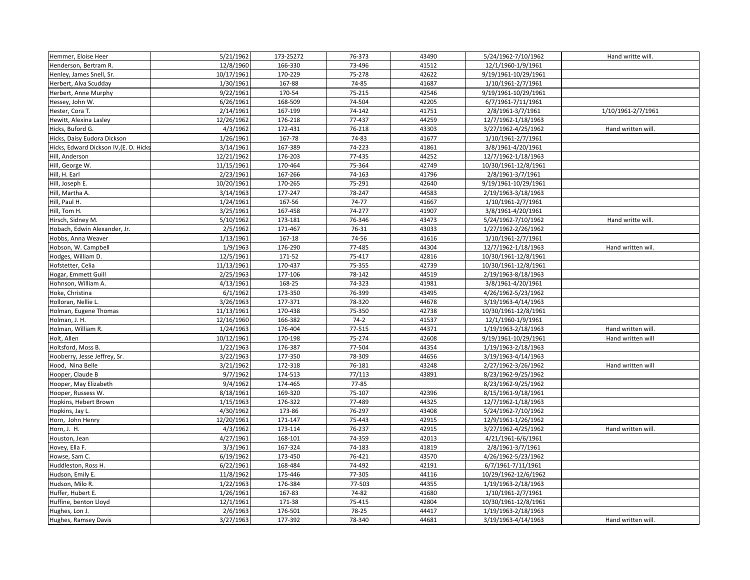| Hemmer, Eloise Heer                    | 5/21/1962  | 173-25272  | 76-373 | 43490 | 5/24/1962-7/10/1962  | Hand writte will.  |
|----------------------------------------|------------|------------|--------|-------|----------------------|--------------------|
| Henderson, Bertram R.                  | 12/8/1960  | 166-330    | 73-496 | 41512 | 12/1/1960-1/9/1961   |                    |
| Henley, James Snell, Sr.               | 10/17/1961 | 170-229    | 75-278 | 42622 | 9/19/1961-10/29/1961 |                    |
| Herbert, Alva Scudday                  | 1/30/1961  | 167-88     | 74-85  | 41687 | 1/10/1961-2/7/1961   |                    |
| Herbert, Anne Murphy                   | 9/22/1961  | 170-54     | 75-215 | 42546 | 9/19/1961-10/29/1961 |                    |
| Hessey, John W.                        | 6/26/1961  | 168-509    | 74-504 | 42205 | 6/7/1961-7/11/1961   |                    |
| Hester, Cora T.                        | 2/14/1961  | 167-199    | 74-142 | 41751 | 2/8/1961-3/7/1961    | 1/10/1961-2/7/1961 |
| Hewitt, Alexina Lasley                 | 12/26/1962 | 176-218    | 77-437 | 44259 | 12/7/1962-1/18/1963  |                    |
| Hicks, Buford G.                       | 4/3/1962   | 172-431    | 76-218 | 43303 | 3/27/1962-4/25/1962  | Hand written will. |
| Hicks, Daisy Eudora Dickson            | 1/26/1961  | 167-78     | 74-83  | 41677 | 1/10/1961-2/7/1961   |                    |
| Hicks, Edward Dickson IV, (E. D. Hicks | 3/14/1961  | 167-389    | 74-223 | 41861 | 3/8/1961-4/20/1961   |                    |
| Hill, Anderson                         | 12/21/1962 | 176-203    | 77-435 | 44252 | 12/7/1962-1/18/1963  |                    |
| Hill, George W.                        | 11/15/1961 | 170-464    | 75-364 | 42749 | 10/30/1961-12/8/1961 |                    |
| Hill, H. Earl                          | 2/23/1961  | 167-266    | 74-163 | 41796 | 2/8/1961-3/7/1961    |                    |
| Hill, Joseph E.                        | 10/20/1961 | 170-265    | 75-291 | 42640 | 9/19/1961-10/29/1961 |                    |
| Hill, Martha A.                        | 3/14/1963  | 177-247    | 78-247 | 44583 | 2/19/1963-3/18/1963  |                    |
| Hill, Paul H.                          | 1/24/1961  | 167-56     | 74-77  | 41667 | 1/10/1961-2/7/1961   |                    |
| Hill, Tom H.                           | 3/25/1961  | 167-458    | 74-277 | 41907 | 3/8/1961-4/20/1961   |                    |
| Hirsch, Sidney M.                      | 5/10/1962  | 173-181    | 76-346 | 43473 | 5/24/1962-7/10/1962  | Hand writte will.  |
| Hobach, Edwin Alexander, Jr.           | 2/5/1962   | 171-467    | 76-31  | 43033 | 1/27/1962-2/26/1962  |                    |
| Hobbs, Anna Weaver                     | 1/13/1961  | $167 - 18$ | 74-56  | 41616 | 1/10/1961-2/7/1961   |                    |
| Hobson, W. Campbell                    | 1/9/1963   | 176-290    | 77-485 | 44304 | 12/7/1962-1/18/1963  | Hand written wil.  |
| Hodges, William D.                     | 12/5/1961  | 171-52     | 75-417 | 42816 | 10/30/1961-12/8/1961 |                    |
| Hofstetter, Celia                      | 11/13/1961 | 170-437    | 75-355 | 42739 | 10/30/1961-12/8/1961 |                    |
| Hogar, Emmett Guill                    | 2/25/1963  | 177-106    | 78-142 | 44519 | 2/19/1963-8/18/1963  |                    |
| Hohnson, William A.                    | 4/13/1961  | 168-25     | 74-323 | 41981 | 3/8/1961-4/20/1961   |                    |
| Hoke, Christina                        | 6/1/1962   | 173-350    | 76-399 | 43495 | 4/26/1962-5/23/1962  |                    |
| Holloran, Nellie L.                    | 3/26/1963  | 177-371    | 78-320 | 44678 | 3/19/1963-4/14/1963  |                    |
| Holman, Eugene Thomas                  | 11/13/1961 | 170-438    | 75-350 | 42738 | 10/30/1961-12/8/1961 |                    |
| Holman, J. H.                          | 12/16/1960 | 166-382    | $74-2$ | 41537 | 12/1/1960-1/9/1961   |                    |
| Holman, William R.                     | 1/24/1963  | 176-404    | 77-515 | 44371 | 1/19/1963-2/18/1963  | Hand written will. |
| Holt, Allen                            | 10/12/1961 | 170-198    | 75-274 | 42608 | 9/19/1961-10/29/1961 | Hand written will  |
| Holtsford, Moss B.                     | 1/22/1963  | 176-387    | 77-504 | 44354 | 1/19/1963-2/18/1963  |                    |
| Hooberry, Jesse Jeffrey, Sr.           | 3/22/1963  | 177-350    | 78-309 | 44656 | 3/19/1963-4/14/1963  |                    |
| Hood, Nina Belle                       | 3/21/1962  | 172-318    | 76-181 | 43248 | 2/27/1962-3/26/1962  | Hand written will  |
| Hooper, Claude B                       | 9/7/1962   | 174-513    | 77/113 | 43891 | 8/23/1962-9/25/1962  |                    |
| Hooper, May Elizabeth                  | 9/4/1962   | 174-465    | 77-85  |       | 8/23/1962-9/25/1962  |                    |
| Hooper, Russess W.                     | 8/18/1961  | 169-320    | 75-107 | 42396 | 8/15/1961-9/18/1961  |                    |
| Hopkins, Hebert Brown                  | 1/15/1963  | 176-322    | 77-489 | 44325 | 12/7/1962-1/18/1963  |                    |
| Hopkins, Jay L.                        | 4/30/1962  | 173-86     | 76-297 | 43408 | 5/24/1962-7/10/1962  |                    |
| Horn, John Henry                       | 12/20/1961 | 171-147    | 75-443 | 42915 | 12/9/1961-1/26/1962  |                    |
| Horn, J. H.                            | 4/3/1962   | 173-114    | 76-237 | 42915 | 3/27/1962-4/25/1962  | Hand written will. |
| Houston, Jean                          | 4/27/1961  | 168-101    | 74-359 | 42013 | 4/21/1961-6/6/1961   |                    |
| Hovey, Ella F.                         | 3/3/1961   | 167-324    | 74-183 | 41819 | 2/8/1961-3/7/1961    |                    |
| Howse, Sam C.                          | 6/19/1962  | 173-450    | 76-421 | 43570 | 4/26/1962-5/23/1962  |                    |
| Huddleston, Ross H.                    | 6/22/1961  | 168-484    | 74-492 | 42191 | 6/7/1961-7/11/1961   |                    |
| Hudson, Emily E.                       | 11/8/1962  | 175-446    | 77-305 | 44116 | 10/29/1962-12/6/1962 |                    |
| Hudson, Milo R.                        | 1/22/1963  | 176-384    | 77-503 | 44355 | 1/19/1963-2/18/1963  |                    |
| Huffer, Hubert E.                      | 1/26/1961  | 167-83     | 74-82  | 41680 | 1/10/1961-2/7/1961   |                    |
| Huffine, benton Lloyd                  | 12/1/1961  | 171-38     | 75-415 | 42804 | 10/30/1961-12/8/1961 |                    |
| Hughes, Lon J.                         | 2/6/1963   | 176-501    | 78-25  | 44417 | 1/19/1963-2/18/1963  |                    |
| Hughes, Ramsey Davis                   | 3/27/1963  | 177-392    | 78-340 | 44681 | 3/19/1963-4/14/1963  | Hand written will. |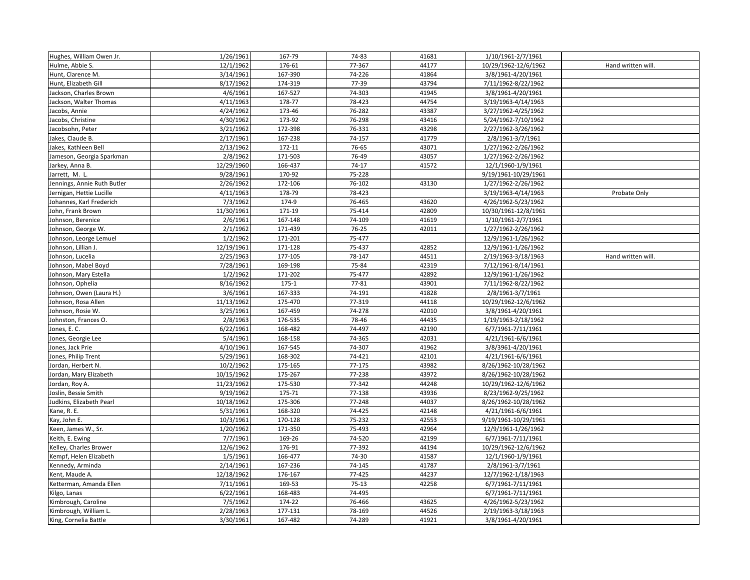| Hughes, William Owen Jr.    | 1/26/1961  | 167-79  | 74-83   | 41681 | 1/10/1961-2/7/1961                |                    |
|-----------------------------|------------|---------|---------|-------|-----------------------------------|--------------------|
| Hulme, Abbie S.             | 12/1/1962  | 176-61  | 77-367  | 44177 | 10/29/1962-12/6/1962              | Hand written will. |
| Hunt, Clarence M.           | 3/14/1961  | 167-390 | 74-226  | 41864 | 3/8/1961-4/20/1961                |                    |
| Hunt, Elizabeth Gill        | 8/17/1962  | 174-319 | 77-39   | 43794 | 7/11/1962-8/22/1962               |                    |
| Jackson, Charles Brown      | 4/6/1961   | 167-527 | 74-303  | 41945 | 3/8/1961-4/20/1961                |                    |
| Jackson, Walter Thomas      | 4/11/1963  | 178-77  | 78-423  | 44754 | 3/19/1963-4/14/1963               |                    |
| Jacobs, Annie               | 4/24/1962  | 173-46  | 76-282  | 43387 | 3/27/1962-4/25/1962               |                    |
| Jacobs, Christine           | 4/30/1962  | 173-92  | 76-298  | 43416 | 5/24/1962-7/10/1962               |                    |
| Jacobsohn, Peter            | 3/21/1962  | 172-398 | 76-331  | 43298 | 2/27/1962-3/26/1962               |                    |
| Jakes, Claude B.            | 2/17/1961  | 167-238 | 74-157  | 41779 | 2/8/1961-3/7/1961                 |                    |
| Jakes, Kathleen Bell        | 2/13/1962  | 172-11  | 76-65   | 43071 | 1/27/1962-2/26/1962               |                    |
| Jameson, Georgia Sparkman   | 2/8/1962   | 171-503 | 76-49   | 43057 | 1/27/1962-2/26/1962               |                    |
| Jarkey, Anna B.             | 12/29/1960 | 166-437 | $74-17$ | 41572 | 12/1/1960-1/9/1961                |                    |
| Jarrett, M. L.              | 9/28/1961  | 170-92  | 75-228  |       | 9/19/1961-10/29/1961              |                    |
| Jennings, Annie Ruth Butler | 2/26/1962  | 172-106 | 76-102  | 43130 | 1/27/1962-2/26/1962               |                    |
| Jernigan, Hettie Lucille    | 4/11/1963  | 178-79  | 78-423  |       | $\overline{3/19/1963}$ -4/14/1963 | Probate Only       |
| Johannes, Karl Frederich    | 7/3/1962   | 174-9   | 76-465  | 43620 | 4/26/1962-5/23/1962               |                    |
| John, Frank Brown           | 11/30/1961 | 171-19  | 75-414  | 42809 | 10/30/1961-12/8/1961              |                    |
| Johnson, Berenice           | 2/6/1961   | 167-148 | 74-109  | 41619 | 1/10/1961-2/7/1961                |                    |
| Johnson, George W.          | 2/1/1962   | 171-439 | 76-25   | 42011 | 1/27/1962-2/26/1962               |                    |
| Johnson, Leorge Lemuel      | 1/2/1962   | 171-201 | 75-477  |       | 12/9/1961-1/26/1962               |                    |
| Johnson, Lillian J.         | 12/19/1961 | 171-128 | 75-437  | 42852 | 12/9/1961-1/26/1962               |                    |
| Johnson, Lucelia            | 2/25/1963  | 177-105 | 78-147  | 44511 | 2/19/1963-3/18/1963               | Hand written will. |
| Johnson, Mabel Boyd         | 7/28/1961  | 169-198 | 75-84   | 42319 | 7/12/1961-8/14/1961               |                    |
| Johnson, Mary Estella       | 1/2/1962   | 171-202 | 75-477  | 42892 | 12/9/1961-1/26/1962               |                    |
| Johnson, Ophelia            | 8/16/1962  | 175-1   | 77-81   | 43901 | 7/11/1962-8/22/1962               |                    |
| Johnson, Owen (Laura H.)    | 3/6/1961   | 167-333 | 74-191  | 41828 | 2/8/1961-3/7/1961                 |                    |
| Johnson, Rosa Allen         | 11/13/1962 | 175-470 | 77-319  | 44118 | 10/29/1962-12/6/1962              |                    |
| Johnson, Rosie W.           | 3/25/1961  | 167-459 | 74-278  | 42010 | 3/8/1961-4/20/1961                |                    |
| Johnston, Frances O.        | 2/8/1963   | 176-535 | 78-46   | 44435 | 1/19/1963-2/18/1962               |                    |
| Jones, E. C.                | 6/22/1961  | 168-482 | 74-497  | 42190 | 6/7/1961-7/11/1961                |                    |
| Jones, Georgie Lee          | 5/4/1961   | 168-158 | 74-365  | 42031 | 4/21/1961-6/6/1961                |                    |
| Jones, Jack Prie            | 4/10/1961  | 167-545 | 74-307  | 41962 | 3/8/3961-4/20/1961                |                    |
| Jones, Philip Trent         | 5/29/1961  | 168-302 | 74-421  | 42101 | 4/21/1961-6/6/1961                |                    |
| Jordan, Herbert N.          | 10/2/1962  | 175-165 | 77-175  | 43982 | 8/26/1962-10/28/1962              |                    |
| Jordan, Mary Elizabeth      | 10/15/1962 | 175-267 | 77-238  | 43972 | 8/26/1962-10/28/1962              |                    |
| Jordan, Roy A.              | 11/23/1962 | 175-530 | 77-342  | 44248 | 10/29/1962-12/6/1962              |                    |
| Joslin, Bessie Smith        | 9/19/1962  | 175-71  | 77-138  | 43936 | 8/23/1962-9/25/1962               |                    |
| Judkins, Elizabeth Pearl    | 10/18/1962 | 175-306 | 77-248  | 44037 | 8/26/1962-10/28/1962              |                    |
| Kane, R. E.                 | 5/31/1961  | 168-320 | 74-425  | 42148 | 4/21/1961-6/6/1961                |                    |
| Kay, John E.                | 10/3/1961  | 170-128 | 75-232  | 42553 | 9/19/1961-10/29/1961              |                    |
| Keen, James W., Sr.         | 1/20/1962  | 171-350 | 75-493  | 42964 | 12/9/1961-1/26/1962               |                    |
| Keith, E. Ewing             | 7/7/1961   | 169-26  | 74-520  | 42199 | 6/7/1961-7/11/1961                |                    |
| Kelley, Charles Brower      | 12/6/1962  | 176-91  | 77-392  | 44194 | 10/29/1962-12/6/1962              |                    |
| Kempf, Helen Elizabeth      | 1/5/1961   | 166-477 | 74-30   | 41587 | 12/1/1960-1/9/1961                |                    |
| Kennedy, Arminda            | 2/14/1961  | 167-236 | 74-145  | 41787 | 2/8/1961-3/7/1961                 |                    |
| Kent, Maude A.              | 12/18/1962 | 176-167 | 77-425  | 44237 | 12/7/1962-1/18/1963               |                    |
| Ketterman, Amanda Ellen     | 7/11/1961  | 169-53  | $75-13$ | 42258 | 6/7/1961-7/11/1961                |                    |
| Kilgo, Lanas                | 6/22/1961  | 168-483 | 74-495  |       | 6/7/1961-7/11/1961                |                    |
| Kimbrough, Caroline         | 7/5/1962   | 174-22  | 76-466  | 43625 | 4/26/1962-5/23/1962               |                    |
| Kimbrough, William L        | 2/28/1963  | 177-131 | 78-169  | 44526 | 2/19/1963-3/18/1963               |                    |
| King, Cornelia Battle       | 3/30/1961  | 167-482 | 74-289  | 41921 | 3/8/1961-4/20/1961                |                    |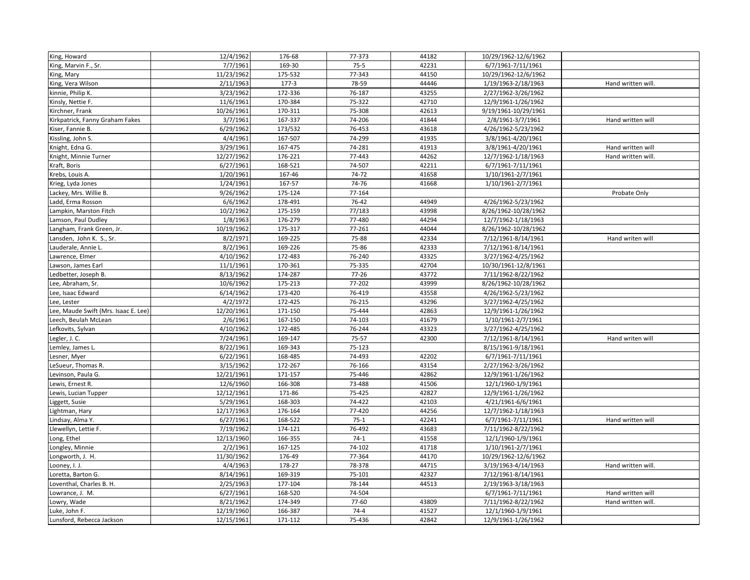| King, Howard                         | 12/4/1962  | 176-68  | 77-373    | 44182 | 10/29/1962-12/6/1962 |                    |
|--------------------------------------|------------|---------|-----------|-------|----------------------|--------------------|
| King, Marvin F., Sr.                 | 7/7/1961   | 169-30  | $75-5$    | 42231 | 6/7/1961-7/11/1961   |                    |
| King, Mary                           | 11/23/1962 | 175-532 | 77-343    | 44150 | 10/29/1962-12/6/1962 |                    |
| King, Vera Wilson                    | 2/11/1963  | $177-3$ | 78-59     | 44446 | 1/19/1963-2/18/1963  | Hand written will. |
| kinnie, Philip K.                    | 3/23/1962  | 172-336 | 76-187    | 43255 | 2/27/1962-3/26/1962  |                    |
| Kinsly, Nettie F.                    | 11/6/1961  | 170-384 | 75-322    | 42710 | 12/9/1961-1/26/1962  |                    |
| Kirchner, Frank                      | 10/26/1961 | 170-311 | 75-308    | 42613 | 9/19/1961-10/29/1961 |                    |
| Kirkpatrick, Fanny Graham Fakes      | 3/7/1961   | 167-337 | 74-206    | 41844 | 2/8/1961-3/7/1961    | Hand written will  |
| Kiser, Fannie B.                     | 6/29/1962  | 173/532 | 76-453    | 43618 | 4/26/1962-5/23/1962  |                    |
| Kissling, John S.                    | 4/4/1961   | 167-507 | 74-299    | 41935 | 3/8/1961-4/20/1961   |                    |
| Knight, Edna G.                      | 3/29/1961  | 167-475 | 74-281    | 41913 | 3/8/1961-4/20/1961   | Hand written will  |
| Knight, Minnie Turner                | 12/27/1962 | 176-221 | 77-443    | 44262 | 12/7/1962-1/18/1963  | Hand written will. |
| Kraft, Boris                         | 6/27/1961  | 168-521 | 74-507    | 42211 | 6/7/1961-7/11/1961   |                    |
| Krebs, Louis A.                      | 1/20/1961  | 167-46  | 74-72     | 41658 | 1/10/1961-2/7/1961   |                    |
| Krieg, Lyda Jones                    | 1/24/1961  | 167-57  | 74-76     | 41668 | 1/10/1961-2/7/1961   |                    |
| Lackey, Mrs. Willie B.               | 9/26/1962  | 175-124 | 77-164    |       |                      | Probate Only       |
| Ladd, Erma Rosson                    | 6/6/1962   | 178-491 | 76-42     | 44949 | 4/26/1962-5/23/1962  |                    |
| Lampkin, Marston Fitch               | 10/2/1962  | 175-159 | 77/183    | 43998 | 8/26/1962-10/28/1962 |                    |
| Lamson, Paul Dudley                  | 1/8/1963   | 176-279 | 77-480    | 44294 | 12/7/1962-1/18/1963  |                    |
| Langham, Frank Green, Jr.            | 10/19/1962 | 175-317 | 77-261    | 44044 | 8/26/1962-10/28/1962 |                    |
| Lansden, John K. S., Sr.             | 8/2/1971   | 169-225 | 75-88     | 42334 | 7/12/1961-8/14/1961  | Hand writen will   |
| Lauderale, Annie L.                  | 8/2/1961   | 169-226 | 75-86     | 42333 | 7/12/1961-8/14/1961  |                    |
| Lawrence, Elmer                      | 4/10/1962  | 172-483 | 76-240    | 43325 | 3/27/1962-4/25/1962  |                    |
| Lawson, James Earl                   | 11/1/1961  | 170-361 | 75-335    | 42704 | 10/30/1961-12/8/1961 |                    |
| Ledbetter, Joseph B.                 | 8/13/1962  | 174-287 | $77 - 26$ | 43772 | 7/11/1962-8/22/1962  |                    |
| Lee, Abraham, Sr.                    | 10/6/1962  | 175-213 | 77-202    | 43999 | 8/26/1962-10/28/1962 |                    |
| Lee, Isaac Edward                    | 6/14/1962  | 173-420 | 76-419    | 43558 | 4/26/1962-5/23/1962  |                    |
| Lee, Lester                          | 4/2/1972   | 172-425 | 76-215    | 43296 | 3/27/1962-4/25/1962  |                    |
| Lee, Maude Swift (Mrs. Isaac E. Lee) | 12/20/1961 | 171-150 | 75-444    | 42863 | 12/9/1961-1/26/1962  |                    |
| Leech, Beulah McLean                 | 2/6/1961   | 167-150 | 74-103    | 41679 | 1/10/1961-2/7/1961   |                    |
| Lefkovits, Sylvan                    | 4/10/1962  | 172-485 | 76-244    | 43323 | 3/27/1962-4/25/1962  |                    |
| Legler, J. C.                        | 7/24/1961  | 169-147 | 75-57     | 42300 | 7/12/1961-8/14/1961  | Hand writen will   |
| Lemley, James L.                     | 8/22/1961  | 169-343 | 75-123    |       | 8/15/1961-9/18/1961  |                    |
| Lesner, Myer                         | 6/22/1961  | 168-485 | 74-493    | 42202 | 6/7/1961-7/11/1961   |                    |
| LeSueur, Thomas R.                   | 3/15/1962  | 172-267 | 76-166    | 43154 | 2/27/1962-3/26/1962  |                    |
| Levinson, Paula G.                   | 12/21/1961 | 171-157 | 75-446    | 42862 | 12/9/1961-1/26/1962  |                    |
| Lewis, Ernest R.                     | 12/6/1960  | 166-308 | 73-488    | 41506 | 12/1/1960-1/9/1961   |                    |
| Lewis, Lucian Tupper                 | 12/12/1961 | 171-86  | 75-425    | 42827 | 12/9/1961-1/26/1962  |                    |
| Liggett, Susie                       | 5/29/1961  | 168-303 | 74-422    | 42103 | 4/21/1961-6/6/1961   |                    |
| Lightman, Hary                       | 12/17/1963 | 176-164 | 77-420    | 44256 | 12/7/1962-1/18/1963  |                    |
| Lindsay, Alma Y.                     | 6/27/1961  | 168-522 | $75-1$    | 42241 | 6/7/1961-7/11/1961   | Hand written will  |
| Llewellyn, Lettie F.                 | 7/19/1962  | 174-121 | 76-492    | 43683 | 7/11/1962-8/22/1962  |                    |
| Long, Ethel                          | 12/13/1960 | 166-355 | $74-1$    | 41558 | 12/1/1960-1/9/1961   |                    |
| Longley, Minnie                      | 2/2/1961   | 167-125 | 74-102    | 41718 | 1/10/1961-2/7/1961   |                    |
| Longworth, J. H.                     | 11/30/1962 | 176-49  | 77-364    | 44170 | 10/29/1962-12/6/1962 |                    |
| Looney, I. J.                        | 4/4/1963   | 178-27  | 78-378    | 44715 | 3/19/1963-4/14/1963  | Hand written will. |
| Loretta, Barton G.                   | 8/14/1961  | 169-319 | 75-101    | 42327 | 7/12/1961-8/14/1961  |                    |
| Loventhal, Charles B. H.             | 2/25/1963  | 177-104 | 78-144    | 44513 | 2/19/1963-3/18/1963  |                    |
| Lowrance, J. M.                      | 6/27/1961  | 168-520 | 74-504    |       | 6/7/1961-7/11/1961   | Hand written will  |
| Lowry, Wade                          | 8/21/1962  | 174-349 | 77-60     | 43809 | 7/11/1962-8/22/1962  | Hand written will. |
| Luke, John F.                        | 12/19/1960 | 166-387 | $74 - 4$  | 41527 | 12/1/1960-1/9/1961   |                    |
| Lunsford, Rebecca Jackson            | 12/15/1961 | 171-112 | 75-436    | 42842 | 12/9/1961-1/26/1962  |                    |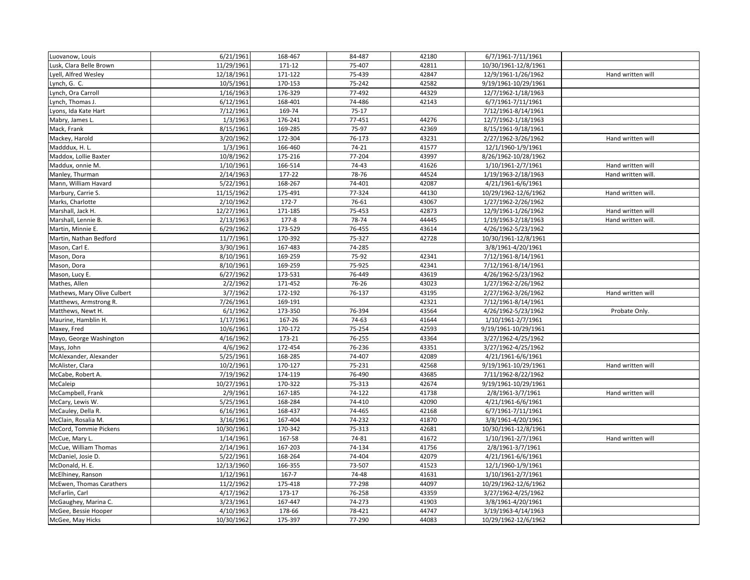| Luovanow, Louis             | 6/21/1961  | 168-467   | 84-487  | 42180 | 6/7/1961-7/11/1961   |                    |
|-----------------------------|------------|-----------|---------|-------|----------------------|--------------------|
| Lusk, Clara Belle Brown     | 11/29/1961 | 171-12    | 75-407  | 42811 | 10/30/1961-12/8/1961 |                    |
| Lyell, Alfred Wesley        | 12/18/1961 | 171-122   | 75-439  | 42847 | 12/9/1961-1/26/1962  | Hand written will  |
| Lynch, G. C.                | 10/5/1961  | 170-153   | 75-242  | 42582 | 9/19/1961-10/29/1961 |                    |
| Lynch, Ora Carroll          | 1/16/1963  | 176-329   | 77-492  | 44329 | 12/7/1962-1/18/1963  |                    |
| Lynch, Thomas J.            | 6/12/1961  | 168-401   | 74-486  | 42143 | 6/7/1961-7/11/1961   |                    |
| Lyons, Ida Kate Hart        | 7/12/1961  | 169-74    | $75-17$ |       | 7/12/1961-8/14/1961  |                    |
| Mabry, James L.             | 1/3/1963   | 176-241   | 77-451  | 44276 | 12/7/1962-1/18/1963  |                    |
| Mack, Frank                 | 8/15/1961  | 169-285   | 75-97   | 42369 | 8/15/1961-9/18/1961  |                    |
| Mackey, Harold              | 3/20/1962  | 172-304   | 76-173  | 43231 | 2/27/1962-3/26/1962  | Hand written will  |
| Madddux, H. L.              | 1/3/1961   | 166-460   | 74-21   | 41577 | 12/1/1960-1/9/1961   |                    |
| Maddox, Lollie Baxter       | 10/8/1962  | 175-216   | 77-204  | 43997 | 8/26/1962-10/28/1962 |                    |
| Maddux, onnie M.            | 1/10/1961  | 166-514   | 74-43   | 41626 | 1/10/1961-2/7/1961   | Hand written will  |
| Manley, Thurman             | 2/14/1963  | 177-22    | 78-76   | 44524 | 1/19/1963-2/18/1963  | Hand written will. |
| Mann, William Havard        | 5/22/1961  | 168-267   | 74-401  | 42087 | 4/21/1961-6/6/1961   |                    |
| Marbury, Carrie S.          | 11/15/1962 | 175-491   | 77-324  | 44130 | 10/29/1962-12/6/1962 | Hand written will. |
| Marks, Charlotte            | 2/10/1962  | $172 - 7$ | 76-61   | 43067 | 1/27/1962-2/26/1962  |                    |
| Marshall, Jack H.           | 12/27/1961 | 171-185   | 75-453  | 42873 | 12/9/1961-1/26/1962  | Hand written will  |
| Marshall, Lennie B.         | 2/13/1963  | $177 - 8$ | 78-74   | 44445 | 1/19/1963-2/18/1963  | Hand written will. |
| Martin, Minnie E.           | 6/29/1962  | 173-529   | 76-455  | 43614 | 4/26/1962-5/23/1962  |                    |
| Martin, Nathan Bedford      | 11/7/1961  | 170-392   | 75-327  | 42728 | 10/30/1961-12/8/1961 |                    |
| Mason, Carl E.              | 3/30/1961  | 167-483   | 74-285  |       | 3/8/1961-4/20/1961   |                    |
| Mason, Dora                 | 8/10/1961  | 169-259   | 75-92   | 42341 | 7/12/1961-8/14/1961  |                    |
| Mason, Dora                 | 8/10/1961  | 169-259   | 75-925  | 42341 | 7/12/1961-8/14/1961  |                    |
| Mason, Lucy E.              | 6/27/1962  | 173-531   | 76-449  | 43619 | 4/26/1962-5/23/1962  |                    |
| Mathes, Allen               | 2/2/1962   | 171-452   | 76-26   | 43023 | 1/27/1962-2/26/1962  |                    |
| Mathews, Mary Olive Culbert | 3/7/1962   | 172-192   | 76-137  | 43195 | 2/27/1962-3/26/1962  | Hand written will  |
| Matthews, Armstrong R.      | 7/26/1961  | 169-191   |         | 42321 | 7/12/1961-8/14/1961  |                    |
| Matthews, Newt H.           | 6/1/1962   | 173-350   | 76-394  | 43564 | 4/26/1962-5/23/1962  | Probate Only.      |
| Maurine, Hamblin H.         | 1/17/1961  | 167-26    | 74-63   | 41644 | 1/10/1961-2/7/1961   |                    |
| Maxey, Fred                 | 10/6/1961  | 170-172   | 75-254  | 42593 | 9/19/1961-10/29/1961 |                    |
| Mayo, George Washington     | 4/16/1962  | 173-21    | 76-255  | 43364 | 3/27/1962-4/25/1962  |                    |
| Mays, John                  | 4/6/1962   | 172-454   | 76-236  | 43351 | 3/27/1962-4/25/1962  |                    |
| McAlexander, Alexander      | 5/25/1961  | 168-285   | 74-407  | 42089 | 4/21/1961-6/6/1961   |                    |
| McAlister, Clara            | 10/2/1961  | 170-127   | 75-231  | 42568 | 9/19/1961-10/29/1961 | Hand written will  |
| McCabe, Robert A.           | 7/19/1962  | 174-119   | 76-490  | 43685 | 7/11/1962-8/22/1962  |                    |
| McCaleip                    | 10/27/1961 | 170-322   | 75-313  | 42674 | 9/19/1961-10/29/1961 |                    |
| McCampbell, Frank           | 2/9/1961   | 167-185   | 74-122  | 41738 | 2/8/1961-3/7/1961    | Hand written will  |
| McCary, Lewis W.            | 5/25/1961  | 168-284   | 74-410  | 42090 | 4/21/1961-6/6/1961   |                    |
| McCauley, Della R.          | 6/16/1961  | 168-437   | 74-465  | 42168 | 6/7/1961-7/11/1961   |                    |
| McClain, Rosalia M.         | 3/16/1961  | 167-404   | 74-232  | 41870 | 3/8/1961-4/20/1961   |                    |
| McCord, Tommie Pickens      | 10/30/1961 | 170-342   | 75-313  | 42681 | 10/30/1961-12/8/1961 |                    |
| McCue, Mary L.              | 1/14/1961  | 167-58    | 74-81   | 41672 | 1/10/1961-2/7/1961   | Hand written will  |
| McCue, William Thomas       | 2/14/1961  | 167-203   | 74-134  | 41756 | 2/8/1961-3/7/1961    |                    |
| McDaniel, Josie D.          | 5/22/1961  | 168-264   | 74-404  | 42079 | 4/21/1961-6/6/1961   |                    |
| McDonald, H. E.             | 12/13/1960 | 166-355   | 73-507  | 41523 | 12/1/1960-1/9/1961   |                    |
| McElhiney, Ranson           | 1/12/1961  | 167-7     | 74-48   | 41631 | 1/10/1961-2/7/1961   |                    |
| McEwen, Thomas Carathers    | 11/2/1962  | 175-418   | 77-298  | 44097 | 10/29/1962-12/6/1962 |                    |
| McFarlin, Carl              | 4/17/1962  | 173-17    | 76-258  | 43359 | 3/27/1962-4/25/1962  |                    |
| McGaughey, Marina C.        | 3/23/1961  | 167-447   | 74-273  | 41903 | 3/8/1961-4/20/1961   |                    |
| McGee, Bessie Hooper        | 4/10/1963  | 178-66    | 78-421  | 44747 | 3/19/1963-4/14/1963  |                    |
| McGee, May Hicks            | 10/30/1962 | 175-397   | 77-290  | 44083 | 10/29/1962-12/6/1962 |                    |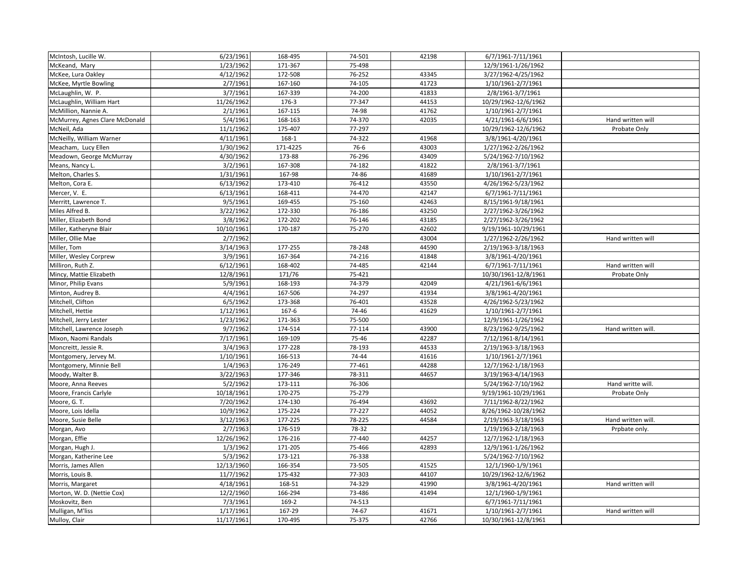| McIntosh, Lucille W.           | 6/23/1961  | 168-495  | 74-501 | 42198 | 6/7/1961-7/11/1961   |                    |
|--------------------------------|------------|----------|--------|-------|----------------------|--------------------|
| McKeand, Mary                  | 1/23/1962  | 171-367  | 75-498 |       | 12/9/1961-1/26/1962  |                    |
| McKee, Lura Oakley             | 4/12/1962  | 172-508  | 76-252 | 43345 | 3/27/1962-4/25/1962  |                    |
| McKee, Myrtle Bowling          | 2/7/1961   | 167-160  | 74-105 | 41723 | 1/10/1961-2/7/1961   |                    |
| McLaughlin, W. P.              | 3/7/1961   | 167-339  | 74-200 | 41833 | 2/8/1961-3/7/1961    |                    |
| McLaughlin, William Hart       | 11/26/1962 | 176-3    | 77-347 | 44153 | 10/29/1962-12/6/1962 |                    |
| McMillion, Nannie A.           | 2/1/1961   | 167-115  | 74-98  | 41762 | 1/10/1961-2/7/1961   |                    |
| McMurrey, Agnes Clare McDonald | 5/4/1961   | 168-163  | 74-370 | 42035 | 4/21/1961-6/6/1961   | Hand written will  |
| McNeil, Ada                    | 11/1/1962  | 175-407  | 77-297 |       | 10/29/1962-12/6/1962 | Probate Only       |
| McNeilly, William Warner       | 4/11/1961  | 168-1    | 74-322 | 41968 | 3/8/1961-4/20/1961   |                    |
| Meacham, Lucy Ellen            | 1/30/1962  | 171-4225 | 76-6   | 43003 | 1/27/1962-2/26/1962  |                    |
| Meadown, George McMurray       | 4/30/1962  | 173-88   | 76-296 | 43409 | 5/24/1962-7/10/1962  |                    |
| Means, Nancy L.                | 3/2/1961   | 167-308  | 74-182 | 41822 | 2/8/1961-3/7/1961    |                    |
| Melton, Charles S.             | 1/31/1961  | 167-98   | 74-86  | 41689 | 1/10/1961-2/7/1961   |                    |
| Melton, Cora E.                | 6/13/1962  | 173-410  | 76-412 | 43550 | 4/26/1962-5/23/1962  |                    |
| Mercer, V. E.                  | 6/13/1961  | 168-411  | 74-470 | 42147 | 6/7/1961-7/11/1961   |                    |
| Merritt, Lawrence T.           | 9/5/1961   | 169-455  | 75-160 | 42463 | 8/15/1961-9/18/1961  |                    |
| Miles Alfred B.                | 3/22/1962  | 172-330  | 76-186 | 43250 | 2/27/1962-3/26/1962  |                    |
| Miller, Elizabeth Bond         | 3/8/1962   | 172-202  | 76-146 | 43185 | 2/27/1962-3/26/1962  |                    |
| Miller, Katheryne Blair        | 10/10/1961 | 170-187  | 75-270 | 42602 | 9/19/1961-10/29/1961 |                    |
| Miller, Ollie Mae              | 2/7/1962   |          |        | 43004 | 1/27/1962-2/26/1962  | Hand written will  |
| Miller, Tom                    | 3/14/1963  | 177-255  | 78-248 | 44590 | 2/19/1963-3/18/1963  |                    |
| Miller, Wesley Corprew         | 3/9/1961   | 167-364  | 74-216 | 41848 | 3/8/1961-4/20/1961   |                    |
| Milliron, Ruth Z.              | 6/12/1961  | 168-402  | 74-485 | 42144 | 6/7/1961-7/11/1961   | Hand written will  |
| Mincy, Mattie Elizabeth        | 12/8/1961  | 171/76   | 75-421 |       | 10/30/1961-12/8/1961 | Probate Only       |
| Minor, Philip Evans            | 5/9/1961   | 168-193  | 74-379 | 42049 | 4/21/1961-6/6/1961   |                    |
| Minton, Audrey B.              | 4/4/1961   | 167-506  | 74-297 | 41934 | 3/8/1961-4/20/1961   |                    |
| Mitchell, Clifton              | 6/5/1962   | 173-368  | 76-401 | 43528 | 4/26/1962-5/23/1962  |                    |
| Mitchell, Hettie               | 1/12/1961  | 167-6    | 74-46  | 41629 | 1/10/1961-2/7/1961   |                    |
| Mitchell, Jerry Lester         | 1/23/1962  | 171-363  | 75-500 |       | 12/9/1961-1/26/1962  |                    |
| Mitchell, Lawrence Joseph      | 9/7/1962   | 174-514  | 77-114 | 43900 | 8/23/1962-9/25/1962  | Hand written will. |
| Mixon, Naomi Randals           | 7/17/1961  | 169-109  | 75-46  | 42287 | 7/12/1961-8/14/1961  |                    |
| Moncreitt, Jessie R.           | 3/4/1963   | 177-228  | 78-193 | 44533 | 2/19/1963-3/18/1963  |                    |
| Montgomery, Jervey M.          | 1/10/1961  | 166-513  | 74-44  | 41616 | 1/10/1961-2/7/1961   |                    |
| Montgomery, Minnie Bell        | 1/4/1963   | 176-249  | 77-461 | 44288 | 12/7/1962-1/18/1963  |                    |
| Moody, Walter B.               | 3/22/1963  | 177-346  | 78-311 | 44657 | 3/19/1963-4/14/1963  |                    |
| Moore, Anna Reeves             | 5/2/1962   | 173-111  | 76-306 |       | 5/24/1962-7/10/1962  | Hand writte will.  |
| Moore, Francis Carlyle         | 10/18/1961 | 170-275  | 75-279 |       | 9/19/1961-10/29/1961 | Probate Only       |
| Moore, G. T.                   | 7/20/1962  | 174-130  | 76-494 | 43692 | 7/11/1962-8/22/1962  |                    |
| Moore, Lois Idella             | 10/9/1962  | 175-224  | 77-227 | 44052 | 8/26/1962-10/28/1962 |                    |
| Moore, Susie Belle             | 3/12/1963  | 177-225  | 78-225 | 44584 | 2/19/1963-3/18/1963  | Hand written will. |
| Morgan, Avo                    | 2/7/1963   | 176-519  | 78-32  |       | 1/19/1963-2/18/1963  | Prpbate only.      |
| Morgan, Effie                  | 12/26/1962 | 176-216  | 77-440 | 44257 | 12/7/1962-1/18/1963  |                    |
| Morgan, Hugh J.                | 1/3/1962   | 171-205  | 75-466 | 42893 | 12/9/1961-1/26/1962  |                    |
| Morgan, Katherine Lee          | 5/3/1962   | 173-121  | 76-338 |       | 5/24/1962-7/10/1962  |                    |
| Morris, James Allen            | 12/13/1960 | 166-354  | 73-505 | 41525 | 12/1/1960-1/9/1961   |                    |
| Morris, Louis B.               | 11/7/1962  | 175-432  | 77-303 | 44107 | 10/29/1962-12/6/1962 |                    |
| Morris, Margaret               | 4/18/1961  | 168-51   | 74-329 | 41990 | 3/8/1961-4/20/1961   | Hand written will  |
| Morton, W. D. (Nettie Cox)     | 12/2/1960  | 166-294  | 73-486 | 41494 | 12/1/1960-1/9/1961   |                    |
| Moskovitz, Ben                 | 7/3/1961   | 169-2    | 74-513 |       | 6/7/1961-7/11/1961   |                    |
| Mulligan, M'liss               | 1/17/1961  | 167-29   | 74-67  | 41671 | 1/10/1961-2/7/1961   | Hand written will  |
| Mulloy, Clair                  | 11/17/1961 | 170-495  | 75-375 | 42766 | 10/30/1961-12/8/1961 |                    |
|                                |            |          |        |       |                      |                    |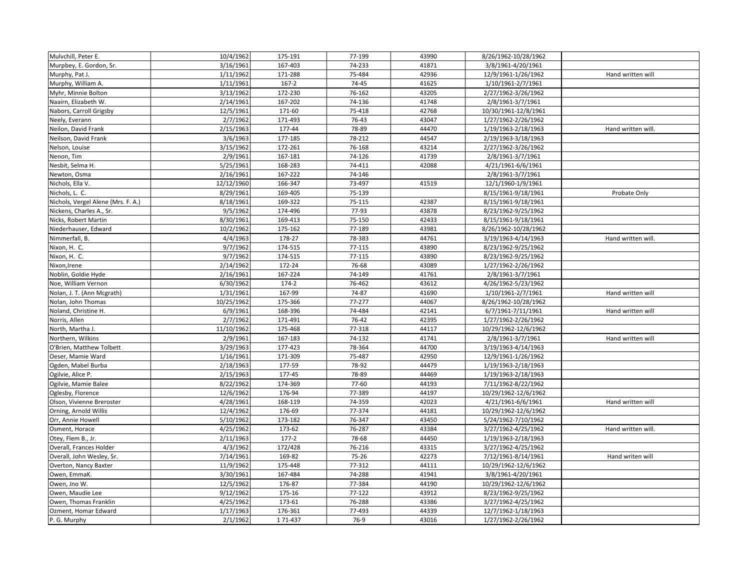| Mulvchill, Peter E.                | 10/4/1962  | 175-191   | 77-199 | 43990 | 8/26/1962-10/28/1962 |                    |
|------------------------------------|------------|-----------|--------|-------|----------------------|--------------------|
| Murpbey, E. Gordon, Sr.            | 3/16/1961  | 167-403   | 74-233 | 41871 | 3/8/1961-4/20/1961   |                    |
| Murphy, Pat J.                     | 1/11/1962  | 171-288   | 75-484 | 42936 | 12/9/1961-1/26/1962  | Hand written will  |
| Murphy, William A.                 | 1/11/1961  | $167 - 2$ | 74-45  | 41625 | 1/10/1961-2/7/1961   |                    |
| Myhr, Minnie Bolton                | 3/13/1962  | 172-230   | 76-162 | 43205 | 2/27/1962-3/26/1962  |                    |
| Naairn, Elizabeth W.               | 2/14/1961  | 167-202   | 74-136 | 41748 | 2/8/1961-3/7/1961    |                    |
| Nabors, Carroll Grigsby            | 12/5/1961  | 171-60    | 75-418 | 42768 | 10/30/1961-12/8/1961 |                    |
| Neely, Everann                     | 2/7/1962   | 171-493   | 76-43  | 43047 | 1/27/1962-2/26/1962  |                    |
| Neilon, David Frank                | 2/15/1963  | 177-44    | 78-89  | 44470 | 1/19/1963-2/18/1963  | Hand written will. |
| Neilson, David Frank               | 3/6/1963   | 177-185   | 78-212 | 44547 | 2/19/1963-3/18/1963  |                    |
| Nelson, Louise                     | 3/15/1962  | 172-261   | 76-168 | 43214 | 2/27/1962-3/26/1962  |                    |
| Nenon, Tim                         | 2/9/1961   | 167-181   | 74-126 | 41739 | 2/8/1961-3/7/1961    |                    |
| Nesbit, Selma H.                   | 5/25/1961  | 168-283   | 74-411 | 42088 | 4/21/1961-6/6/1961   |                    |
| Newton, Osma                       | 2/16/1961  | 167-222   | 74-146 |       | 2/8/1961-3/7/1961    |                    |
| Nichols, Ella V.                   | 12/12/1960 | 166-347   | 73-497 | 41519 | 12/1/1960-1/9/1961   |                    |
| Nichols, L. C.                     | 8/29/1961  | 169-405   | 75-139 |       | 8/15/1961-9/18/1961  | Probate Only       |
| Nichols, Vergel Alene (Mrs. F. A.) | 8/18/1961  | 169-322   | 75-115 | 42387 | 8/15/1961-9/18/1961  |                    |
| Nickens, Charles A., Sr.           | 9/5/1962   | 174-496   | 77-93  | 43878 | 8/23/1962-9/25/1962  |                    |
| Nicks, Robert Martin               | 8/30/1961  | 169-413   | 75-150 | 42433 | 8/15/1961-9/18/1961  |                    |
| Niederhauser, Edward               | 10/2/1962  | 175-162   | 77-189 | 43981 | 8/26/1962-10/28/1962 |                    |
| Nimmerfall, B.                     | 4/4/1963   | 178-27    | 78-383 | 44761 | 3/19/1963-4/14/1963  | Hand written will. |
| Nixon, H. C.                       | 9/7/1962   | 174-515   | 77-115 | 43890 | 8/23/1962-9/25/1962  |                    |
| Nixon, H. C.                       | 9/7/1962   | 174-515   | 77-115 | 43890 | 8/23/1962-9/25/1962  |                    |
| Nixon, Irene                       | 2/14/1962  | 172-24    | 76-68  | 43089 | 1/27/1962-2/26/1962  |                    |
| Noblin, Goldie Hyde                | 2/16/1961  | 167-224   | 74-149 | 41761 | 2/8/1961-3/7/1961    |                    |
| Noe, William Vernon                | 6/30/1962  | $174-2$   | 76-462 | 43612 | 4/26/1962-5/23/1962  |                    |
| Nolan, J. T. (Ann Mcgrath)         | 1/31/1961  | 167-99    | 74-87  | 41690 | 1/10/1961-2/7/1961   | Hand written will  |
| Nolan, John Thomas                 | 10/25/1962 | 175-366   | 77-277 | 44067 | 8/26/1962-10/28/1962 |                    |
| Noland, Christine H.               | 6/9/1961   | 168-396   | 74-484 | 42141 | 6/7/1961-7/11/1961   | Hand written will  |
| Norris, Allen                      | 2/7/1962   | 171-491   | 76-42  | 42395 | 1/27/1962-2/26/1962  |                    |
| North, Martha J.                   | 11/10/1962 | 175-468   | 77-318 | 44117 | 10/29/1962-12/6/1962 |                    |
| Northern, Wilkins                  | 2/9/1961   | 167-183   | 74-132 | 41741 | 2/8/1961-3/7/1961    | Hand written will  |
| O'Brien, Matthew Tolbett           | 3/29/1963  | 177-423   | 78-364 | 44700 | 3/19/1963-4/14/1963  |                    |
| Oeser, Mamie Ward                  | 1/16/1961  | 171-309   | 75-487 | 42950 | 12/9/1961-1/26/1962  |                    |
| Ogden, Mabel Burba                 | 2/18/1963  | 177-59    | 78-92  | 44479 | 1/19/1963-2/18/1963  |                    |
| Ogilvie, Alice P.                  | 2/15/1963  | 177-45    | 78-89  | 44469 | 1/19/1963-2/18/1963  |                    |
| Ogilvie, Mamie Balee               | 8/22/1962  | 174-369   | 77-60  | 44193 | 7/11/1962-8/22/1962  |                    |
| Oglesby, Florence                  | 12/6/1962  | 176-94    | 77-389 | 44197 | 10/29/1962-12/6/1962 |                    |
| Olson, Vivienne Breroster          | 4/28/1961  | 168-119   | 74-359 | 42023 | 4/21/1961-6/6/1961   | Hand written will  |
| Orning, Arnold Willis              | 12/4/1962  | 176-69    | 77-374 | 44181 | 10/29/1962-12/6/1962 |                    |
| Orr, Annie Howell                  | 5/10/1962  | 173-182   | 76-347 | 43450 | 5/24/1962-7/10/1962  |                    |
| Osment, Horace                     | 4/25/1962  | 173-62    | 76-287 | 43384 | 3/27/1962-4/25/1962  | Hand written will. |
| Otey, Flem B., Jr.                 | 2/11/1963  | $177 - 2$ | 78-68  | 44450 | 1/19/1963-2/18/1963  |                    |
| Overall, Frances Holder            | 4/3/1962   | 172/428   | 76-216 | 43315 | 3/27/1962-4/25/1962  |                    |
| Overall, John Wesley, Sr.          | 7/14/1961  | 169-82    | 75-26  | 42273 | 7/12/1961-8/14/1961  | Hand writen will   |
| Overton, Nancy Baxter              | 11/9/1962  | 175-448   | 77-312 | 44111 | 10/29/1962-12/6/1962 |                    |
| Owen, EmmaK.                       | 3/30/1961  | 167-484   | 74-288 | 41941 | 3/8/1961-4/20/1961   |                    |
| Owen, Jno W.                       | 12/5/1962  | 176-87    | 77-384 | 44190 | 10/29/1962-12/6/1962 |                    |
| Owen, Maudie Lee                   | 9/12/1962  | 175-16    | 77-122 | 43912 | 8/23/1962-9/25/1962  |                    |
| Owen, Thomas Franklin              | 4/25/1962  | 173-61    | 76-288 | 43386 | 3/27/1962-4/25/1962  |                    |
| Ozment, Homar Edward               | 1/17/1963  | 176-361   | 77-493 | 44339 | 12/7/1962-1/18/1963  |                    |
| P. G. Murphy                       | 2/1/1962   | 1 71-437  | 76-9   | 43016 | 1/27/1962-2/26/1962  |                    |
|                                    |            |           |        |       |                      |                    |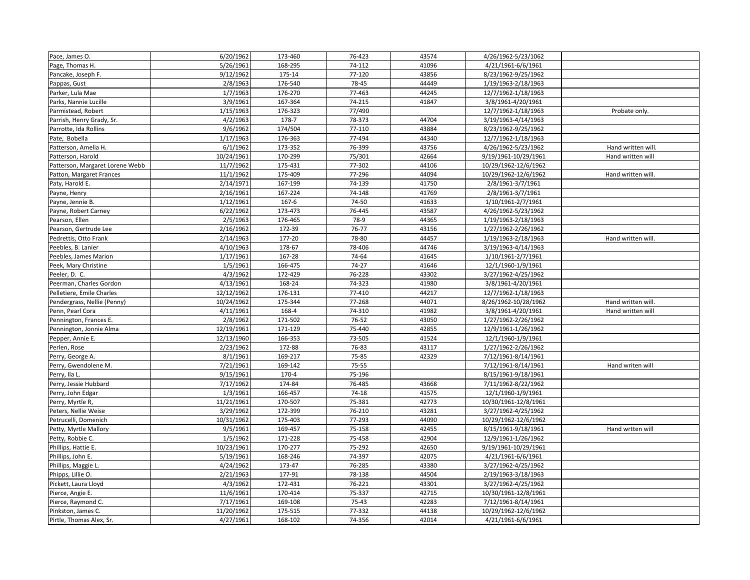| Pace, James O.                  | 6/20/1962  | 173-460 | 76-423 | 43574 | 4/26/1962-5/23/1062  |                    |
|---------------------------------|------------|---------|--------|-------|----------------------|--------------------|
| Page, Thomas H.                 | 5/26/1961  | 168-295 | 74-112 | 41096 | 4/21/1961-6/6/1961   |                    |
| Pancake, Joseph F.              | 9/12/1962  | 175-14  | 77-120 | 43856 | 8/23/1962-9/25/1962  |                    |
| Pappas, Gust                    | 2/8/1963   | 176-540 | 78-45  | 44449 | 1/19/1963-2/18/1963  |                    |
| Parker, Lula Mae                | 1/7/1963   | 176-270 | 77-463 | 44245 | 12/7/1962-1/18/1963  |                    |
| Parks, Nannie Lucille           | 3/9/1961   | 167-364 | 74-215 | 41847 | 3/8/1961-4/20/1961   |                    |
| Parmistead, Robert              | 1/15/1963  | 176-323 | 77/490 |       | 12/7/1962-1/18/1963  | Probate only.      |
| Parrish, Henry Grady, Sr.       | 4/2/1963   | 178-7   | 78-373 | 44704 | 3/19/1963-4/14/1963  |                    |
| Parrotte, Ida Rollins           | 9/6/1962   | 174/504 | 77-110 | 43884 | 8/23/1962-9/25/1962  |                    |
| Pate, Bobella                   | 1/17/1963  | 176-363 | 77-494 | 44340 | 12/7/1962-1/18/1963  |                    |
| Patterson, Amelia H.            | 6/1/1962   | 173-352 | 76-399 | 43756 | 4/26/1962-5/23/1962  | Hand written will. |
| Patterson, Harold               | 10/24/1961 | 170-299 | 75/301 | 42664 | 9/19/1961-10/29/1961 | Hand written will  |
| Patterson, Margaret Lorene Webb | 11/7/1962  | 175-431 | 77-302 | 44106 | 10/29/1962-12/6/1962 |                    |
| Patton, Margaret Frances        | 11/1/1962  | 175-409 | 77-296 | 44094 | 10/29/1962-12/6/1962 | Hand written will. |
| Paty, Harold E.                 | 2/14/1971  | 167-199 | 74-139 | 41750 | 2/8/1961-3/7/1961    |                    |
| Payne, Henry                    | 2/16/1961  | 167-224 | 74-148 | 41769 | 2/8/1961-3/7/1961    |                    |
| Payne, Jennie B.                | 1/12/1961  | 167-6   | 74-50  | 41633 | 1/10/1961-2/7/1961   |                    |
| Payne, Robert Carney            | 6/22/1962  | 173-473 | 76-445 | 43587 | 4/26/1962-5/23/1962  |                    |
| Pearson, Ellen                  | 2/5/1963   | 176-465 | 78-9   | 44365 | 1/19/1963-2/18/1963  |                    |
| Pearson, Gertrude Lee           | 2/16/1962  | 172-39  | 76-77  | 43156 | 1/27/1962-2/26/1962  |                    |
| Pedrettis, Otto Frank           | 2/14/1963  | 177-20  | 78-80  | 44457 | 1/19/1963-2/18/1963  | Hand written will. |
| Peebles, B. Lanier              | 4/10/1963  | 178-67  | 78-406 | 44746 | 3/19/1963-4/14/1963  |                    |
| Peebles, James Marion           | 1/17/1961  | 167-28  | 74-64  | 41645 | 1/10/1961-2/7/1961   |                    |
| Peek, Mary Christine            | 1/5/1961   | 166-475 | 74-27  | 41646 | 12/1/1960-1/9/1961   |                    |
| Peeler, D. C.                   | 4/3/1962   | 172-429 | 76-228 | 43302 | 3/27/1962-4/25/1962  |                    |
| Peerman, Charles Gordon         | 4/13/1961  | 168-24  | 74-323 | 41980 | 3/8/1961-4/20/1961   |                    |
| Pelletiere, Emile Charles       | 12/12/1962 | 176-131 | 77-410 | 44217 | 12/7/1962-1/18/1963  |                    |
| Pendergrass, Nellie (Penny)     | 10/24/1962 | 175-344 | 77-268 | 44071 | 8/26/1962-10/28/1962 | Hand written will. |
| Penn, Pearl Cora                | 4/11/1961  | 168-4   | 74-310 | 41982 | 3/8/1961-4/20/1961   | Hand written will  |
| Pennington, Frances E.          | 2/8/1962   | 171-502 | 76-52  | 43050 | 1/27/1962-2/26/1962  |                    |
| Pennington, Jonnie Alma         | 12/19/1961 | 171-129 | 75-440 | 42855 | 12/9/1961-1/26/1962  |                    |
| Pepper, Annie E.                | 12/13/1960 | 166-353 | 73-505 | 41524 | 12/1/1960-1/9/1961   |                    |
| Perlen, Rose                    | 2/23/1962  | 172-88  | 76-83  | 43117 | 1/27/1962-2/26/1962  |                    |
| Perry, George A.                | 8/1/1961   | 169-217 | 75-85  | 42329 | 7/12/1961-8/14/1961  |                    |
| Perry, Gwendolene M.            | 7/21/1961  | 169-142 | 75-55  |       | 7/12/1961-8/14/1961  | Hand writen will   |
| Perry, Ila L.                   | 9/15/1961  | 170-4   | 75-196 |       | 8/15/1961-9/18/1961  |                    |
| Perry, Jessie Hubbard           | 7/17/1962  | 174-84  | 76-485 | 43668 | 7/11/1962-8/22/1962  |                    |
| Perry, John Edgar               | 1/3/1961   | 166-457 | 74-18  | 41575 | 12/1/1960-1/9/1961   |                    |
| Perry, Myrtle R,                | 11/21/1961 | 170-507 | 75-381 | 42773 | 10/30/1961-12/8/1961 |                    |
| Peters, Nellie Weise            | 3/29/1962  | 172-399 | 76-210 | 43281 | 3/27/1962-4/25/1962  |                    |
| Petrucelli, Domenich            | 10/31/1962 | 175-403 | 77-293 | 44090 | 10/29/1962-12/6/1962 |                    |
| Petty, Myrtle Mallory           | 9/5/1961   | 169-457 | 75-158 | 42455 | 8/15/1961-9/18/1961  | Hand wrtten will   |
| Petty, Robbie C.                | 1/5/1962   | 171-228 | 75-458 | 42904 | 12/9/1961-1/26/1962  |                    |
| Phillips, Hattie E.             | 10/23/1961 | 170-277 | 75-292 | 42650 | 9/19/1961-10/29/1961 |                    |
| Phillips, John E.               | 5/19/1961  | 168-246 | 74-397 | 42075 | 4/21/1961-6/6/1961   |                    |
| Phillips, Maggie L.             | 4/24/1962  | 173-47  | 76-285 | 43380 | 3/27/1962-4/25/1962  |                    |
| Phipps, Lillie O.               | 2/21/1963  | 177-91  | 78-138 | 44504 | 2/19/1963-3/18/1963  |                    |
| Pickett, Laura Lloyd            | 4/3/1962   | 172-431 | 76-221 | 43301 | 3/27/1962-4/25/1962  |                    |
| Pierce, Angie E.                | 11/6/1961  | 170-414 | 75-337 | 42715 | 10/30/1961-12/8/1961 |                    |
| Pierce, Raymond C.              | 7/17/1961  | 169-108 | 75-43  | 42283 | 7/12/1961-8/14/1961  |                    |
| Pinkston, James C.              | 11/20/1962 | 175-515 | 77-332 | 44138 | 10/29/1962-12/6/1962 |                    |
| Pirtle, Thomas Alex, Sr.        | 4/27/1961  | 168-102 | 74-356 | 42014 | 4/21/1961-6/6/1961   |                    |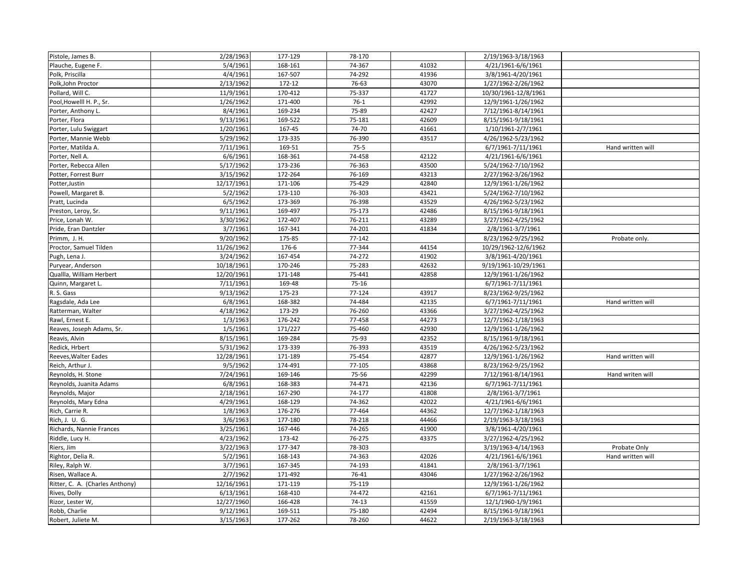| Pistole, James B.               | 2/28/1963  | 177-129 | 78-170 |       | 2/19/1963-3/18/1963  |                   |
|---------------------------------|------------|---------|--------|-------|----------------------|-------------------|
| Plauche, Eugene F.              | 5/4/1961   | 168-161 | 74-367 | 41032 | 4/21/1961-6/6/1961   |                   |
| Polk, Priscilla                 | 4/4/1961   | 167-507 | 74-292 | 41936 | 3/8/1961-4/20/1961   |                   |
| Polk, John Proctor              | 2/13/1962  | 172-12  | 76-63  | 43070 | 1/27/1962-2/26/1962  |                   |
| Pollard, Will C.                | 11/9/1961  | 170-412 | 75-337 | 41727 | 10/30/1961-12/8/1961 |                   |
| Pool, Howelll H. P., Sr.        | 1/26/1962  | 171-400 | $76-1$ | 42992 | 12/9/1961-1/26/1962  |                   |
| Porter, Anthony L.              | 8/4/1961   | 169-234 | 75-89  | 42427 | 7/12/1961-8/14/1961  |                   |
| Porter, Flora                   | 9/13/1961  | 169-522 | 75-181 | 42609 | 8/15/1961-9/18/1961  |                   |
| Porter, Lulu Swiggart           | 1/20/1961  | 167-45  | 74-70  | 41661 | 1/10/1961-2/7/1961   |                   |
| Porter, Mannie Webb             | 5/29/1962  | 173-335 | 76-390 | 43517 | 4/26/1962-5/23/1962  |                   |
| Porter, Matilda A.              | 7/11/1961  | 169-51  | $75-5$ |       | 6/7/1961-7/11/1961   | Hand written will |
| Porter, Nell A.                 | 6/6/1961   | 168-361 | 74-458 | 42122 | 4/21/1961-6/6/1961   |                   |
| Porter, Rebecca Allen           | 5/17/1962  | 173-236 | 76-363 | 43500 | 5/24/1962-7/10/1962  |                   |
| Potter, Forrest Burr            | 3/15/1962  | 172-264 | 76-169 | 43213 | 2/27/1962-3/26/1962  |                   |
| Potter, Justin                  | 12/17/1961 | 171-106 | 75-429 | 42840 | 12/9/1961-1/26/1962  |                   |
| Powell, Margaret B.             | 5/2/1962   | 173-110 | 76-303 | 43421 | 5/24/1962-7/10/1962  |                   |
| Pratt, Lucinda                  | 6/5/1962   | 173-369 | 76-398 | 43529 | 4/26/1962-5/23/1962  |                   |
| Preston, Leroy, Sr.             | 9/11/1961  | 169-497 | 75-173 | 42486 | 8/15/1961-9/18/1961  |                   |
| Price, Lonah W.                 | 3/30/1962  | 172-407 | 76-211 | 43289 | 3/27/1962-4/25/1962  |                   |
| Pride, Eran Dantzler            | 3/7/1961   | 167-341 | 74-201 | 41834 | 2/8/1961-3/7/1961    |                   |
| Primm, J. H.                    | 9/20/1962  | 175-85  | 77-142 |       | 8/23/1962-9/25/1962  | Probate only.     |
| Proctor, Samuel Tilden          | 11/26/1962 | 176-6   | 77-344 | 44154 | 10/29/1962-12/6/1962 |                   |
| Pugh, Lena J.                   | 3/24/1962  | 167-454 | 74-272 | 41902 | 3/8/1961-4/20/1961   |                   |
| Puryear, Anderson               | 10/18/1961 | 170-246 | 75-283 | 42632 | 9/19/1961-10/29/1961 |                   |
| Quallla, William Herbert        | 12/20/1961 | 171-148 | 75-441 | 42858 | 12/9/1961-1/26/1962  |                   |
| Quinn, Margaret L.              | 7/11/1961  | 169-48  | 75-16  |       | 6/7/1961-7/11/1961   |                   |
| R. S. Gass                      | 9/13/1962  | 175-23  | 77-124 | 43917 | 8/23/1962-9/25/1962  |                   |
| Ragsdale, Ada Lee               | 6/8/1961   | 168-382 | 74-484 | 42135 | 6/7/1961-7/11/1961   | Hand written will |
| Ratterman, Walter               | 4/18/1962  | 173-29  | 76-260 | 43366 | 3/27/1962-4/25/1962  |                   |
| Rawl, Ernest E.                 | 1/3/1963   | 176-242 | 77-458 | 44273 | 12/7/1962-1/18/1963  |                   |
| Reaves, Joseph Adams, Sr.       | 1/5/1961   | 171/227 | 75-460 | 42930 | 12/9/1961-1/26/1962  |                   |
| Reavis, Alvin                   | 8/15/1961  | 169-284 | 75-93  | 42352 | 8/15/1961-9/18/1961  |                   |
| Redick, Hrbert                  | 5/31/1962  | 173-339 | 76-393 | 43519 | 4/26/1962-5/23/1962  |                   |
| Reeves, Walter Eades            | 12/28/1961 | 171-189 | 75-454 | 42877 | 12/9/1961-1/26/1962  | Hand written will |
| Reich, Arthur J.                | 9/5/1962   | 174-491 | 77-105 | 43868 | 8/23/1962-9/25/1962  |                   |
| Reynolds, H. Stone              | 7/24/1961  | 169-146 | 75-56  | 42299 | 7/12/1961-8/14/1961  | Hand writen will  |
| Reynolds, Juanita Adams         | 6/8/1961   | 168-383 | 74-471 | 42136 | 6/7/1961-7/11/1961   |                   |
| Reynolds, Major                 | 2/18/1961  | 167-290 | 74-177 | 41808 | 2/8/1961-3/7/1961    |                   |
| Reynolds, Mary Edna             | 4/29/1961  | 168-129 | 74-362 | 42022 | 4/21/1961-6/6/1961   |                   |
| Rich, Carrie R.                 | 1/8/1963   | 176-276 | 77-464 | 44362 | 12/7/1962-1/18/1963  |                   |
| Rich, J. U. G.                  | 3/6/1963   | 177-180 | 78-218 | 44466 | 2/19/1963-3/18/1963  |                   |
| Richards, Nannie Frances        | 3/25/1961  | 167-446 | 74-265 | 41900 | 3/8/1961-4/20/1961   |                   |
| Riddle, Lucy H.                 | 4/23/1962  | 173-42  | 76-275 | 43375 | 3/27/1962-4/25/1962  |                   |
| Riers, Jim                      | 3/22/1963  | 177-347 | 78-303 |       | 3/19/1963-4/14/1963  | Probate Only      |
| Rightor, Delia R.               | 5/2/1961   | 168-143 | 74-363 | 42026 | 4/21/1961-6/6/1961   | Hand written will |
| Riley, Ralph W.                 | 3/7/1961   | 167-345 | 74-193 | 41841 | 2/8/1961-3/7/1961    |                   |
| Risen, Wallace A.               | 2/7/1962   | 171-492 | 76-41  | 43046 | 1/27/1962-2/26/1962  |                   |
| Ritter, C. A. (Charles Anthony) | 12/16/1961 | 171-119 | 75-119 |       | 12/9/1961-1/26/1962  |                   |
| Rives, Dolly                    | 6/13/1961  | 168-410 | 74-472 | 42161 | 6/7/1961-7/11/1961   |                   |
| Rizor, Lester W,                | 12/27/1960 | 166-428 | 74-13  | 41559 | 12/1/1960-1/9/1961   |                   |
| Robb, Charlie                   | 9/12/1961  | 169-511 | 75-180 | 42494 | 8/15/1961-9/18/1961  |                   |
| Robert, Juliete M.              | 3/15/1963  | 177-262 | 78-260 | 44622 | 2/19/1963-3/18/1963  |                   |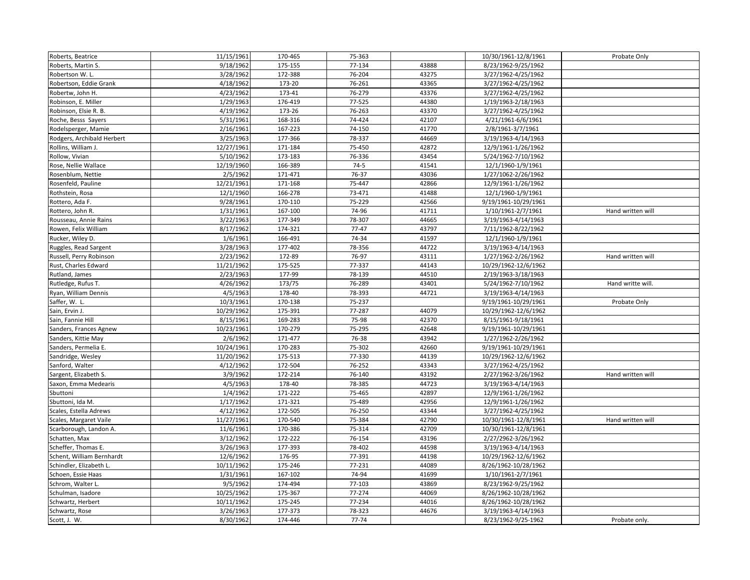| Roberts, Beatrice          | 11/15/1961 | 170-465 | 75-363    |       | 10/30/1961-12/8/1961 | Probate Only      |
|----------------------------|------------|---------|-----------|-------|----------------------|-------------------|
| Roberts, Martin S.         | 9/18/1962  | 175-155 | 77-134    | 43888 | 8/23/1962-9/25/1962  |                   |
| Robertson W.L.             | 3/28/1962  | 172-388 | 76-204    | 43275 | 3/27/1962-4/25/1962  |                   |
| Robertson, Eddie Grank     | 4/18/1962  | 173-20  | 76-261    | 43365 | 3/27/1962-4/25/1962  |                   |
| Robertw, John H.           | 4/23/1962  | 173-41  | 76-279    | 43376 | 3/27/1962-4/25/1962  |                   |
| Robinson, E. Miller        | 1/29/1963  | 176-419 | 77-525    | 44380 | 1/19/1963-2/18/1963  |                   |
| Robinson, Elsie R. B.      | 4/19/1962  | 173-26  | 76-263    | 43370 | 3/27/1962-4/25/1962  |                   |
| Roche, Besss Sayers        | 5/31/1961  | 168-316 | 74-424    | 42107 | 4/21/1961-6/6/1961   |                   |
| Rodelsperger, Mamie        | 2/16/1961  | 167-223 | 74-150    | 41770 | 2/8/1961-3/7/1961    |                   |
| Rodgers, Archibald Herbert | 3/25/1963  | 177-366 | 78-337    | 44669 | 3/19/1963-4/14/1963  |                   |
| Rollins, William J.        | 12/27/1961 | 171-184 | 75-450    | 42872 | 12/9/1961-1/26/1962  |                   |
| Rollow, Vivian             | 5/10/1962  | 173-183 | 76-336    | 43454 | 5/24/1962-7/10/1962  |                   |
| Rose, Nellie Wallace       | 12/19/1960 | 166-389 | $74-5$    | 41541 | 12/1/1960-1/9/1961   |                   |
| Rosenblum, Nettie          | 2/5/1962   | 171-471 | 76-37     | 43036 | 1/27/1062-2/26/1962  |                   |
| Rosenfeld, Pauline         | 12/21/1961 | 171-168 | 75-447    | 42866 | 12/9/1961-1/26/1962  |                   |
| Rothstein, Rosa            | 12/1/1960  | 166-278 | 73-471    | 41488 | 12/1/1960-1/9/1961   |                   |
| Rottero, Ada F.            | 9/28/1961  | 170-110 | 75-229    | 42566 | 9/19/1961-10/29/1961 |                   |
| Rottero, John R.           | 1/31/1961  | 167-100 | 74-96     | 41711 | 1/10/1961-2/7/1961   | Hand written will |
| Rousseau, Annie Rains      | 3/22/1963  | 177-349 | 78-307    | 44665 | 3/19/1963-4/14/1963  |                   |
| Rowen, Felix William       | 8/17/1962  | 174-321 | $77 - 47$ | 43797 | 7/11/1962-8/22/1962  |                   |
| Rucker, Wiley D.           | 1/6/1961   | 166-491 | 74-34     | 41597 | 12/1/1960-1/9/1961   |                   |
| Ruggles, Read Sargent      | 3/28/1963  | 177-402 | 78-356    | 44722 | 3/19/1963-4/14/1963  |                   |
| Russell, Perry Robinson    | 2/23/1962  | 172-89  | 76-97     | 43111 | 1/27/1962-2/26/1962  | Hand written will |
| Rust, Charles Edward       | 11/21/1962 | 175-525 | 77-337    | 44143 | 10/29/1962-12/6/1962 |                   |
| Rutland, James             | 2/23/1963  | 177-99  | 78-139    | 44510 | 2/19/1963-3/18/1963  |                   |
| Rutledge, Rufus T.         | 4/26/1962  | 173/75  | 76-289    | 43401 | 5/24/1962-7/10/1962  | Hand writte will. |
| Ryan, William Dennis       | 4/5/1963   | 178-40  | 78-393    | 44721 | 3/19/1963-4/14/1963  |                   |
| Saffer, W. L.              | 10/3/1961  | 170-138 | 75-237    |       | 9/19/1961-10/29/1961 | Probate Only      |
| Sain, Ervin J.             | 10/29/1962 | 175-391 | 77-287    | 44079 | 10/29/1962-12/6/1962 |                   |
| Sain, Fannie Hill          | 8/15/1961  | 169-283 | 75-98     | 42370 | 8/15/1961-9/18/1961  |                   |
| Sanders, Frances Agnew     | 10/23/1961 | 170-279 | 75-295    | 42648 | 9/19/1961-10/29/1961 |                   |
| Sanders, Kittie May        | 2/6/1962   | 171-477 | 76-38     | 43942 | 1/27/1962-2/26/1962  |                   |
| Sanders, Permelia E.       | 10/24/1961 | 170-283 | 75-302    | 42660 | 9/19/1961-10/29/1961 |                   |
| Sandridge, Wesley          | 11/20/1962 | 175-513 | 77-330    | 44139 | 10/29/1962-12/6/1962 |                   |
| Sanford, Walter            | 4/12/1962  | 172-504 | 76-252    | 43343 | 3/27/1962-4/25/1962  |                   |
| Sargent, Elizabeth S.      | 3/9/1962   | 172-214 | 76-140    | 43192 | 2/27/1962-3/26/1962  | Hand written will |
| Saxon, Emma Medearis       | 4/5/1963   | 178-40  | 78-385    | 44723 | 3/19/1963-4/14/1963  |                   |
| Sbuttoni                   | 1/4/1962   | 171-222 | 75-465    | 42897 | 12/9/1961-1/26/1962  |                   |
| Sbuttoni, Ida M.           | 1/17/1962  | 171-321 | 75-489    | 42956 | 12/9/1961-1/26/1962  |                   |
| Scales, Estella Adrews     | 4/12/1962  | 172-505 | 76-250    | 43344 | 3/27/1962-4/25/1962  |                   |
| Scales, Margaret Vaile     | 11/27/1961 | 170-540 | 75-384    | 42790 | 10/30/1961-12/8/1961 | Hand written will |
| Scarborough, Landon A.     | 11/6/1961  | 170-386 | 75-314    | 42709 | 10/30/1961-12/8/1961 |                   |
| Schatten, Max              | 3/12/1962  | 172-222 | 76-154    | 43196 | 2/27/2962-3/26/1962  |                   |
| Scheffer, Thomas E.        | 3/26/1963  | 177-393 | 78-402    | 44598 | 3/19/1963-4/14/1963  |                   |
| Schent, William Bernhardt  | 12/6/1962  | 176-95  | 77-391    | 44198 | 10/29/1962-12/6/1962 |                   |
| Schindler, Elizabeth L     | 10/11/1962 | 175-246 | 77-231    | 44089 | 8/26/1962-10/28/1962 |                   |
| Schoen, Essie Haas         | 1/31/1961  | 167-102 | 74-94     | 41699 | 1/10/1961-2/7/1961   |                   |
| Schrom, Walter L.          | 9/5/1962   | 174-494 | 77-103    | 43869 | 8/23/1962-9/25/1962  |                   |
| Schulman, Isadore          | 10/25/1962 | 175-367 | 77-274    | 44069 | 8/26/1962-10/28/1962 |                   |
| Schwartz, Herbert          | 10/11/1962 | 175-245 | 77-234    | 44016 | 8/26/1962-10/28/1962 |                   |
| Schwartz, Rose             | 3/26/1963  | 177-373 | 78-323    | 44676 | 3/19/1963-4/14/1963  |                   |
| Scott, J. W.               | 8/30/1962  | 174-446 | 77-74     |       | 8/23/1962-9/25-1962  | Probate only.     |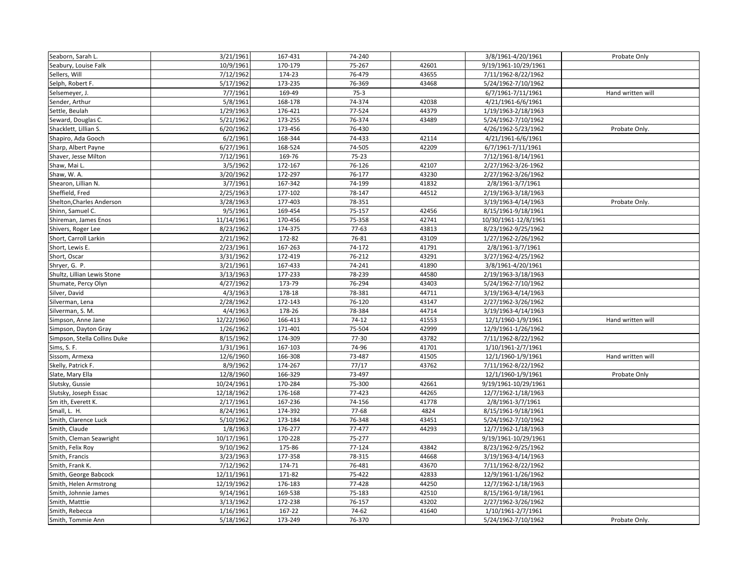| Seaborn, Sarah L.            | 3/21/1961             | 167-431 | 74-240    |       | 3/8/1961-4/20/1961   | Probate Only      |
|------------------------------|-----------------------|---------|-----------|-------|----------------------|-------------------|
| Seabury, Louise Falk         | 10/9/1961             | 170-179 | 75-267    | 42601 | 9/19/1961-10/29/1961 |                   |
| Sellers, Will                | 7/12/1962             | 174-23  | 76-479    | 43655 | 7/11/1962-8/22/1962  |                   |
| Selph, Robert F.             | 5/17/1962             | 173-235 | 76-369    | 43468 | 5/24/1962-7/10/1962  |                   |
| Selsemeyer, J.               | 7/7/1961              | 169-49  | $75-3$    |       | 6/7/1961-7/11/1961   | Hand written will |
| Sender, Arthur               | 5/8/1961              | 168-178 | 74-374    | 42038 | 4/21/1961-6/6/1961   |                   |
| Settle, Beulah               | 1/29/1963             | 176-421 | 77-524    | 44379 | 1/19/1963-2/18/1963  |                   |
| Seward, Douglas C.           | 5/21/1962             | 173-255 | 76-374    | 43489 | 5/24/1962-7/10/1962  |                   |
| Shacklett, Lillian S.        | 6/20/1962             | 173-456 | 76-430    |       | 4/26/1962-5/23/1962  | Probate Only.     |
| Shapiro, Ada Gooch           | 6/2/1961              | 168-344 | 74-433    | 42114 | 4/21/1961-6/6/1961   |                   |
| Sharp, Albert Payne          | 6/27/1961             | 168-524 | 74-505    | 42209 | 6/7/1961-7/11/1961   |                   |
| Shaver, Jesse Milton         | $\frac{1}{7}$ 12/1961 | 169-76  | $75 - 23$ |       | 7/12/1961-8/14/1961  |                   |
| Shaw, Mai L.                 | 3/5/1962              | 172-167 | 76-126    | 42107 | 2/27/1962-3/26-1962  |                   |
| Shaw, W. A.                  | 3/20/1962             | 172-297 | 76-177    | 43230 | 2/27/1962-3/26/1962  |                   |
| Shearon, Lillian N.          | 3/7/1961              | 167-342 | 74-199    | 41832 | 2/8/1961-3/7/1961    |                   |
| Sheffield, Fred              | 2/25/1963             | 177-102 | 78-147    | 44512 | 2/19/1963-3/18/1963  |                   |
| Shelton, Charles Anderson    | 3/28/1963             | 177-403 | 78-351    |       | 3/19/1963-4/14/1963  | Probate Only.     |
| Shinn, Samuel C.             | 9/5/1961              | 169-454 | 75-157    | 42456 | 8/15/1961-9/18/1961  |                   |
| Shireman, James Enos         | 11/14/1961            | 170-456 | 75-358    | 42741 | 10/30/1961-12/8/1961 |                   |
| Shivers, Roger Lee           | 8/23/1962             | 174-375 | $77-63$   | 43813 | 8/23/1962-9/25/1962  |                   |
| Short, Carroll Larkin        | 2/21/1962             | 172-82  | 76-81     | 43109 | 1/27/1962-2/26/1962  |                   |
| Short, Lewis E.              | 2/23/1961             | 167-263 | 74-172    | 41791 | 2/8/1961-3/7/1961    |                   |
| Short, Oscar                 | 3/31/1962             | 172-419 | 76-212    | 43291 | 3/27/1962-4/25/1962  |                   |
| Shryer, G. P.                | 3/21/1961             | 167-433 | 74-241    | 41890 | 3/8/1961-4/20/1961   |                   |
| Shultz, Lillian Lewis Stone  | 3/13/1963             | 177-233 | 78-239    | 44580 | 2/19/1963-3/18/1963  |                   |
| Shumate, Percy Olyn          | 4/27/1962             | 173-79  | 76-294    | 43403 | 5/24/1962-7/10/1962  |                   |
| Silver, David                | 4/3/1963              | 178-18  | 78-381    | 44711 | 3/19/1963-4/14/1963  |                   |
| Silverman, Lena              | 2/28/1962             | 172-143 | 76-120    | 43147 | 2/27/1962-3/26/1962  |                   |
| Silverman, S. M.             | 4/4/1963              | 178-26  | 78-384    | 44714 | 3/19/1963-4/14/1963  |                   |
| Simpson, Anne Jane           | 12/22/1960            | 166-413 | $74-12$   | 41553 | 12/1/1960-1/9/1961   | Hand written will |
| Simpson, Dayton Gray         | 1/26/1962             | 171-401 | 75-504    | 42999 | 12/9/1961-1/26/1962  |                   |
| Simpson, Stella Collins Duke | 8/15/1962             | 174-309 | 77-30     | 43782 | 7/11/1962-8/22/1962  |                   |
| Sims, S. F.                  | 1/31/1961             | 167-103 | 74-96     | 41701 | 1/10/1961-2/7/1961   |                   |
| Sissom, Armexa               | 12/6/1960             | 166-308 | 73-487    | 41505 | 12/1/1960-1/9/1961   | Hand written will |
| Skelly, Patrick F.           | 8/9/1962              | 174-267 | 77/17     | 43762 | 7/11/1962-8/22/1962  |                   |
| Slate, Mary Ella             | 12/8/1960             | 166-329 | 73-497    |       | 12/1/1960-1/9/1961   | Probate Only      |
| Slutsky, Gussie              | 10/24/1961            | 170-284 | 75-300    | 42661 | 9/19/1961-10/29/1961 |                   |
| Slutsky, Joseph Essac        | 12/18/1962            | 176-168 | 77-423    | 44265 | 12/7/1962-1/18/1963  |                   |
| Sm ith, Everett K.           | 2/17/1961             | 167-236 | 74-156    | 41778 | 2/8/1961-3/7/1961    |                   |
| Small, L. H.                 | 8/24/1961             | 174-392 | 77-68     | 4824  | 8/15/1961-9/18/1961  |                   |
| Smith, Clarence Luck         | 5/10/1962             | 173-184 | 76-348    | 43451 | 5/24/1962-7/10/1962  |                   |
| Smith, Claude                | 1/8/1963              | 176-277 | 77-477    | 44293 | 12/7/1962-1/18/1963  |                   |
| Smith, Cleman Seawright      | 10/17/1961            | 170-228 | 75-277    |       | 9/19/1961-10/29/1961 |                   |
| Smith, Felix Roy             | 9/10/1962             | 175-86  | 77-124    | 43842 | 8/23/1962-9/25/1962  |                   |
| Smith, Francis               | 3/23/1963             | 177-358 | 78-315    | 44668 | 3/19/1963-4/14/1963  |                   |
| Smith, Frank K.              | 7/12/1962             | 174-71  | 76-481    | 43670 | 7/11/1962-8/22/1962  |                   |
| Smith, George Babcock        | 12/11/1961            | 171-82  | 75-422    | 42833 | 12/9/1961-1/26/1962  |                   |
| Smith, Helen Armstrong       | 12/19/1962            | 176-183 | 77-428    | 44250 | 12/7/1962-1/18/1963  |                   |
| Smith, Johnnie James         | 9/14/1961             | 169-538 | 75-183    | 42510 | 8/15/1961-9/18/1961  |                   |
| Smith, Matttie               | 3/13/1962             | 172-238 | 76-157    | 43202 | 2/27/1962-3/26/1962  |                   |
| Smith, Rebecca               | 1/16/1961             | 167-22  | 74-62     | 41640 | 1/10/1961-2/7/1961   |                   |
| Smith, Tommie Ann            | 5/18/1962             | 173-249 | 76-370    |       | 5/24/1962-7/10/1962  | Probate Only.     |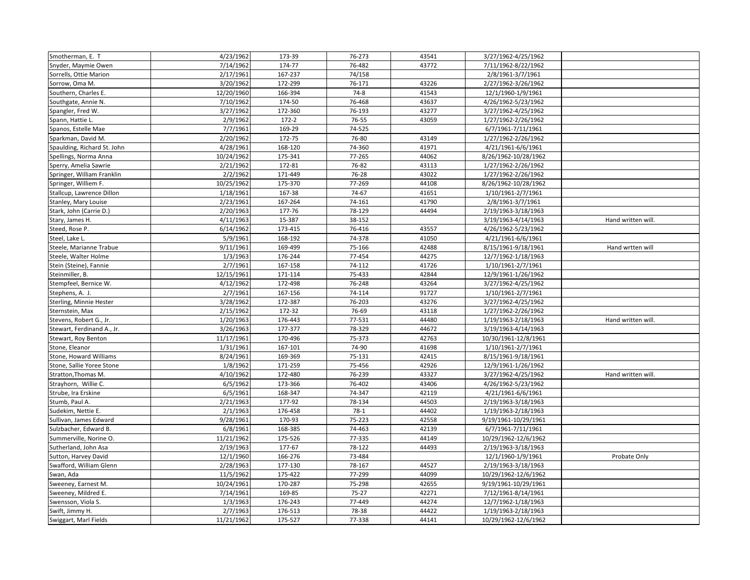| Smotherman, E. T            | 4/23/1962  | 173-39    | 76-273    | 43541 | 3/27/1962-4/25/1962  |                    |
|-----------------------------|------------|-----------|-----------|-------|----------------------|--------------------|
| Snyder, Maymie Owen         | 7/14/1962  | 174-77    | 76-482    | 43772 | 7/11/1962-8/22/1962  |                    |
| Sorrells, Ottie Marion      | 2/17/1961  | 167-237   | 74/158    |       | 2/8/1961-3/7/1961    |                    |
| Sorrow, Oma M.              | 3/20/1962  | 172-299   | 76-171    | 43226 | 2/27/1962-3/26/1962  |                    |
| Southern, Charles E.        | 12/20/1960 | 166-394   | $74-8$    | 41543 | 12/1/1960-1/9/1961   |                    |
| Southgate, Annie N.         | 7/10/1962  | 174-50    | 76-468    | 43637 | 4/26/1962-5/23/1962  |                    |
| Spangler, Fred W.           | 3/27/1962  | 172-360   | 76-193    | 43277 | 3/27/1962-4/25/1962  |                    |
| Spann, Hattie L.            | 2/9/1962   | $172 - 2$ | 76-55     | 43059 | 1/27/1962-2/26/1962  |                    |
| Spanos, Estelle Mae         | 7/7/1961   | 169-29    | 74-525    |       | 6/7/1961-7/11/1961   |                    |
| Sparkman, David M.          | 2/20/1962  | 172-75    | 76-80     | 43149 | 1/27/1962-2/26/1962  |                    |
| Spaulding, Richard St. John | 4/28/1961  | 168-120   | 74-360    | 41971 | 4/21/1961-6/6/1961   |                    |
| Spellings, Norma Anna       | 10/24/1962 | 175-341   | 77-265    | 44062 | 8/26/1962-10/28/1962 |                    |
| Sperry, Amelia Sawrie       | 2/21/1962  | 172-81    | 76-82     | 43113 | 1/27/1962-2/26/1962  |                    |
| Springer, William Franklin  | 2/2/1962   | 171-449   | 76-28     | 43022 | 1/27/1962-2/26/1962  |                    |
| Springer, Williem F.        | 10/25/1962 | 175-370   | 77-269    | 44108 | 8/26/1962-10/28/1962 |                    |
| Stallcup, Lawrence Dillon   | 1/18/1961  | 167-38    | 74-67     | 41651 | 1/10/1961-2/7/1961   |                    |
| Stanley, Mary Louise        | 2/23/1961  | 167-264   | 74-161    | 41790 | 2/8/1961-3/7/1961    |                    |
| Stark, John (Carrie D.)     | 2/20/1963  | 177-76    | 78-129    | 44494 | 2/19/1963-3/18/1963  |                    |
| Stary, James H.             | 4/11/1963  | 15-387    | 38-152    |       | 3/19/1963-4/14/1963  | Hand written will. |
| Steed, Rose P.              | 6/14/1962  | 173-415   | 76-416    | 43557 | 4/26/1962-5/23/1962  |                    |
| Steel, Lake L.              | 5/9/1961   | 168-192   | 74-378    | 41050 | 4/21/1961-6/6/1961   |                    |
| Steele, Marianne Trabue     | 9/11/1961  | 169-499   | 75-166    | 42488 | 8/15/1961-9/18/1961  | Hand wrtten will   |
| Steele, Walter Holme        | 1/3/1963   | 176-244   | 77-454    | 44275 | 12/7/1962-1/18/1963  |                    |
| Stein (Steine), Fannie      | 2/7/1961   | 167-158   | 74-112    | 41726 | 1/10/1961-2/7/1961   |                    |
| Steinmiller, B.             | 12/15/1961 | 171-114   | 75-433    | 42844 | 12/9/1961-1/26/1962  |                    |
| Stempfeel, Bernice W.       | 4/12/1962  | 172-498   | 76-248    | 43264 | 3/27/1962-4/25/1962  |                    |
| Stephens, A. J.             | 2/7/1961   | 167-156   | 74-114    | 91727 | 1/10/1961-2/7/1961   |                    |
| Sterling, Minnie Hester     | 3/28/1962  | 172-387   | 76-203    | 43276 | 3/27/1962-4/25/1962  |                    |
| Sternstein, Max             | 2/15/1962  | 172-32    | 76-69     | 43118 | 1/27/1962-2/26/1962  |                    |
| Stevens, Robert G., Jr.     | 1/20/1963  | 176-443   | 77-531    | 44480 | 1/19/1963-2/18/1963  | Hand written will. |
| Stewart, Ferdinand A., Jr.  | 3/26/1963  | 177-377   | 78-329    | 44672 | 3/19/1963-4/14/1963  |                    |
| Stewart, Roy Benton         | 11/17/1961 | 170-496   | 75-373    | 42763 | 10/30/1961-12/8/1961 |                    |
| Stone, Eleanor              | 1/31/1961  | 167-101   | 74-90     | 41698 | 1/10/1961-2/7/1961   |                    |
| Stone, Howard Williams      | 8/24/1961  | 169-369   | 75-131    | 42415 | 8/15/1961-9/18/1961  |                    |
| Stone, Sallie Yoree Stone   | 1/8/1962   | 171-259   | 75-456    | 42926 | 12/9/1961-1/26/1962  |                    |
| Stratton, Thomas M.         | 4/10/1962  | 172-480   | 76-239    | 43327 | 3/27/1962-4/25/1962  | Hand written will. |
| Strayhorn, Willie C.        | 6/5/1962   | 173-366   | 76-402    | 43406 | 4/26/1962-5/23/1962  |                    |
| Strube, Ira Erskine         | 6/5/1961   | 168-347   | 74-347    | 42119 | 4/21/1961-6/6/1961   |                    |
| Stumb, Paul A.              | 2/21/1963  | 177-92    | 78-134    | 44503 | 2/19/1963-3/18/1963  |                    |
| Sudekim, Nettie E.          | 2/1/1963   | 176-458   | $78-1$    | 44402 | 1/19/1963-2/18/1963  |                    |
| Sullivan, James Edward      | 9/28/1961  | 170-93    | 75-223    | 42558 | 9/19/1961-10/29/1961 |                    |
| Sulzbacher, Edward B.       | 6/8/1961   | 168-385   | 74-463    | 42139 | 6/7/1961-7/11/1961   |                    |
| Summerville, Norine O.      | 11/21/1962 | 175-526   | 77-335    | 44149 | 10/29/1962-12/6/1962 |                    |
| Sutherland, John Asa        | 2/19/1963  | 177-67    | 78-122    | 44493 | 2/19/1963-3/18/1963  |                    |
| Sutton, Harvey David        | 12/1/1960  | 166-276   | 73-484    |       | 12/1/1960-1/9/1961   | Probate Only       |
| Swafford, William Glenn     | 2/28/1963  | 177-130   | 78-167    | 44527 | 2/19/1963-3/18/1963  |                    |
| Swan, Ada                   | 11/5/1962  | 175-422   | 77-299    | 44099 | 10/29/1962-12/6/1962 |                    |
| Sweeney, Earnest M.         | 10/24/1961 | 170-287   | 75-298    | 42655 | 9/19/1961-10/29/1961 |                    |
| Sweeney, Mildred E.         | 7/14/1961  | 169-85    | $75 - 27$ | 42271 | 7/12/1961-8/14/1961  |                    |
| Swensson, Viola S.          | 1/3/1963   | 176-243   | 77-449    | 44274 | 12/7/1962-1/18/1963  |                    |
| Swift, Jimmy H.             | 2/7/1963   | 176-513   | 78-38     | 44422 | 1/19/1963-2/18/1963  |                    |
| Swiggart, Marl Fields       | 11/21/1962 | 175-527   | 77-338    | 44141 | 10/29/1962-12/6/1962 |                    |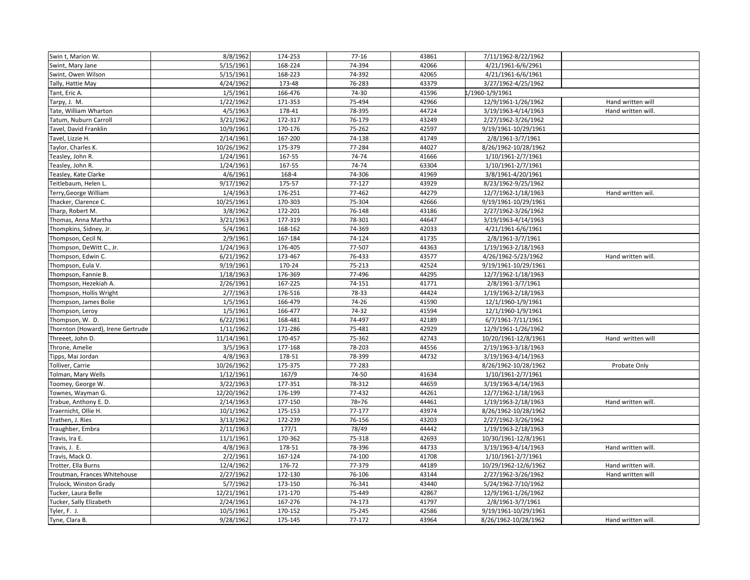| Swin t, Marion W.                 | 8/8/1962   | 174-253 | $77 - 16$ | 43861 | 7/11/1962-8/22/1962  |                    |
|-----------------------------------|------------|---------|-----------|-------|----------------------|--------------------|
| Swint, Mary Jane                  | 5/15/1961  | 168-224 | 74-394    | 42066 | 4/21/1961-6/6/2961   |                    |
| Swint, Owen Wilson                | 5/15/1961  | 168-223 | 74-392    | 42065 | 4/21/1961-6/6/1961   |                    |
| Tally, Hattie May                 | 4/24/1962  | 173-48  | 76-283    | 43379 | 3/27/1962-4/25/1962  |                    |
| Tant, Eric A.                     | 1/5/1961   | 166-476 | 74-30     | 41596 | /1960-1/9/1961       |                    |
| Tarpy, J. M.                      | 1/22/1962  | 171-353 | 75-494    | 42966 | 12/9/1961-1/26/1962  | Hand written will  |
| Tate, William Wharton             | 4/5/1963   | 178-41  | 78-395    | 44724 | 3/19/1963-4/14/1963  | Hand written will. |
| Tatum, Nuburn Carroll             | 3/21/1962  | 172-317 | 76-179    | 43249 | 2/27/1962-3/26/1962  |                    |
| Tavel, David Franklin             | 10/9/1961  | 170-176 | 75-262    | 42597 | 9/19/1961-10/29/1961 |                    |
| Tavel, Lizzie H.                  | 2/14/1961  | 167-200 | 74-138    | 41749 | 2/8/1961-3/7/1961    |                    |
| Taylor, Charles K.                | 10/26/1962 | 175-379 | 77-284    | 44027 | 8/26/1962-10/28/1962 |                    |
| Teasley, John R.                  | 1/24/1961  | 167-55  | 74-74     | 41666 | 1/10/1961-2/7/1961   |                    |
| Teasley, John R.                  | 1/24/1961  | 167-55  | 74-74     | 63304 | 1/10/1961-2/7/1961   |                    |
| Teasley, Kate Clarke              | 4/6/1961   | 168-4   | 74-306    | 41969 | 3/8/1961-4/20/1961   |                    |
| Teitlebaum, Helen L.              | 9/17/1962  | 175-57  | 77-127    | 43929 | 8/23/1962-9/25/1962  |                    |
| Terry, George William             | 1/4/1963   | 176-251 | 77-462    | 44279 | 12/7/1962-1/18/1963  | Hand written wil.  |
| Thacker, Clarence C.              | 10/25/1961 | 170-303 | 75-304    | 42666 | 9/19/1961-10/29/1961 |                    |
| Tharp, Robert M.                  | 3/8/1962   | 172-201 | 76-148    | 43186 | 2/27/1962-3/26/1962  |                    |
| Thomas, Anna Martha               | 3/21/1963  | 177-319 | 78-301    | 44647 | 3/19/1963-4/14/1963  |                    |
| Thompkins, Sidney, Jr.            | 5/4/1961   | 168-162 | 74-369    | 42033 | 4/21/1961-6/6/1961   |                    |
| Thompson, Cecil N.                | 2/9/1961   | 167-184 | 74-124    | 41735 | 2/8/1961-3/7/1961    |                    |
| Thompson, DeWitt C., Jr.          | 1/24/1963  | 176-405 | 77-507    | 44363 | 1/19/1963-2/18/1963  |                    |
| Thompson, Edwin C.                | 6/21/1962  | 173-467 | 76-433    | 43577 | 4/26/1962-5/23/1962  | Hand written will. |
| Thompson, Eula V.                 | 9/19/1961  | 170-24  | 75-213    | 42524 | 9/19/1961-10/29/1961 |                    |
| Thompson, Fannie B.               | 1/18/1963  | 176-369 | 77-496    | 44295 | 12/7/1962-1/18/1963  |                    |
| Thompson, Hezekiah A.             | 2/26/1961  | 167-225 | 74-151    | 41771 | 2/8/1961-3/7/1961    |                    |
| Thompson, Hollis Wright           | 2/7/1963   | 176-516 | 78-33     | 44424 | 1/19/1963-2/18/1963  |                    |
| Thompson, James Bolie             | 1/5/1961   | 166-479 | 74-26     | 41590 | 12/1/1960-1/9/1961   |                    |
| Thompson, Leroy                   | 1/5/1961   | 166-477 | 74-32     | 41594 | 12/1/1960-1/9/1961   |                    |
| Thompson, W. D.                   | 6/22/1961  | 168-481 | 74-497    | 42189 | 6/7/1961-7/11/1961   |                    |
| Thornton (Howard), Irene Gertrude | 1/11/1962  | 171-286 | 75-481    | 42929 | 12/9/1961-1/26/1962  |                    |
| Threeet, John D.                  | 11/14/1961 | 170-457 | 75-362    | 42743 | 10/20/1961-12/8/1961 | Hand written will  |
| Throne, Amelie                    | 3/5/1963   | 177-168 | 78-203    | 44556 | 2/19/1963-3/18/1963  |                    |
| Tipps, Mai Jordan                 | 4/8/1963   | 178-51  | 78-399    | 44732 | 3/19/1963-4/14/1963  |                    |
| Tolliver, Carrie                  | 10/26/1962 | 175-375 | 77-283    |       | 8/26/1962-10/28/1962 | Probate Only       |
| Tolman, Mary Wells                | 1/12/1961  | 167/9   | 74-50     | 41634 | 1/10/1961-2/7/1961   |                    |
| Toomey, George W.                 | 3/22/1963  | 177-351 | 78-312    | 44659 | 3/19/1963-4/14/1963  |                    |
| Townes, Wayman G.                 | 12/20/1962 | 176-199 | 77-432    | 44261 | 12/7/1962-1/18/1963  |                    |
| Trabue, Anthony E. D.             | 2/14/1963  | 177-150 | $78 = 76$ | 44461 | 1/19/1963-2/18/1963  | Hand written will. |
| Traernicht, Ollie H.              | 10/1/1962  | 175-153 | 77-177    | 43974 | 8/26/1962-10/28/1962 |                    |
| Trathen, J. Ries                  | 3/13/1962  | 172-239 | 76-156    | 43203 | 2/27/1962-3/26/1962  |                    |
| Traughber, Embra                  | 2/11/1963  | 177/1   | 78/49     | 44442 | 1/19/1963-2/18/1963  |                    |
| Travis, Ira E.                    | 11/1/1961  | 170-362 | 75-318    | 42693 | 10/30/1961-12/8/1961 |                    |
| Travis, J. E.                     | 4/8/1963   | 178-51  | 78-396    | 44733 | 3/19/1963-4/14/1963  | Hand written will. |
| Travis, Mack O.                   | 2/2/1961   | 167-124 | 74-100    | 41708 | 1/10/1961-2/7/1961   |                    |
| Trotter, Ella Burns               | 12/4/1962  | 176-72  | 77-379    | 44189 | 10/29/1962-12/6/1962 | Hand written will. |
| Troutman, Frances Whitehouse      | 2/27/1962  | 172-130 | 76-106    | 43144 | 2/27/1962-3/26/1962  | Hand written will  |
| Trulock, Winston Grady            | 5/7/1962   | 173-150 | 76-341    | 43440 | 5/24/1962-7/10/1962  |                    |
| Tucker, Laura Belle               | 12/21/1961 | 171-170 | 75-449    | 42867 | 12/9/1961-1/26/1962  |                    |
| Tucker, Sally Elizabeth           | 2/24/1961  | 167-276 | 74-173    | 41797 | 2/8/1961-3/7/1961    |                    |
| Tyler, F. J.                      | 10/5/1961  | 170-152 | 75-245    | 42586 | 9/19/1961-10/29/1961 |                    |
| Tyne, Clara B.                    | 9/28/1962  | 175-145 | 77-172    | 43964 | 8/26/1962-10/28/1962 | Hand written will. |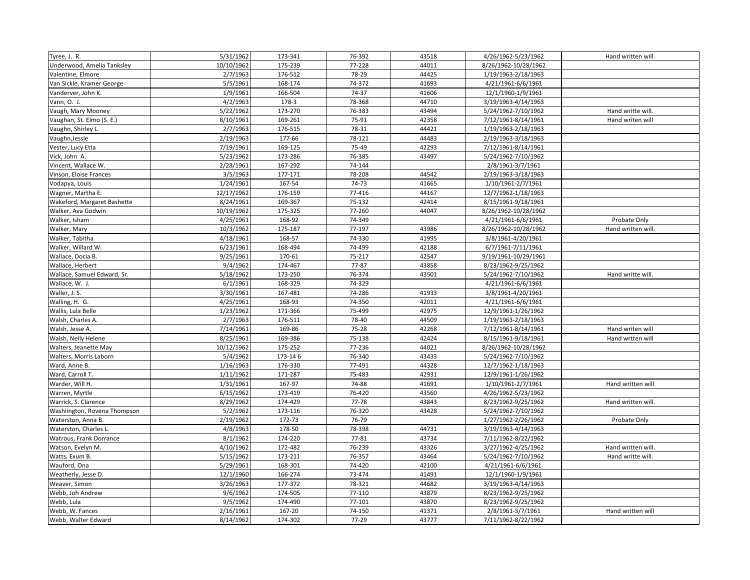| Tyree, J. R.                 | 5/31/1962            | 173-341 | 76-392 | 43518 | 4/26/1962-5/23/1962  | Hand written will. |
|------------------------------|----------------------|---------|--------|-------|----------------------|--------------------|
| Underwood, Amelia Tanksley   | 10/10/1962           | 175-239 | 77-228 | 44011 | 8/26/1962-10/28/1962 |                    |
| Valentine, Elmore            | 2/7/1963             | 176-512 | 78-29  | 44425 | 1/19/1963-2/18/1963  |                    |
| Van Sickle, Kramer George    | 5/5/1961             | 168-174 | 74-372 | 41693 | 4/21/1961-6/6/1961   |                    |
| Vanderver, John K.           | 1/9/1961             | 166-504 | 74-37  | 41606 | 12/1/1960-1/9/1961   |                    |
| Vann, O. J.                  | 4/2/1963             | 178-3   | 78-368 | 44710 | 3/19/1963-4/14/1963  |                    |
| Vaugh, Mary Mooney           | 5/22/1962            | 173-270 | 76-383 | 43494 | 5/24/1962-7/10/1962  | Hand writte will.  |
| Vaughan, St. Elmo (S. E.)    | 8/10/1961            | 169-261 | 75-91  | 42358 | 7/12/1961-8/14/1961  | Hand writen will   |
| Vaughn, Shirley L.           | 2/7/1963             | 176-515 | 78-31  | 44421 | 1/19/1963-2/18/1963  |                    |
| Vaughn, Jessie               | 2/19/1963            | 177-66  | 78-121 | 44483 | 2/19/1963-3/18/1963  |                    |
| Vester, Lucy Etta            | 7/19/1961            | 169-125 | 75-49  | 42293 | 7/12/1961-8/14/1961  |                    |
| Vick, John A.                | 5/23/1962            | 173-286 | 76-385 | 43497 | 5/24/1962-7/10/1962  |                    |
| Vincent, Wallace W.          | 2/28/1961            | 167-292 | 74-144 |       | 2/8/1961-3/7/1961    |                    |
| Vinson, Eloise Frances       | 3/5/1963             | 177-171 | 78-208 | 44542 | 2/19/1963-3/18/1963  |                    |
| Vodapya, Louis               | 1/24/1961            | 167-54  | 74-73  | 41665 | 1/10/1961-2/7/1961   |                    |
| Wagner, Martha E.            | 12/17/1962           | 176-159 | 77-416 | 44167 | 12/7/1962-1/18/1963  |                    |
| Wakeford, Margaret Bashette  | 8/24/1961            | 169-367 | 75-132 | 42414 | 8/15/1961-9/18/1961  |                    |
| Walker, Ava Godwin           | 10/19/1962           | 175-325 | 77-260 | 44047 | 8/26/1962-10/28/1962 |                    |
| Walker, Isham                | 4/25/1961            | 168-92  | 74-349 |       | 4/21/1961-6/6/1961   | Probate Only       |
| Walker, Mary                 | 10/3/1962            | 175-187 | 77-197 | 43986 | 8/26/1962-10/28/1962 | Hand written will. |
| Walker, Tabitha              | 4/18/1961            | 168-57  | 74-330 | 41995 | 3/8/1961-4/20/1961   |                    |
| Walker, Willard W.           | 6/23/1961            | 168-494 | 74-499 | 42188 | 6/7/1961-7/11/1961   |                    |
| Wallace, Docia B.            | 9/25/1961            | 170-61  | 75-217 | 42547 | 9/19/1961-10/29/1961 |                    |
| Wallace, Herbert             | 9/4/1962             | 174-467 | 77-87  | 43858 | 8/23/1962-9/25/1962  |                    |
| Wallace, Samuel Edward, Sr.  | 5/18/1962            | 173-250 | 76-374 | 43501 | 5/24/1962-7/10/1962  | Hand writte will.  |
| Wallace, W. J.               | 6/1/1961             | 168-329 | 74-329 |       | 4/21/1961-6/6/1961   |                    |
| Waller, J. S.                | 3/30/1961            | 167-481 | 74-286 | 41933 | 3/8/1961-4/20/1961   |                    |
| Walling, H. G.               | 4/25/1961            | 168-93  | 74-350 | 42011 | 4/21/1961-6/6/1961   |                    |
| Wallis, Lula Belle           | 1/23/1962            | 171-366 | 75-499 | 42975 | 12/9/1961-1/26/1962  |                    |
| Walsh, Charles A.            | 2/7/1963             | 176-511 | 78-40  | 44509 | 1/19/1963-2/18/1963  |                    |
| Walsh, Jesse A.              | 7/14/1961            | 169-86  | 75-28  | 42268 | 7/12/1961-8/14/1961  | Hand writen will   |
| Walsh, Nelly Helene          | 8/25/1961            | 169-386 | 75-138 | 42424 | 8/15/1961-9/18/1961  | Hand wrtten will   |
| Walters, Jeanette May        | 10/12/1962           | 175-252 | 77-236 | 44021 | 8/26/1962-10/28/1962 |                    |
| Walters, Morris Laborn       | 5/4/1962             | 173-146 | 76-340 | 43433 | 5/24/1962-7/10/1962  |                    |
| Ward, Anne B.                | 1/16/1963            | 176-330 | 77-491 | 44328 | 12/7/1962-1/18/1963  |                    |
| Ward, Carroll T.             | 1/11/1962            | 171-287 | 75-483 | 42931 | 12/9/1961-1/26/1962  |                    |
| Warder, Will H.              | 1/31/1961            | 167-97  | 74-88  | 41691 | 1/10/1961-2/7/1961   | Hand written will  |
| Warren, Myrtle               | 6/15/1962            | 173-419 | 76-420 | 43560 | 4/26/1962-5/23/1962  |                    |
| Warrick, S. Clarence         | 8/29/1962            | 174-429 | 77-78  | 43843 | 8/23/1962-9/25/1962  | Hand written will. |
| Washiington, Rovena Thompson | 5/2/1962             | 173-116 | 76-320 | 43428 | 5/24/1962-7/10/1962  |                    |
| Waterston, Anna B            | 2/19/1962            | 172-73  | 76-79  |       | 1/27/1962-2/26/1962  | Probate Only       |
| Waterston, Charles L.        | $\frac{1}{4}/8/1963$ | 178-50  | 78-398 | 44731 | 3/19/1963-4/14/1963  |                    |
| Watrous, Frank Dorrance      | 8/1/1962             | 174-220 | 77-81  | 43734 | 7/11/1962-8/22/1962  |                    |
| Watson, Evelyn M.            | 4/10/1962            | 172-482 | 76-239 | 43326 | 3/27/1962-4/25/1962  | Hand written will. |
| Watts, Exum B.               | 5/15/1962            | 173-211 | 76-357 | 43464 | 5/24/1962-7/10/1962  | Hand writte will.  |
| Wauford, Ona                 | 5/29/1961            | 168-301 | 74-420 | 42100 | 4/21/1961-6/6/1961   |                    |
| Weatherly, Jesse D.          | 12/1/1960            | 166-274 | 73-474 | 41491 | 12/1/1960-1/9/1961   |                    |
| Weaver, Simon                | 3/26/1963            | 177-372 | 78-321 | 44682 | 3/19/1963-4/14/1963  |                    |
| Webb, Joh Andrew             | 9/6/1962             | 174-505 | 77-110 | 43879 | 8/23/1962-9/25/1962  |                    |
| Webb, Lula                   | 9/5/1962             | 174-490 | 77-101 | 43870 | 8/23/1962-9/25/1962  |                    |
| Webb, W. Fances              | 2/16/1961            | 167-20  | 74-150 | 41371 | 2/8/1961-3/7/1961    | Hand written will  |
| Webb, Walter Edward          | 8/14/1962            | 174-302 | 77-29  | 43777 | 7/11/1962-8/22/1962  |                    |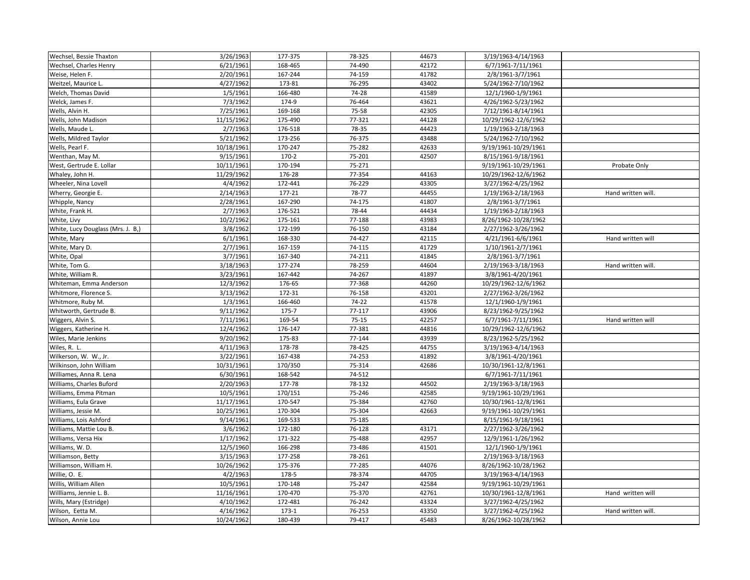| Wechsel, Bessie Thaxton           | 3/26/1963  | 177-375 | 78-325    | 44673 | 3/19/1963-4/14/1963  |                    |
|-----------------------------------|------------|---------|-----------|-------|----------------------|--------------------|
| Wechsel, Charles Henry            | 6/21/1961  | 168-465 | 74-490    | 42172 | 6/7/1961-7/11/1961   |                    |
| Weise, Helen F.                   | 2/20/1961  | 167-244 | 74-159    | 41782 | 2/8/1961-3/7/1961    |                    |
| Weitzel, Maurice L                | 4/27/1962  | 173-81  | 76-295    | 43402 | 5/24/1962-7/10/1962  |                    |
| Welch, Thomas David               | 1/5/1961   | 166-480 | 74-28     | 41589 | 12/1/1960-1/9/1961   |                    |
| Welck, James F.                   | 7/3/1962   | 174-9   | 76-464    | 43621 | 4/26/1962-5/23/1962  |                    |
| Wells, Alvin H.                   | 7/25/1961  | 169-168 | 75-58     | 42305 | 7/12/1961-8/14/1961  |                    |
| Wells, John Madison               | 11/15/1962 | 175-490 | 77-321    | 44128 | 10/29/1962-12/6/1962 |                    |
| Wells, Maude L.                   | 2/7/1963   | 176-518 | 78-35     | 44423 | 1/19/1963-2/18/1963  |                    |
| Wells, Mildred Taylor             | 5/21/1962  | 173-256 | 76-375    | 43488 | 5/24/1962-7/10/1962  |                    |
| Wells, Pearl F.                   | 10/18/1961 | 170-247 | 75-282    | 42633 | 9/19/1961-10/29/1961 |                    |
| Wenthan, May M.                   | 9/15/1961  | $170-2$ | 75-201    | 42507 | 8/15/1961-9/18/1961  |                    |
| West, Gertrude E. Lollar          | 10/11/1961 | 170-194 | 75-271    |       | 9/19/1961-10/29/1961 | Probate Only       |
| Whaley, John H.                   | 11/29/1962 | 176-28  | 77-354    | 44163 | 10/29/1962-12/6/1962 |                    |
| Wheeler, Nina Lovell              | 4/4/1962   | 172-441 | 76-229    | 43305 | 3/27/1962-4/25/1962  |                    |
| Wherry, Georgie E.                | 2/14/1963  | 177-21  | 78-77     | 44455 | 1/19/1963-2/18/1963  | Hand written will. |
| Whipple, Nancy                    | 2/28/1961  | 167-290 | 74-175    | 41807 | 2/8/1961-3/7/1961    |                    |
| White, Frank H.                   | 2/7/1963   | 176-521 | 78-44     | 44434 | 1/19/1963-2/18/1963  |                    |
| White, Livy                       | 10/2/1962  | 175-161 | 77-188    | 43983 | 8/26/1962-10/28/1962 |                    |
| White, Lucy Douglass (Mrs. J. B,) | 3/8/1962   | 172-199 | 76-150    | 43184 | 2/27/1962-3/26/1962  |                    |
| White, Mary                       | 6/1/1961   | 168-330 | 74-427    | 42115 | 4/21/1961-6/6/1961   | Hand written will  |
| White, Mary D.                    | 2/7/1961   | 167-159 | 74-115    | 41729 | 1/10/1961-2/7/1961   |                    |
| White, Opal                       | 3/7/1961   | 167-340 | 74-211    | 41845 | 2/8/1961-3/7/1961    |                    |
| White, Tom G.                     | 3/18/1963  | 177-274 | 78-259    | 44604 | 2/19/1963-3/18/1963  | Hand written will. |
| White, William R.                 | 3/23/1961  | 167-442 | 74-267    | 41897 | 3/8/1961-4/20/1961   |                    |
| Whiteman, Emma Anderson           | 12/3/1962  | 176-65  | 77-368    | 44260 | 10/29/1962-12/6/1962 |                    |
| Whitmore, Florence S.             | 3/13/1962  | 172-31  | 76-158    | 43201 | 2/27/1962-3/26/1962  |                    |
| Whitmore, Ruby M.                 | 1/3/1961   | 166-460 | 74-22     | 41578 | 12/1/1960-1/9/1961   |                    |
| Whitworth, Gertrude B.            | 9/11/1962  | 175-7   | 77-117    | 43906 | 8/23/1962-9/25/1962  |                    |
| Wiggers, Alvin S.                 | 7/11/1961  | 169-54  | $75 - 15$ | 42257 | 6/7/1961-7/11/1961   | Hand written will  |
| Wiggers, Katherine H.             | 12/4/1962  | 176-147 | 77-381    | 44816 | 10/29/1962-12/6/1962 |                    |
| Wiles, Marie Jenkins              | 9/20/1962  | 175-83  | 77-144    | 43939 | 8/23/1962-5/25/1962  |                    |
| Wiles, R. L.                      | 4/11/1963  | 178-78  | 78-425    | 44755 | 3/19/1963-4/14/1963  |                    |
| Wilkerson, W. W., Jr.             | 3/22/1961  | 167-438 | 74-253    | 41892 | 3/8/1961-4/20/1961   |                    |
| Wilkinson, John William           | 10/31/1961 | 170/350 | 75-314    | 42686 | 10/30/1961-12/8/1961 |                    |
| Williames, Anna R. Lena           | 6/30/1961  | 168-542 | 74-512    |       | 6/7/1961-7/11/1961   |                    |
| Williams, Charles Buford          | 2/20/1963  | 177-78  | 78-132    | 44502 | 2/19/1963-3/18/1963  |                    |
| Williams, Emma Pitman             | 10/5/1961  | 170/151 | 75-246    | 42585 | 9/19/1961-10/29/1961 |                    |
| Williams, Eula Grave              | 11/17/1961 | 170-547 | 75-384    | 42760 | 10/30/1961-12/8/1961 |                    |
| Williams, Jessie M.               | 10/25/1961 | 170-304 | 75-304    | 42663 | 9/19/1961-10/29/1961 |                    |
| Williams, Lois Ashford            | 9/14/1961  | 169-533 | 75-185    |       | 8/15/1961-9/18/1961  |                    |
| Williams, Mattie Lou B.           | 3/6/1962   | 172-180 | 76-128    | 43171 | 2/27/1962-3/26/1962  |                    |
| Williams, Versa Hix               | 1/17/1962  | 171-322 | 75-488    | 42957 | 12/9/1961-1/26/1962  |                    |
| Williams, W.D.                    | 12/5/1960  | 166-298 | 73-486    | 41501 | 12/1/1960-1/9/1961   |                    |
| Williamson, Betty                 | 3/15/1963  | 177-258 | 78-261    |       | 2/19/1963-3/18/1963  |                    |
| Williamson, William H.            | 10/26/1962 | 175-376 | 77-285    | 44076 | 8/26/1962-10/28/1962 |                    |
| Willie, O. E.                     | 4/2/1963   | 178-5   | 78-374    | 44705 | 3/19/1963-4/14/1963  |                    |
| Willis, William Allen             | 10/5/1961  | 170-148 | 75-247    | 42584 | 9/19/1961-10/29/1961 |                    |
| Willliams, Jennie L. B.           | 11/16/1961 | 170-470 | 75-370    | 42761 | 10/30/1961-12/8/1961 | Hand written will  |
| Wills, Mary (Estridge)            | 4/10/1962  | 172-481 | 76-242    | 43324 | 3/27/1962-4/25/1962  |                    |
| Wilson, Eetta M.                  | 4/16/1962  | $173-1$ | 76-253    | 43350 | 3/27/1962-4/25/1962  | Hand written will. |
| Wilson, Annie Lou                 | 10/24/1962 | 180-439 | 79-417    | 45483 | 8/26/1962-10/28/1962 |                    |
|                                   |            |         |           |       |                      |                    |